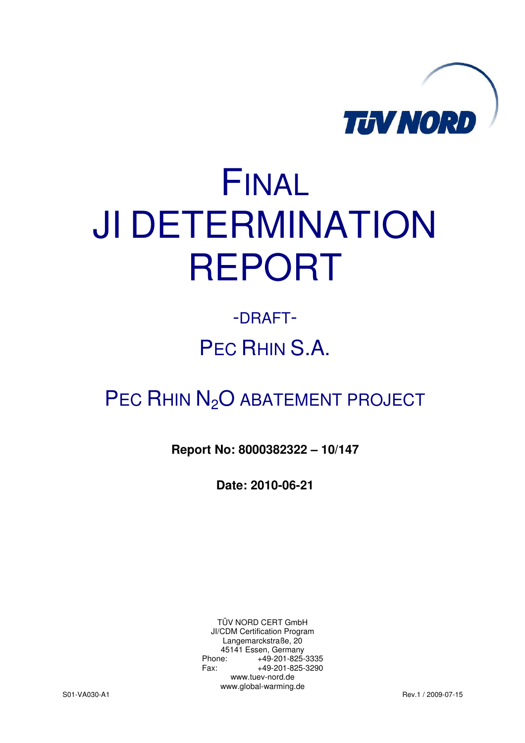

# FINAL JI DETERMINATION REPORT

## -DRAFT-PEC RHIN S.A.

### PEC RHIN N<sub>2</sub>O ABATEMENT PROJECT

#### **Report No: 8000382322 – 10/147**

**Date: 2010-06-21** 

TÜV NORD CERT GmbH JI/CDM Certification Program Langemarckstraße, 20 45141 Essen, Germany Phone: +49-201-825-3335 Fax: +49-201-825-3290 www.tuev-nord.de www.global-warming.de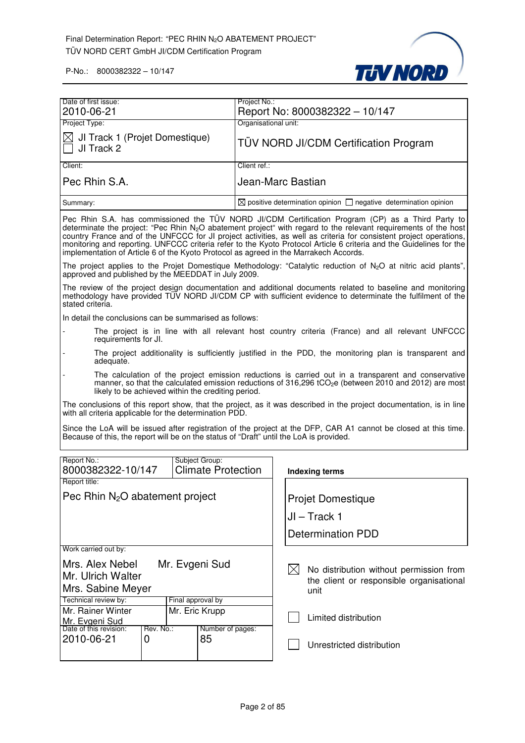

| Date of first issue:                                                                                                                                                                                                                                                           |                   |                                             | Project No.:                                                                     |             |                                                                                                                                                                                                                                                                                                                                                                                                                                                                     |
|--------------------------------------------------------------------------------------------------------------------------------------------------------------------------------------------------------------------------------------------------------------------------------|-------------------|---------------------------------------------|----------------------------------------------------------------------------------|-------------|---------------------------------------------------------------------------------------------------------------------------------------------------------------------------------------------------------------------------------------------------------------------------------------------------------------------------------------------------------------------------------------------------------------------------------------------------------------------|
| 2010-06-21<br>Project Type:                                                                                                                                                                                                                                                    |                   |                                             | Organisational unit:                                                             |             | Report No: 8000382322 - 10/147                                                                                                                                                                                                                                                                                                                                                                                                                                      |
|                                                                                                                                                                                                                                                                                |                   |                                             |                                                                                  |             |                                                                                                                                                                                                                                                                                                                                                                                                                                                                     |
| JI Track 1 (Projet Domestique)<br>⊠<br>JI Track 2                                                                                                                                                                                                                              |                   |                                             |                                                                                  |             | <b>TÜV NORD JI/CDM Certification Program</b>                                                                                                                                                                                                                                                                                                                                                                                                                        |
| Client:                                                                                                                                                                                                                                                                        |                   |                                             | Client ref.:                                                                     |             |                                                                                                                                                                                                                                                                                                                                                                                                                                                                     |
| Pec Rhin S.A.                                                                                                                                                                                                                                                                  |                   |                                             | Jean-Marc Bastian                                                                |             |                                                                                                                                                                                                                                                                                                                                                                                                                                                                     |
| Summary:                                                                                                                                                                                                                                                                       |                   |                                             | $\boxtimes$ positive determination opinion $\Box$ negative determination opinion |             |                                                                                                                                                                                                                                                                                                                                                                                                                                                                     |
| implementation of Article 6 of the Kyoto Protocol as agreed in the Marrakech Accords.                                                                                                                                                                                          |                   |                                             |                                                                                  |             | Pec Rhin S.A. has commissioned the TÜV NORD JI/CDM Certification Program (CP) as a Third Party to<br>determinate the project: "Pec Rhin $N_2O$ abatement project" with regard to the relevant requirements of the host<br>country France and of the UNFCCC for JI project activities, as well as criteria for consistent project operations,<br>monitoring and reporting. UNFCCC criteria refer to the Kyoto Protocol Article 6 criteria and the Guidelines for the |
| approved and published by the MEEDDAT in July 2009.                                                                                                                                                                                                                            |                   |                                             |                                                                                  |             | The project applies to the Projet Domestique Methodology: "Catalytic reduction of N <sub>2</sub> O at nitric acid plants",                                                                                                                                                                                                                                                                                                                                          |
| stated criteria.                                                                                                                                                                                                                                                               |                   |                                             |                                                                                  |             | The review of the project design documentation and additional documents related to baseline and monitoring<br>methodology have provided TÜV NORD JI/CDM CP with sufficient evidence to determinate the fulfilment of the                                                                                                                                                                                                                                            |
| In detail the conclusions can be summarised as follows:                                                                                                                                                                                                                        |                   |                                             |                                                                                  |             |                                                                                                                                                                                                                                                                                                                                                                                                                                                                     |
| The project is in line with all relevant host country criteria (France) and all relevant UNFCCC<br>requirements for JI.                                                                                                                                                        |                   |                                             |                                                                                  |             |                                                                                                                                                                                                                                                                                                                                                                                                                                                                     |
| The project additionality is sufficiently justified in the PDD, the monitoring plan is transparent and<br>adequate.                                                                                                                                                            |                   |                                             |                                                                                  |             |                                                                                                                                                                                                                                                                                                                                                                                                                                                                     |
| The calculation of the project emission reductions is carried out in a transparent and conservative<br>manner, so that the calculated emission reductions of 316,296 tCO <sub>2</sub> e (between 2010 and 2012) are most<br>likely to be achieved within the crediting period. |                   |                                             |                                                                                  |             |                                                                                                                                                                                                                                                                                                                                                                                                                                                                     |
| with all criteria applicable for the determination PDD.                                                                                                                                                                                                                        |                   |                                             |                                                                                  |             | The conclusions of this report show, that the project, as it was described in the project documentation, is in line                                                                                                                                                                                                                                                                                                                                                 |
| Because of this, the report will be on the status of "Draft" until the LoA is provided.                                                                                                                                                                                        |                   |                                             |                                                                                  |             | Since the LoA will be issued after registration of the project at the DFP, CAR A1 cannot be closed at this time.                                                                                                                                                                                                                                                                                                                                                    |
| Report No.:<br>8000382322-10/147                                                                                                                                                                                                                                               |                   | Subject Group:<br><b>Climate Protection</b> |                                                                                  |             | Indexing terms                                                                                                                                                                                                                                                                                                                                                                                                                                                      |
| Report title:                                                                                                                                                                                                                                                                  |                   |                                             |                                                                                  |             |                                                                                                                                                                                                                                                                                                                                                                                                                                                                     |
| Pec Rhin $N_2O$ abatement project                                                                                                                                                                                                                                              |                   |                                             |                                                                                  |             | <b>Projet Domestique</b>                                                                                                                                                                                                                                                                                                                                                                                                                                            |
|                                                                                                                                                                                                                                                                                |                   |                                             |                                                                                  |             |                                                                                                                                                                                                                                                                                                                                                                                                                                                                     |
|                                                                                                                                                                                                                                                                                |                   |                                             |                                                                                  |             | $JI - Track 1$                                                                                                                                                                                                                                                                                                                                                                                                                                                      |
|                                                                                                                                                                                                                                                                                |                   |                                             |                                                                                  |             | <b>Determination PDD</b>                                                                                                                                                                                                                                                                                                                                                                                                                                            |
| Work carried out by:                                                                                                                                                                                                                                                           |                   |                                             |                                                                                  |             |                                                                                                                                                                                                                                                                                                                                                                                                                                                                     |
| Mrs. Alex Nebel                                                                                                                                                                                                                                                                |                   | Mr. Evgeni Sud                              |                                                                                  | $\boxtimes$ | No distribution without permission from                                                                                                                                                                                                                                                                                                                                                                                                                             |
| Mr. Ulrich Walter                                                                                                                                                                                                                                                              |                   |                                             |                                                                                  |             | the client or responsible organisational                                                                                                                                                                                                                                                                                                                                                                                                                            |
| Mrs. Sabine Meyer                                                                                                                                                                                                                                                              |                   |                                             |                                                                                  |             | unit                                                                                                                                                                                                                                                                                                                                                                                                                                                                |
| Technical review by:                                                                                                                                                                                                                                                           | Final approval by |                                             |                                                                                  |             |                                                                                                                                                                                                                                                                                                                                                                                                                                                                     |
| Mr. Rainer Winter                                                                                                                                                                                                                                                              | Mr. Eric Krupp    |                                             |                                                                                  |             | Limited distribution                                                                                                                                                                                                                                                                                                                                                                                                                                                |
| Mr. Evgeni Sud<br>Date of this revision:<br>Rev. No.:                                                                                                                                                                                                                          |                   | Number of pages:                            |                                                                                  |             |                                                                                                                                                                                                                                                                                                                                                                                                                                                                     |
| 2010-06-21<br>0                                                                                                                                                                                                                                                                |                   | 85                                          |                                                                                  |             | Unrestricted distribution                                                                                                                                                                                                                                                                                                                                                                                                                                           |
|                                                                                                                                                                                                                                                                                |                   |                                             |                                                                                  |             |                                                                                                                                                                                                                                                                                                                                                                                                                                                                     |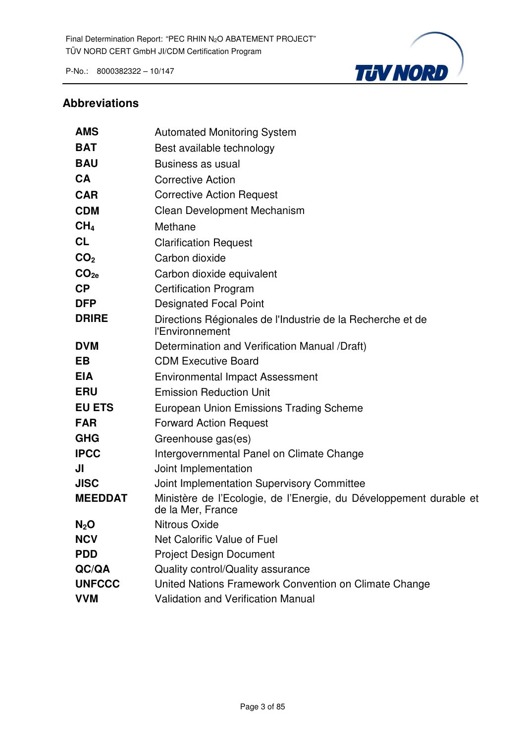

#### **Abbreviations**

| <b>AMS</b>       | <b>Automated Monitoring System</b>                                                      |
|------------------|-----------------------------------------------------------------------------------------|
| <b>BAT</b>       | Best available technology                                                               |
| <b>BAU</b>       | Business as usual                                                                       |
| <b>CA</b>        | <b>Corrective Action</b>                                                                |
| <b>CAR</b>       | <b>Corrective Action Request</b>                                                        |
| <b>CDM</b>       | Clean Development Mechanism                                                             |
| CH <sub>4</sub>  | Methane                                                                                 |
| <b>CL</b>        | <b>Clarification Request</b>                                                            |
| CO <sub>2</sub>  | Carbon dioxide                                                                          |
| CO <sub>2e</sub> | Carbon dioxide equivalent                                                               |
| CP               | <b>Certification Program</b>                                                            |
| <b>DFP</b>       | <b>Designated Focal Point</b>                                                           |
| <b>DRIRE</b>     | Directions Régionales de l'Industrie de la Recherche et de<br>l'Environnement           |
| <b>DVM</b>       | Determination and Verification Manual /Draft)                                           |
| <b>EB</b>        | <b>CDM Executive Board</b>                                                              |
| <b>EIA</b>       | <b>Environmental Impact Assessment</b>                                                  |
| <b>ERU</b>       | <b>Emission Reduction Unit</b>                                                          |
| <b>EU ETS</b>    | <b>European Union Emissions Trading Scheme</b>                                          |
| <b>FAR</b>       | <b>Forward Action Request</b>                                                           |
| <b>GHG</b>       | Greenhouse gas(es)                                                                      |
| <b>IPCC</b>      | Intergovernmental Panel on Climate Change                                               |
| JI               | Joint Implementation                                                                    |
| <b>JISC</b>      | Joint Implementation Supervisory Committee                                              |
| <b>MEEDDAT</b>   | Ministère de l'Ecologie, de l'Energie, du Développement durable et<br>de la Mer, France |
| $N_2O$           | <b>Nitrous Oxide</b>                                                                    |
| <b>NCV</b>       | Net Calorific Value of Fuel                                                             |
| <b>PDD</b>       | <b>Project Design Document</b>                                                          |
| QC/QA            | Quality control/Quality assurance                                                       |
| <b>UNFCCC</b>    | United Nations Framework Convention on Climate Change                                   |
| <b>VVM</b>       | <b>Validation and Verification Manual</b>                                               |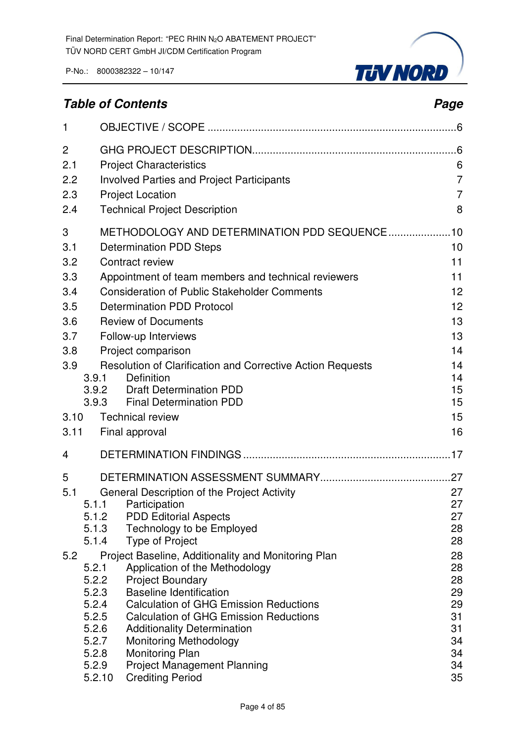

### **Table of Contents Page 2018**

| $\mathbf{1}$ |                 |                                                                                 |                |
|--------------|-----------------|---------------------------------------------------------------------------------|----------------|
| 2            |                 |                                                                                 | .6             |
| 2.1          |                 | <b>Project Characteristics</b>                                                  | 6              |
| 2.2          |                 | <b>Involved Parties and Project Participants</b>                                | 7              |
| 2.3          |                 | <b>Project Location</b>                                                         | $\overline{7}$ |
| 2.4          |                 | <b>Technical Project Description</b>                                            | 8              |
| 3            |                 | METHODOLOGY AND DETERMINATION PDD SEQUENCE 10                                   |                |
| 3.1          |                 | <b>Determination PDD Steps</b>                                                  | 10             |
| 3.2          |                 | Contract review                                                                 | 11             |
| 3.3          |                 | Appointment of team members and technical reviewers                             | 11             |
| 3.4          |                 | <b>Consideration of Public Stakeholder Comments</b>                             | 12             |
| 3.5          |                 | <b>Determination PDD Protocol</b>                                               | 12             |
| 3.6          |                 | <b>Review of Documents</b>                                                      | 13             |
| 3.7          |                 | Follow-up Interviews                                                            | 13             |
| 3.8          |                 | Project comparison                                                              | 14             |
| 3.9          |                 | Resolution of Clarification and Corrective Action Requests                      | 14             |
|              | 3.9.1           | <b>Definition</b>                                                               | 14             |
|              | 3.9.2<br>3.9.3  | <b>Draft Determination PDD</b><br><b>Final Determination PDD</b>                | 15<br>15       |
| 3.10         |                 | <b>Technical review</b>                                                         | 15             |
| 3.11         |                 | Final approval                                                                  | 16             |
|              |                 |                                                                                 |                |
| 4            |                 |                                                                                 |                |
| 5            |                 |                                                                                 |                |
| 5.1          |                 | General Description of the Project Activity                                     | 27             |
|              | 5.1.1           | Participation                                                                   | 27             |
|              | 5.1.2<br>5.1.3  | <b>PDD Editorial Aspects</b><br>Technology to be Employed                       | 27<br>28       |
|              | 5.1.4           | <b>Type of Project</b>                                                          | 28             |
| 5.2          |                 | Project Baseline, Additionality and Monitoring Plan                             | 28             |
|              | 5.2.1           | Application of the Methodology                                                  | 28             |
|              | 5.2.2           | <b>Project Boundary</b>                                                         | 28             |
|              | 5.2.3           | <b>Baseline Identification</b><br><b>Calculation of GHG Emission Reductions</b> | 29             |
|              | 5.2.4<br>5.2.5  | <b>Calculation of GHG Emission Reductions</b>                                   | 29<br>31       |
|              | 5.2.6           | <b>Additionality Determination</b>                                              | 31             |
|              | 5.2.7           | <b>Monitoring Methodology</b>                                                   | 34             |
|              | 5.2.8           | <b>Monitoring Plan</b>                                                          | 34             |
|              | 5.2.9<br>5.2.10 | <b>Project Management Planning</b><br><b>Crediting Period</b>                   | 34<br>35       |
|              |                 |                                                                                 |                |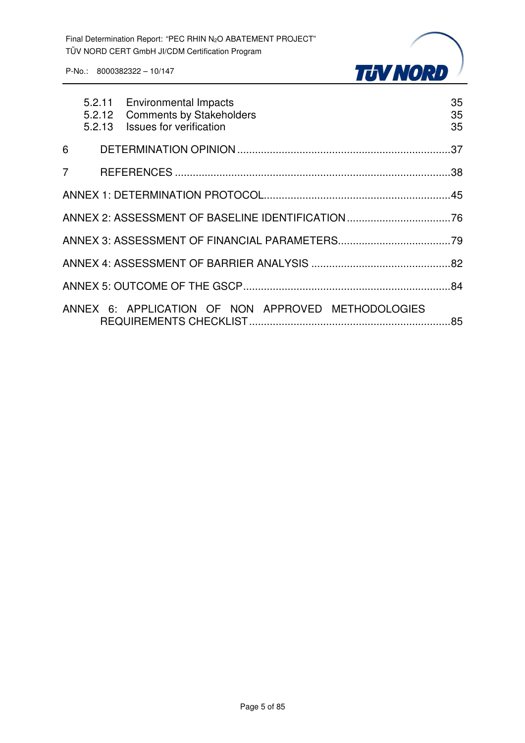

|                | 5.2.11 Environmental Impacts<br>5.2.12 Comments by Stakeholders<br>5.2.13 Issues for verification | 35<br>35<br>35 |
|----------------|---------------------------------------------------------------------------------------------------|----------------|
| 6              |                                                                                                   |                |
| $\overline{7}$ |                                                                                                   |                |
|                |                                                                                                   |                |
|                |                                                                                                   |                |
|                |                                                                                                   |                |
|                |                                                                                                   |                |
|                |                                                                                                   |                |
|                | ANNEX 6: APPLICATION OF NON APPROVED METHODOLOGIES                                                |                |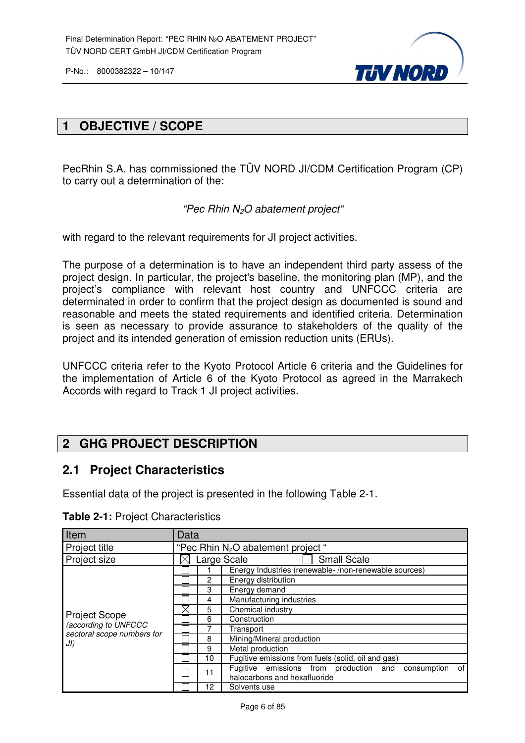

#### **1 OBJECTIVE / SCOPE**

PecRhin S.A. has commissioned the TÜV NORD JI/CDM Certification Program (CP) to carry out a determination of the:

"Pec Rhin N2O abatement project"

with regard to the relevant requirements for JI project activities.

The purpose of a determination is to have an independent third party assess of the project design. In particular, the project's baseline, the monitoring plan (MP), and the project's compliance with relevant host country and UNFCCC criteria are determinated in order to confirm that the project design as documented is sound and reasonable and meets the stated requirements and identified criteria. Determination is seen as necessary to provide assurance to stakeholders of the quality of the project and its intended generation of emission reduction units (ERUs).

UNFCCC criteria refer to the Kyoto Protocol Article 6 criteria and the Guidelines for the implementation of Article 6 of the Kyoto Protocol as agreed in the Marrakech Accords with regard to Track 1 JI project activities.

#### **2 GHG PROJECT DESCRIPTION**

#### **2.1 Project Characteristics**

Essential data of the project is presented in the following Table 2-1.

| Item                                               | Data |    |                                                                                             |  |  |  |  |
|----------------------------------------------------|------|----|---------------------------------------------------------------------------------------------|--|--|--|--|
| Project title                                      |      |    | "Pec Rhin $N_2O$ abatement project"                                                         |  |  |  |  |
| Project size                                       |      |    | <b>Small Scale</b><br>Large Scale                                                           |  |  |  |  |
|                                                    |      |    | Energy Industries (renewable-/non-renewable sources)                                        |  |  |  |  |
|                                                    |      | 2  | Energy distribution                                                                         |  |  |  |  |
|                                                    |      | 3  | Energy demand                                                                               |  |  |  |  |
|                                                    |      | 4  | Manufacturing industries                                                                    |  |  |  |  |
|                                                    | ⊠    | 5  | Chemical industry                                                                           |  |  |  |  |
| <b>Project Scope</b>                               |      | 6  | Construction                                                                                |  |  |  |  |
| (according to UNFCCC<br>sectoral scope numbers for |      |    | Transport                                                                                   |  |  |  |  |
| JI)                                                |      | 8  | Mining/Mineral production                                                                   |  |  |  |  |
|                                                    |      | 9  | Metal production                                                                            |  |  |  |  |
|                                                    |      | 10 | Fugitive emissions from fuels (solid, oil and gas)                                          |  |  |  |  |
|                                                    |      | 11 | Fugitive emissions from production and<br>of<br>consumption<br>halocarbons and hexafluoride |  |  |  |  |
|                                                    |      | 12 | Solvents use                                                                                |  |  |  |  |

**Table 2-1:** Project Characteristics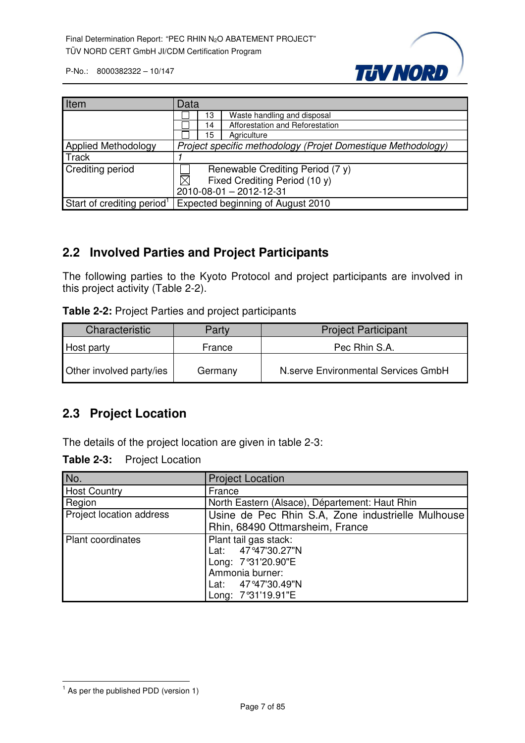

| Item                                   | Data                                                         |  |  |
|----------------------------------------|--------------------------------------------------------------|--|--|
|                                        | Waste handling and disposal<br>13                            |  |  |
|                                        | Afforestation and Reforestation<br>14                        |  |  |
|                                        | 15<br>Agriculture                                            |  |  |
| <b>Applied Methodology</b>             | Project specific methodology (Projet Domestique Methodology) |  |  |
| <b>Track</b>                           |                                                              |  |  |
| Crediting period                       | Renewable Crediting Period (7 y)                             |  |  |
|                                        | $\boxtimes$<br>Fixed Crediting Period (10 y)                 |  |  |
|                                        | 2010-08-01 - 2012-12-31                                      |  |  |
| Start of crediting period <sup>1</sup> | Expected beginning of August 2010                            |  |  |

#### **2.2 Involved Parties and Project Participants**

The following parties to the Kyoto Protocol and project participants are involved in this project activity (Table 2-2).

| Table 2-2: Project Parties and project participants |  |  |  |  |
|-----------------------------------------------------|--|--|--|--|
|-----------------------------------------------------|--|--|--|--|

| Characteristic           | Party   | <b>Project Participant</b>          |
|--------------------------|---------|-------------------------------------|
| Host party               | France  | Pec Rhin S.A.                       |
| Other involved party/ies | Germany | N.serve Environmental Services GmbH |

#### **2.3 Project Location**

The details of the project location are given in table 2-3:

| <b>Table 2-3:</b> | <b>Project Location</b> |  |
|-------------------|-------------------------|--|
|-------------------|-------------------------|--|

| No.                      | <b>Project Location</b>                           |  |  |  |
|--------------------------|---------------------------------------------------|--|--|--|
| <b>Host Country</b>      | France                                            |  |  |  |
| Region                   | North Eastern (Alsace), Département: Haut Rhin    |  |  |  |
| Project location address | Usine de Pec Rhin S.A, Zone industrielle Mulhouse |  |  |  |
|                          | Rhin, 68490 Ottmarsheim, France                   |  |  |  |
| <b>Plant coordinates</b> | Plant tail gas stack:                             |  |  |  |
|                          | Lat: 47°47'30.27"N                                |  |  |  |
|                          | Long: 7°31'20.90"E                                |  |  |  |
|                          | Ammonia burner:                                   |  |  |  |
|                          | Lat: 47°47'30.49"N                                |  |  |  |
|                          | Long: 7°31'19.91"E                                |  |  |  |

 1 As per the published PDD (version 1)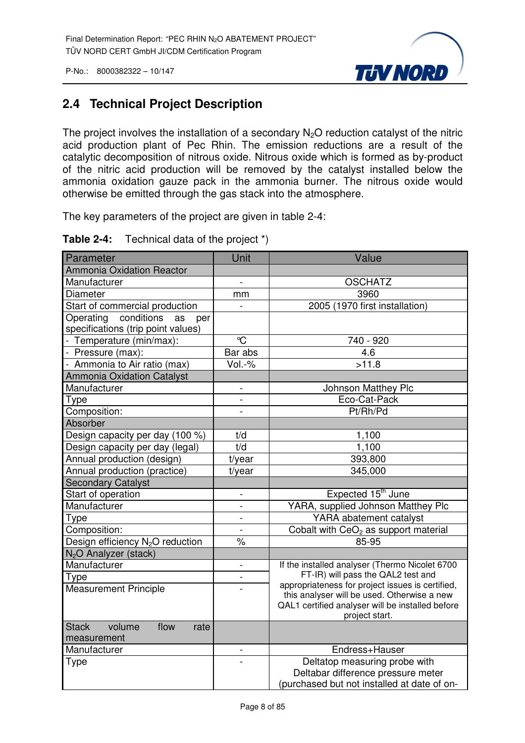

#### **2.4 Technical Project Description**

The project involves the installation of a secondary  $N<sub>2</sub>O$  reduction catalyst of the nitric acid production plant of Pec Rhin. The emission reductions are a result of the catalytic decomposition of nitrous oxide. Nitrous oxide which is formed as by-product of the nitric acid production will be removed by the catalyst installed below the ammonia oxidation gauze pack in the ammonia burner. The nitrous oxide would otherwise be emitted through the gas stack into the atmosphere.

The key parameters of the project are given in table 2-4:

| Parameter                                                                  | Unit                     | Value                                                                                                             |
|----------------------------------------------------------------------------|--------------------------|-------------------------------------------------------------------------------------------------------------------|
| <b>Ammonia Oxidation Reactor</b>                                           |                          |                                                                                                                   |
| Manufacturer                                                               | $\overline{a}$           | <b>OSCHATZ</b>                                                                                                    |
| Diameter                                                                   | mm                       | 3960                                                                                                              |
| Start of commercial production                                             |                          | 2005 (1970 first installation)                                                                                    |
| conditions<br>Operating<br>as<br>per<br>specifications (trip point values) |                          |                                                                                                                   |
| - Temperature (min/max):                                                   | $\mathrm{C}$             | 740 - 920                                                                                                         |
| - Pressure (max):                                                          | Bar abs                  | 4.6                                                                                                               |
| - Ammonia to Air ratio (max)                                               | $Vol.-%$                 | >11.8                                                                                                             |
| <b>Ammonia Oxidation Catalyst</b>                                          |                          |                                                                                                                   |
| Manufacturer                                                               | $\frac{1}{2}$            | Johnson Matthey Plc                                                                                               |
| Type                                                                       |                          | Eco-Cat-Pack                                                                                                      |
| Composition:                                                               | $\overline{a}$           | Pt/Rh/Pd                                                                                                          |
| <b>Absorber</b>                                                            |                          |                                                                                                                   |
| Design capacity per day (100 %)                                            | t/d                      | 1,100                                                                                                             |
| Design capacity per day (legal)                                            | t/d                      | 1,100                                                                                                             |
| Annual production (design)                                                 | t/year                   | 393,800                                                                                                           |
| Annual production (practice)                                               | t/year                   | 345,000                                                                                                           |
| <b>Secondary Catalyst</b>                                                  |                          |                                                                                                                   |
| Start of operation                                                         | $\overline{a}$           | Expected 15 <sup>th</sup> June                                                                                    |
| Manufacturer                                                               | $\overline{a}$           | YARA, supplied Johnson Matthey Plc                                                                                |
| Type                                                                       | $\overline{\phantom{0}}$ | YARA abatement catalyst                                                                                           |
| Composition:                                                               | $\overline{a}$           | Cobalt with CeO <sub>2</sub> as support material                                                                  |
| Design efficiency N <sub>2</sub> O reduction                               | $\%$                     | 85-95                                                                                                             |
| N <sub>2</sub> O Analyzer (stack)                                          |                          |                                                                                                                   |
| Manufacturer                                                               | $\overline{\phantom{0}}$ | If the installed analyser (Thermo Nicolet 6700                                                                    |
| Type                                                                       | $\overline{a}$           | FT-IR) will pass the QAL2 test and<br>appropriateness for project issues is certified,                            |
| <b>Measurement Principle</b>                                               |                          | this analyser will be used. Otherwise a new<br>QAL1 certified analyser will be installed before<br>project start. |
| volume<br>flow<br><b>Stack</b><br>rate                                     |                          |                                                                                                                   |
| measurement                                                                |                          |                                                                                                                   |
| Manufacturer                                                               | $\overline{\phantom{0}}$ | Endress+Hauser                                                                                                    |
| <b>Type</b>                                                                | $\overline{a}$           | Deltatop measuring probe with                                                                                     |
|                                                                            |                          | Deltabar difference pressure meter                                                                                |
|                                                                            |                          | (purchased but not installed at date of on-                                                                       |

#### **Table 2-4:** Technical data of the project \*)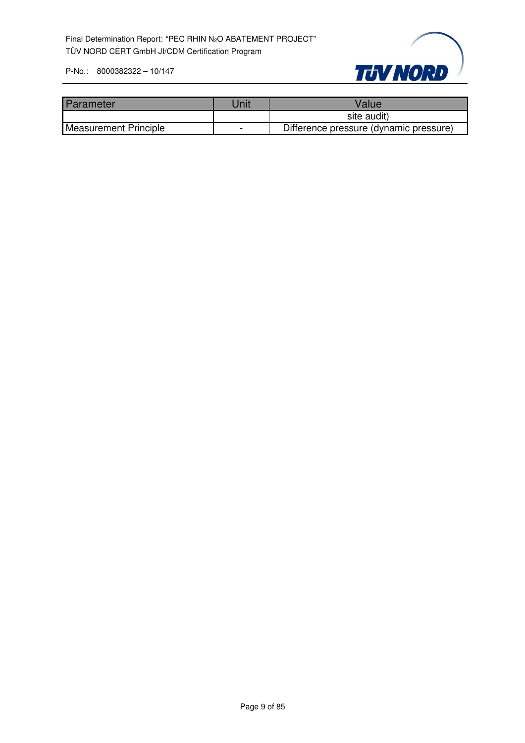

| Parameter                    | Jnit | Value                                  |
|------------------------------|------|----------------------------------------|
|                              |      | site audit)                            |
| <b>Measurement Principle</b> |      | Difference pressure (dynamic pressure) |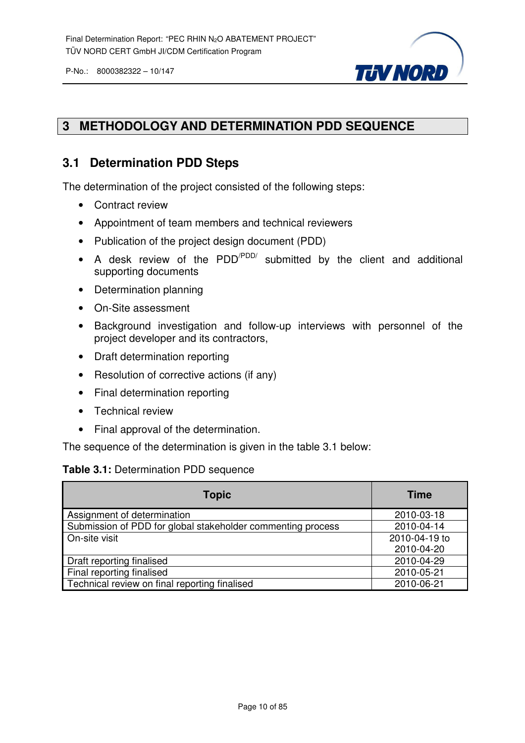

#### **3 METHODOLOGY AND DETERMINATION PDD SEQUENCE**

#### **3.1 Determination PDD Steps**

The determination of the project consisted of the following steps:

- Contract review
- Appointment of team members and technical reviewers
- Publication of the project design document (PDD)
- A desk review of the PDD<sup>/PDD/</sup> submitted by the client and additional supporting documents
- Determination planning
- On-Site assessment
- Background investigation and follow-up interviews with personnel of the project developer and its contractors,
- Draft determination reporting
- Resolution of corrective actions (if any)
- Final determination reporting
- Technical review
- Final approval of the determination.

The sequence of the determination is given in the table 3.1 below:

#### **Table 3.1:** Determination PDD sequence

| <b>Topic</b>                                                | <b>Time</b>   |
|-------------------------------------------------------------|---------------|
| Assignment of determination                                 | 2010-03-18    |
| Submission of PDD for global stakeholder commenting process | 2010-04-14    |
| On-site visit                                               | 2010-04-19 to |
|                                                             | 2010-04-20    |
| Draft reporting finalised                                   | 2010-04-29    |
| Final reporting finalised                                   | 2010-05-21    |
| Technical review on final reporting finalised               | 2010-06-21    |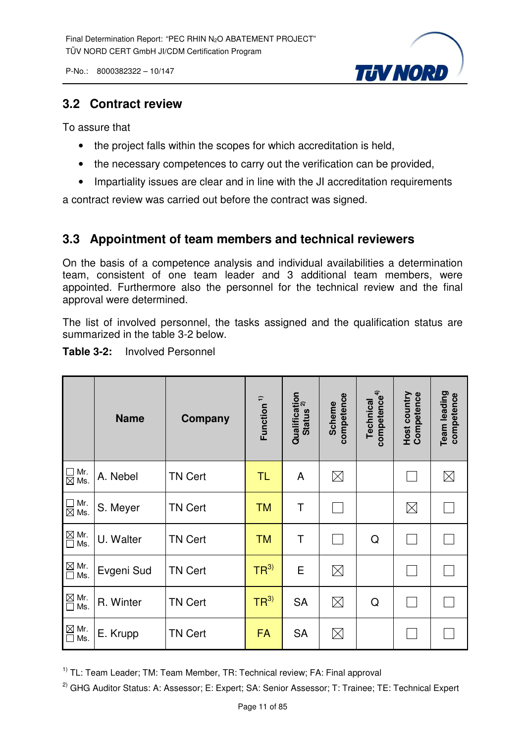**TUV NORD** 

P-No.: 8000382322 – 10/147

#### **3.2 Contract review**

To assure that

- the project falls within the scopes for which accreditation is held,
- the necessary competences to carry out the verification can be provided,
- Impartiality issues are clear and in line with the JI accreditation requirements

a contract review was carried out before the contract was signed.

#### **3.3 Appointment of team members and technical reviewers**

On the basis of a competence analysis and individual availabilities a determination team, consistent of one team leader and 3 additional team members, were appointed. Furthermore also the personnel for the technical review and the final approval were determined.

The list of involved personnel, the tasks assigned and the qualification status are summarized in the table 3-2 below.

| <b>Table 3-2:</b> | <b>Involved Personnel</b> |
|-------------------|---------------------------|
|-------------------|---------------------------|

|                                                             | <b>Name</b> | Company        | Function <sup>1)</sup> | Qualification<br>status <sup>2)</sup><br><b>Status</b> | competence<br>Scheme | competence <sup>4)</sup><br>Technical | Host country<br>Competence | Team leading<br>competence |
|-------------------------------------------------------------|-------------|----------------|------------------------|--------------------------------------------------------|----------------------|---------------------------------------|----------------------------|----------------------------|
| $\Box$ Mr.<br>$\boxtimes$ Ms.                               | A. Nebel    | <b>TN Cert</b> | TL                     | A                                                      | $\boxtimes$          |                                       |                            | $\boxtimes$                |
| $\Box$ Mr.<br>$\boxtimes$ Ms.                               | S. Meyer    | <b>TN Cert</b> | <b>TM</b>              | T                                                      |                      |                                       | $\boxtimes$                |                            |
| $\overline{\square}$ Mr.<br>$\overline{\square}$ Ms.<br>Ms. | U. Walter   | <b>TN Cert</b> | <b>TM</b>              | Τ                                                      |                      | Q                                     |                            |                            |
| $\underline{\boxtimes}$ Mr.<br>Ms.<br>$\Box$                | Evgeni Sud  | <b>TN Cert</b> | TR <sup>3</sup>        | E                                                      | $\boxtimes$          |                                       |                            |                            |
| $\mathbf{\underline{\boxtimes}}$ Mr.<br>Ms.<br>$\Box$       | R. Winter   | <b>TN Cert</b> | TR <sup>3</sup>        | <b>SA</b>                                              | $\boxtimes$          | Q                                     |                            |                            |
| $\boxtimes$ Mr.<br>Ms.<br>$\Box$                            | E. Krupp    | <b>TN Cert</b> | <b>FA</b>              | <b>SA</b>                                              | $\boxtimes$          |                                       |                            |                            |

<sup>1)</sup> TL: Team Leader; TM: Team Member, TR: Technical review; FA: Final approval

<sup>2)</sup> GHG Auditor Status: A: Assessor; E: Expert; SA: Senior Assessor; T: Trainee; TE: Technical Expert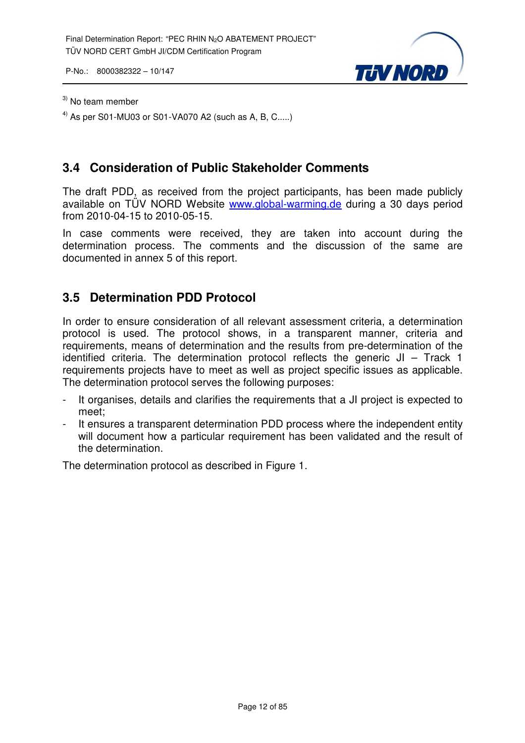

#### $3)$  No team member

<sup>4)</sup> As per S01-MU03 or S01-VA070 A2 (such as A, B, C.....)

#### **3.4 Consideration of Public Stakeholder Comments**

The draft PDD, as received from the project participants, has been made publicly available on TÜV NORD Website www.global-warming.de during a 30 days period from 2010-04-15 to 2010-05-15.

In case comments were received, they are taken into account during the determination process. The comments and the discussion of the same are documented in annex 5 of this report.

#### **3.5 Determination PDD Protocol**

In order to ensure consideration of all relevant assessment criteria, a determination protocol is used. The protocol shows, in a transparent manner, criteria and requirements, means of determination and the results from pre-determination of the identified criteria. The determination protocol reflects the generic JI – Track 1 requirements projects have to meet as well as project specific issues as applicable. The determination protocol serves the following purposes:

- It organises, details and clarifies the requirements that a JI project is expected to meet;
- It ensures a transparent determination PDD process where the independent entity will document how a particular requirement has been validated and the result of the determination.

The determination protocol as described in Figure 1.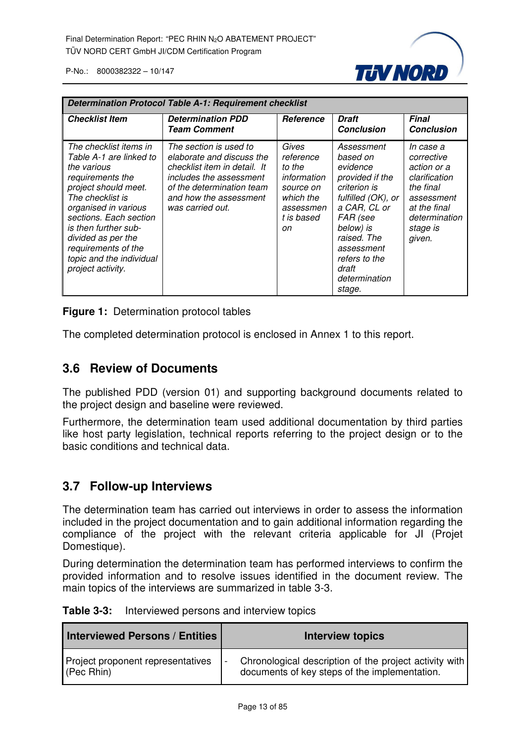

| <b>Determination Protocol Table A-1: Requirement checklist</b>                                                                                                                                                                                                                                           |                                                                                                                                                                                           |                                                                                                         |                                                                                                                                                                                                                        |                                                                                                                                           |  |
|----------------------------------------------------------------------------------------------------------------------------------------------------------------------------------------------------------------------------------------------------------------------------------------------------------|-------------------------------------------------------------------------------------------------------------------------------------------------------------------------------------------|---------------------------------------------------------------------------------------------------------|------------------------------------------------------------------------------------------------------------------------------------------------------------------------------------------------------------------------|-------------------------------------------------------------------------------------------------------------------------------------------|--|
| <b>Checklist Item</b>                                                                                                                                                                                                                                                                                    | <b>Determination PDD</b><br><b>Team Comment</b>                                                                                                                                           | <b>Reference</b>                                                                                        | Draft<br><b>Conclusion</b>                                                                                                                                                                                             | <b>Final</b><br><b>Conclusion</b>                                                                                                         |  |
| The checklist items in<br>Table A-1 are linked to<br>the various<br>requirements the<br>project should meet.<br>The checklist is<br>organised in various<br>sections. Each section<br>is then further sub-<br>divided as per the<br>requirements of the<br>topic and the individual<br>project activity. | The section is used to<br>elaborate and discuss the<br>checklist item in detail. It<br>includes the assessment<br>of the determination team<br>and how the assessment<br>was carried out. | Gives<br>reference<br>to the<br>information<br>source on<br>which the<br>assessmen<br>t is based<br>on. | Assessment<br>based on<br>evidence<br>provided if the<br>criterion is<br>fulfilled (OK), or<br>a CAR, CL or<br>FAR (see<br>below) is<br>raised. The<br>assessment<br>refers to the<br>draft<br>determination<br>stage. | In case a<br>corrective<br>action or a<br>clarification<br>the final<br>assessment<br>at the final<br>determination<br>stage is<br>given. |  |

**Figure 1:** Determination protocol tables

The completed determination protocol is enclosed in Annex 1 to this report.

#### **3.6 Review of Documents**

The published PDD (version 01) and supporting background documents related to the project design and baseline were reviewed.

Furthermore, the determination team used additional documentation by third parties like host party legislation, technical reports referring to the project design or to the basic conditions and technical data.

#### **3.7 Follow-up Interviews**

The determination team has carried out interviews in order to assess the information included in the project documentation and to gain additional information regarding the compliance of the project with the relevant criteria applicable for JI (Projet Domestique).

During determination the determination team has performed interviews to confirm the provided information and to resolve issues identified in the document review. The main topics of the interviews are summarized in table 3-3.

| <b>Table 3-3:</b> | Interviewed persons and interview topics |  |
|-------------------|------------------------------------------|--|
|-------------------|------------------------------------------|--|

| <b>Interviewed Persons / Entities</b> | <b>Interview topics</b>                                |
|---------------------------------------|--------------------------------------------------------|
| Project proponent representatives     | Chronological description of the project activity with |
| $($ Pec Rhin $)$                      | documents of key steps of the implementation.          |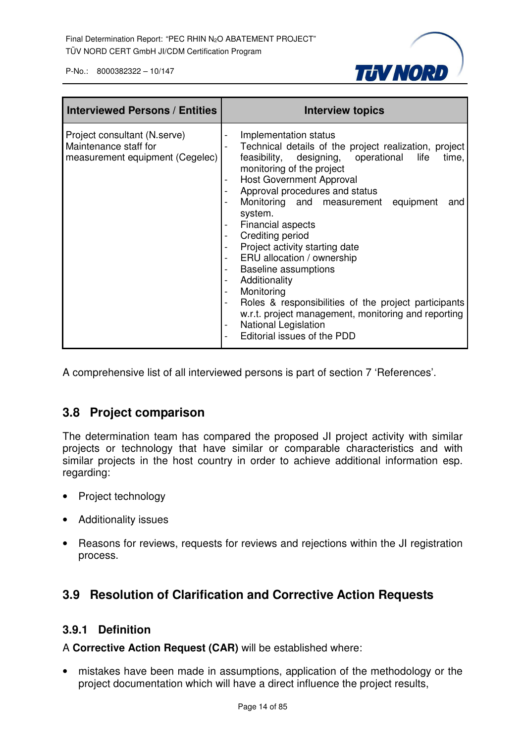

| <b>Interviewed Persons / Entities</b>                                                    | <b>Interview topics</b>                                                                                                                                                                                                                                                                                                                                                                                                                                                                                                                                                                                                                                                                                                              |
|------------------------------------------------------------------------------------------|--------------------------------------------------------------------------------------------------------------------------------------------------------------------------------------------------------------------------------------------------------------------------------------------------------------------------------------------------------------------------------------------------------------------------------------------------------------------------------------------------------------------------------------------------------------------------------------------------------------------------------------------------------------------------------------------------------------------------------------|
| Project consultant (N.serve)<br>Maintenance staff for<br>measurement equipment (Cegelec) | Implementation status<br>Technical details of the project realization, project<br>feasibility, designing, operational life<br>time,<br>monitoring of the project<br><b>Host Government Approval</b><br>Approval procedures and status<br>Monitoring and measurement equipment<br>and<br>system.<br>Financial aspects<br>-<br>Crediting period<br>-<br>Project activity starting date<br>ERU allocation / ownership<br>$\overline{\phantom{0}}$<br><b>Baseline assumptions</b><br>-<br>Additionality<br>Monitoring<br>-<br>Roles & responsibilities of the project participants<br>$\overline{\phantom{0}}$<br>w.r.t. project management, monitoring and reporting<br><b>National Legislation</b><br>-<br>Editorial issues of the PDD |

A comprehensive list of all interviewed persons is part of section 7 'References'.

#### **3.8 Project comparison**

The determination team has compared the proposed JI project activity with similar projects or technology that have similar or comparable characteristics and with similar projects in the host country in order to achieve additional information esp. regarding:

- Project technology
- Additionality issues
- Reasons for reviews, requests for reviews and rejections within the JI registration process.

#### **3.9 Resolution of Clarification and Corrective Action Requests**

#### **3.9.1 Definition**

A **Corrective Action Request (CAR)** will be established where:

• mistakes have been made in assumptions, application of the methodology or the project documentation which will have a direct influence the project results,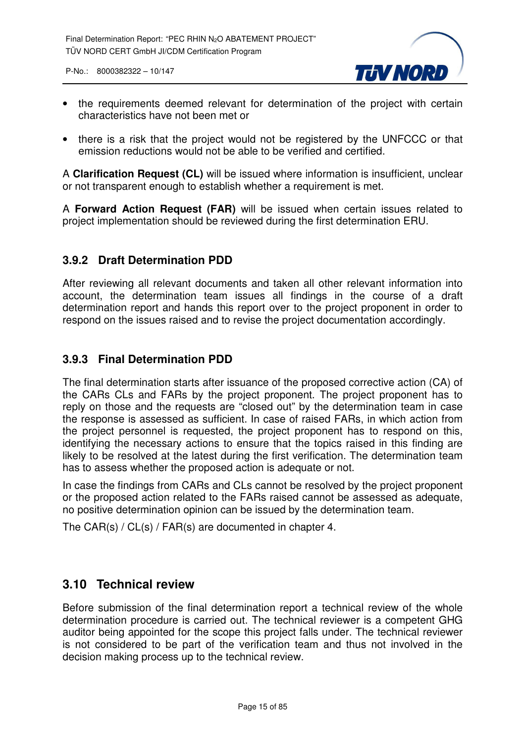

- the requirements deemed relevant for determination of the project with certain characteristics have not been met or
- there is a risk that the project would not be registered by the UNFCCC or that emission reductions would not be able to be verified and certified.

A **Clarification Request (CL)** will be issued where information is insufficient, unclear or not transparent enough to establish whether a requirement is met.

A **Forward Action Request (FAR)** will be issued when certain issues related to project implementation should be reviewed during the first determination ERU.

#### **3.9.2 Draft Determination PDD**

After reviewing all relevant documents and taken all other relevant information into account, the determination team issues all findings in the course of a draft determination report and hands this report over to the project proponent in order to respond on the issues raised and to revise the project documentation accordingly.

#### **3.9.3 Final Determination PDD**

The final determination starts after issuance of the proposed corrective action (CA) of the CARs CLs and FARs by the project proponent. The project proponent has to reply on those and the requests are "closed out" by the determination team in case the response is assessed as sufficient. In case of raised FARs, in which action from the project personnel is requested, the project proponent has to respond on this, identifying the necessary actions to ensure that the topics raised in this finding are likely to be resolved at the latest during the first verification. The determination team has to assess whether the proposed action is adequate or not.

In case the findings from CARs and CLs cannot be resolved by the project proponent or the proposed action related to the FARs raised cannot be assessed as adequate, no positive determination opinion can be issued by the determination team.

The CAR(s) / CL(s) / FAR(s) are documented in chapter 4.

#### **3.10 Technical review**

Before submission of the final determination report a technical review of the whole determination procedure is carried out. The technical reviewer is a competent GHG auditor being appointed for the scope this project falls under. The technical reviewer is not considered to be part of the verification team and thus not involved in the decision making process up to the technical review.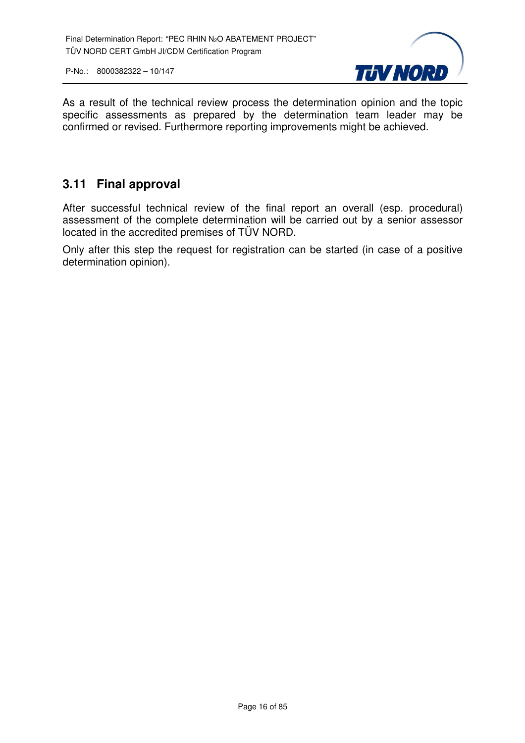

As a result of the technical review process the determination opinion and the topic specific assessments as prepared by the determination team leader may be confirmed or revised. Furthermore reporting improvements might be achieved.

#### **3.11 Final approval**

After successful technical review of the final report an overall (esp. procedural) assessment of the complete determination will be carried out by a senior assessor located in the accredited premises of TÜV NORD.

Only after this step the request for registration can be started (in case of a positive determination opinion).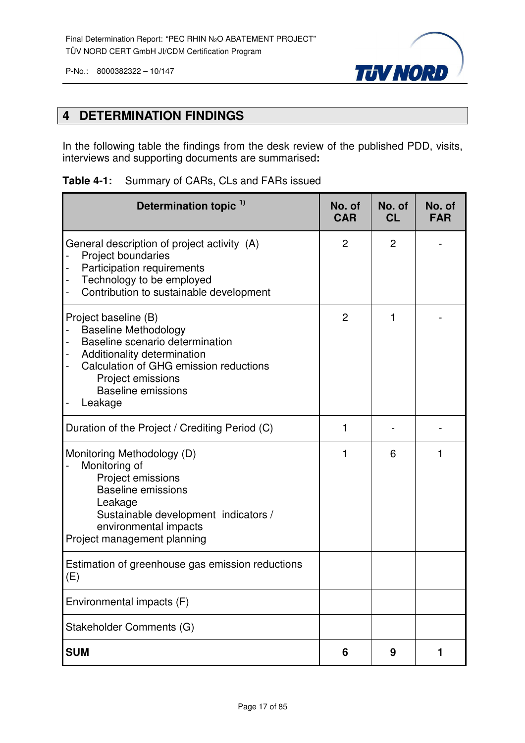



#### **4 DETERMINATION FINDINGS**

In the following table the findings from the desk review of the published PDD, visits, interviews and supporting documents are summarised**:**

|  |  |  | <b>Table 4-1:</b> Summary of CARs, CLs and FARs issued |
|--|--|--|--------------------------------------------------------|
|--|--|--|--------------------------------------------------------|

| Determination topic <sup>1)</sup>                                                                                                                                                                                            | No. of<br><b>CAR</b> | No. of<br><b>CL</b> | No. of<br><b>FAR</b> |
|------------------------------------------------------------------------------------------------------------------------------------------------------------------------------------------------------------------------------|----------------------|---------------------|----------------------|
| General description of project activity (A)<br>Project boundaries<br>Participation requirements<br>Technology to be employed<br>Contribution to sustainable development<br>$\qquad \qquad \blacksquare$                      | $\overline{2}$       | $\overline{2}$      |                      |
| Project baseline (B)<br><b>Baseline Methodology</b><br>Baseline scenario determination<br>Additionality determination<br>Calculation of GHG emission reductions<br>Project emissions<br><b>Baseline emissions</b><br>Leakage | $\overline{2}$       | 1                   |                      |
| Duration of the Project / Crediting Period (C)                                                                                                                                                                               | 1                    |                     |                      |
| Monitoring Methodology (D)<br>Monitoring of<br>Project emissions<br><b>Baseline emissions</b><br>Leakage<br>Sustainable development indicators /<br>environmental impacts<br>Project management planning                     | 1                    | 6                   |                      |
| Estimation of greenhouse gas emission reductions<br>(E)                                                                                                                                                                      |                      |                     |                      |
| Environmental impacts (F)                                                                                                                                                                                                    |                      |                     |                      |
| Stakeholder Comments (G)                                                                                                                                                                                                     |                      |                     |                      |
| <b>SUM</b>                                                                                                                                                                                                                   | 6                    | 9                   | 1                    |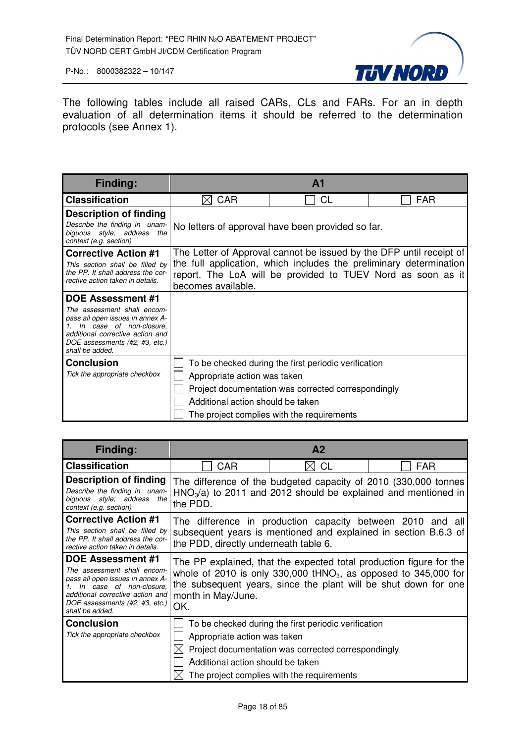

The following tables include all raised CARs, CLs and FARs. For an in depth evaluation of all determination items it should be referred to the determination protocols (see Annex 1).

| <b>Finding:</b>                                                                                                                                                                     |                                                             | $\mathbf{A}$ 1                                                      |            |  |
|-------------------------------------------------------------------------------------------------------------------------------------------------------------------------------------|-------------------------------------------------------------|---------------------------------------------------------------------|------------|--|
| <b>Classification</b>                                                                                                                                                               | <b>CAR</b>                                                  | <b>CL</b>                                                           | <b>FAR</b> |  |
| <b>Description of finding</b>                                                                                                                                                       |                                                             |                                                                     |            |  |
| Describe the finding in unam-<br>biguous style; address<br>the<br>context (e.g. section)                                                                                            |                                                             | No letters of approval have been provided so far.                   |            |  |
| <b>Corrective Action #1</b>                                                                                                                                                         |                                                             | The Letter of Approval cannot be issued by the DFP until receipt of |            |  |
| This section shall be filled by<br>the PP. It shall address the cor-                                                                                                                |                                                             | the full application, which includes the preliminary determination  |            |  |
| rective action taken in details.                                                                                                                                                    | report. The LoA will be provided to TUEV Nord as soon as it |                                                                     |            |  |
| DOE Assessment #1                                                                                                                                                                   | becomes available.                                          |                                                                     |            |  |
| The assessment shall encom-<br>pass all open issues in annex A-<br>In case of non-closure.<br>additional corrective action and<br>DOE assessments (#2, #3, etc.)<br>shall be added. |                                                             |                                                                     |            |  |
| <b>Conclusion</b>                                                                                                                                                                   |                                                             | To be checked during the first periodic verification                |            |  |
| Tick the appropriate checkbox                                                                                                                                                       | Appropriate action was taken                                |                                                                     |            |  |
|                                                                                                                                                                                     |                                                             | Project documentation was corrected correspondingly                 |            |  |
|                                                                                                                                                                                     | Additional action should be taken                           |                                                                     |            |  |
|                                                                                                                                                                                     |                                                             | The project complies with the requirements                          |            |  |

| <b>Finding:</b>                                                                                                                                                                                                 |                                                                                  | A <sub>2</sub>                                                                                                                                            |                                                                                                                                                                                                             |
|-----------------------------------------------------------------------------------------------------------------------------------------------------------------------------------------------------------------|----------------------------------------------------------------------------------|-----------------------------------------------------------------------------------------------------------------------------------------------------------|-------------------------------------------------------------------------------------------------------------------------------------------------------------------------------------------------------------|
| <b>Classification</b>                                                                                                                                                                                           | <b>CAR</b>                                                                       | <b>CL</b>                                                                                                                                                 | FAR                                                                                                                                                                                                         |
| Description of finding<br>Describe the finding in unam-<br>biguous style; address the<br>context (e.g. section)                                                                                                 | the PDD.                                                                         | $HNO3/a$ ) to 2011 and 2012 should be explained and mentioned in                                                                                          | The difference of the budgeted capacity of 2010 (330.000 tonnes                                                                                                                                             |
| <b>Corrective Action #1</b><br>This section shall be filled by<br>the PP. It shall address the cor-<br>rective action taken in details.                                                                         | the PDD, directly underneath table 6.                                            |                                                                                                                                                           | The difference in production capacity between 2010 and all<br>subsequent years is mentioned and explained in section B.6.3 of                                                                               |
| <b>DOE Assessment #1</b><br>The assessment shall encom-<br>pass all open issues in annex A-<br>In case of non-closure.<br>additional corrective action and<br>DOE assessments (#2, #3, etc.)<br>shall be added. | month in May/June.<br>OK.                                                        |                                                                                                                                                           | The PP explained, that the expected total production figure for the<br>whole of 2010 is only 330,000 $tHNO3$ , as opposed to 345,000 for<br>the subsequent years, since the plant will be shut down for one |
| <b>Conclusion</b><br>Tick the appropriate checkbox                                                                                                                                                              | Appropriate action was taken<br>$\boxtimes$<br>Additional action should be taken | To be checked during the first periodic verification<br>Project documentation was corrected correspondingly<br>The project complies with the requirements |                                                                                                                                                                                                             |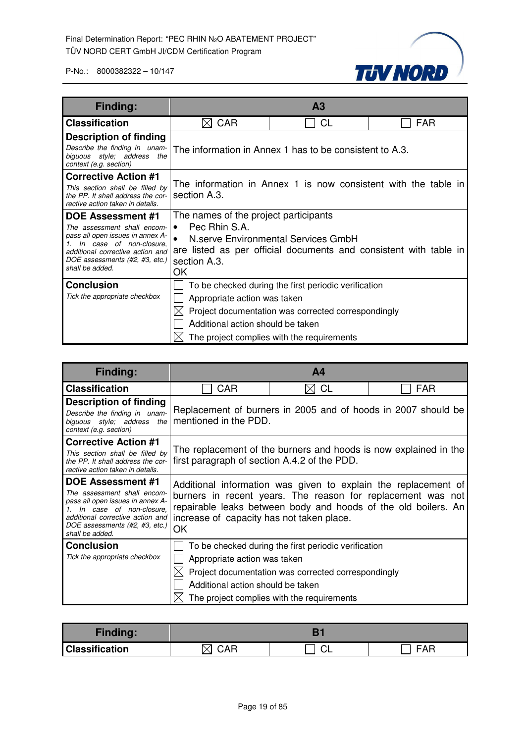

| Finding:                                                                                                                                                                                                              |                                                                                                                                                                                                       | A <sub>3</sub>                                                                                                                                            |                                                                |
|-----------------------------------------------------------------------------------------------------------------------------------------------------------------------------------------------------------------------|-------------------------------------------------------------------------------------------------------------------------------------------------------------------------------------------------------|-----------------------------------------------------------------------------------------------------------------------------------------------------------|----------------------------------------------------------------|
| <b>Classification</b>                                                                                                                                                                                                 | <b>CAR</b>                                                                                                                                                                                            | <b>CL</b>                                                                                                                                                 | FAR                                                            |
| <b>Description of finding</b><br>Describe the finding in unam-<br>biguous style; address the<br>context (e.g. section)                                                                                                |                                                                                                                                                                                                       | The information in Annex 1 has to be consistent to A.3.                                                                                                   |                                                                |
| <b>Corrective Action #1</b><br>This section shall be filled by<br>the PP. It shall address the cor-<br>rective action taken in details.                                                                               | section A.3.                                                                                                                                                                                          |                                                                                                                                                           | The information in Annex 1 is now consistent with the table in |
| <b>DOE Assessment #1</b><br>The assessment shall encom-<br>pass all open issues in annex A-<br>In case of non-closure,<br>1.<br>additional corrective action and<br>DOE assessments (#2, #3, etc.)<br>shall be added. | The names of the project participants<br>Pec Rhin S.A.<br>$\bullet$<br>N.serve Environmental Services GmbH<br>are listed as per official documents and consistent with table in<br>section A.3.<br>ОK |                                                                                                                                                           |                                                                |
| <b>Conclusion</b><br>Tick the appropriate checkbox                                                                                                                                                                    | Appropriate action was taken<br>Additional action should be taken                                                                                                                                     | To be checked during the first periodic verification<br>Project documentation was corrected correspondingly<br>The project complies with the requirements |                                                                |

| <b>Finding:</b>                                                                                                                                                                                                       | A4                                                                                                                                                                                                                                                 |                                                                                                                                                           |                                                                  |
|-----------------------------------------------------------------------------------------------------------------------------------------------------------------------------------------------------------------------|----------------------------------------------------------------------------------------------------------------------------------------------------------------------------------------------------------------------------------------------------|-----------------------------------------------------------------------------------------------------------------------------------------------------------|------------------------------------------------------------------|
| <b>Classification</b>                                                                                                                                                                                                 | CAR                                                                                                                                                                                                                                                | <b>CL</b>                                                                                                                                                 | FAR                                                              |
| <b>Description of finding</b><br>Describe the finding in unam-<br>biguous style; address the<br>context (e.g. section)                                                                                                | Replacement of burners in 2005 and of hoods in 2007 should be<br>mentioned in the PDD.                                                                                                                                                             |                                                                                                                                                           |                                                                  |
| <b>Corrective Action #1</b><br>This section shall be filled by<br>the PP. It shall address the cor-<br>rective action taken in details.                                                                               | first paragraph of section A.4.2 of the PDD.                                                                                                                                                                                                       |                                                                                                                                                           | The replacement of the burners and hoods is now explained in the |
| <b>DOE Assessment #1</b><br>The assessment shall encom-<br>pass all open issues in annex A-<br>In case of non-closure,<br>1.<br>additional corrective action and<br>DOE assessments (#2, #3, etc.)<br>shall be added. | Additional information was given to explain the replacement of<br>burners in recent years. The reason for replacement was not<br>repairable leaks between body and hoods of the old boilers. An<br>increase of capacity has not taken place.<br>OK |                                                                                                                                                           |                                                                  |
| <b>Conclusion</b><br>Tick the appropriate checkbox                                                                                                                                                                    | Appropriate action was taken<br>Additional action should be taken                                                                                                                                                                                  | To be checked during the first periodic verification<br>Project documentation was corrected correspondingly<br>The project complies with the requirements |                                                                  |

| Finding:              |     |  |       |
|-----------------------|-----|--|-------|
| <b>Classification</b> | ◠⋀⊏ |  | - ^ - |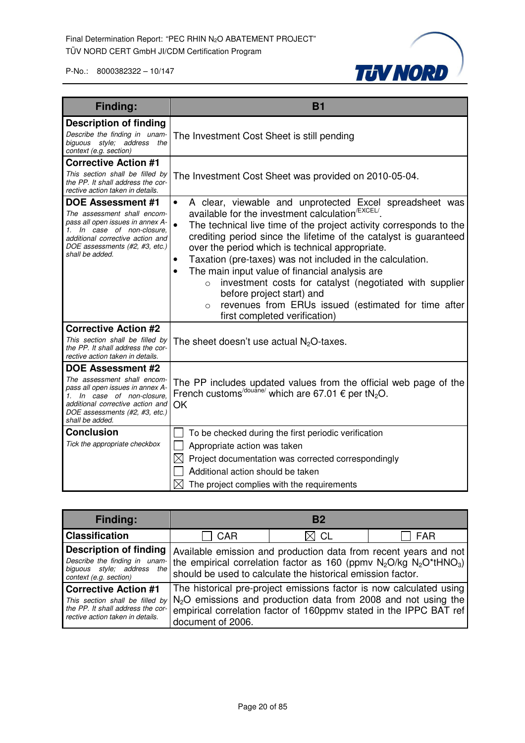

| <b>Finding:</b>                                                                                                                                                                                                    | <b>B1</b>                                                                                                                                                                                                                                                                                                                                                                                                                                                                                                                                                                                                                                                                                 |  |
|--------------------------------------------------------------------------------------------------------------------------------------------------------------------------------------------------------------------|-------------------------------------------------------------------------------------------------------------------------------------------------------------------------------------------------------------------------------------------------------------------------------------------------------------------------------------------------------------------------------------------------------------------------------------------------------------------------------------------------------------------------------------------------------------------------------------------------------------------------------------------------------------------------------------------|--|
| <b>Description of finding</b><br>Describe the finding in unam-<br>biguous style; address the<br>context (e.g. section)                                                                                             | The Investment Cost Sheet is still pending                                                                                                                                                                                                                                                                                                                                                                                                                                                                                                                                                                                                                                                |  |
| <b>Corrective Action #1</b><br>This section shall be filled by<br>the PP. It shall address the cor-<br>rective action taken in details.                                                                            | The Investment Cost Sheet was provided on 2010-05-04.                                                                                                                                                                                                                                                                                                                                                                                                                                                                                                                                                                                                                                     |  |
| <b>DOE Assessment #1</b><br>The assessment shall encom-<br>pass all open issues in annex A-<br>1. In case of non-closure.<br>additional corrective action and<br>DOE assessments (#2, #3, etc.)<br>shall be added. | A clear, viewable and unprotected Excel spreadsheet was<br>$\bullet$<br>available for the investment calculation <sup>/EXCEL/</sup> .<br>The technical live time of the project activity corresponds to the<br>$\bullet$<br>crediting period since the lifetime of the catalyst is guaranteed<br>over the period which is technical appropriate.<br>Taxation (pre-taxes) was not included in the calculation.<br>$\bullet$<br>The main input value of financial analysis are<br>$\bullet$<br>investment costs for catalyst (negotiated with supplier<br>$\circ$<br>before project start) and<br>revenues from ERUs issued (estimated for time after<br>O<br>first completed verification) |  |
| <b>Corrective Action #2</b><br>This section shall be filled by<br>the PP. It shall address the cor-<br>rective action taken in details.                                                                            | The sheet doesn't use actual $N2O$ -taxes.                                                                                                                                                                                                                                                                                                                                                                                                                                                                                                                                                                                                                                                |  |
| <b>DOE Assessment #2</b><br>The assessment shall encom-<br>pass all open issues in annex A-<br>1. In case of non-closure.<br>additional corrective action and<br>DOE assessments (#2, #3, etc.)<br>shall be added. | The PP includes updated values from the official web page of the<br>French customs <sup>/douane/</sup> which are 67.01 $\epsilon$ per tN <sub>2</sub> O.<br>OK                                                                                                                                                                                                                                                                                                                                                                                                                                                                                                                            |  |
| <b>Conclusion</b><br>Tick the appropriate checkbox                                                                                                                                                                 | To be checked during the first periodic verification<br>Appropriate action was taken<br>$\bowtie$<br>Project documentation was corrected correspondingly<br>Additional action should be taken<br>$\bowtie$<br>The project complies with the requirements                                                                                                                                                                                                                                                                                                                                                                                                                                  |  |

| <b>Finding:</b>                                                                                      |                                                                                                                                                                                                                                                                    | B <sub>2</sub> |            |
|------------------------------------------------------------------------------------------------------|--------------------------------------------------------------------------------------------------------------------------------------------------------------------------------------------------------------------------------------------------------------------|----------------|------------|
| <b>Classification</b>                                                                                | <b>CAR</b>                                                                                                                                                                                                                                                         | $\boxtimes$ CL | <b>FAR</b> |
| <b>Description of finding</b><br>biguous style; address the<br>context (e.g. section)                | Available emission and production data from recent years and not<br>Describe the finding in unam- the empirical correlation factor as 160 (ppmv $N_2O/kg$ $N_2O^*tHNO_3$ )<br>should be used to calculate the historical emission factor.                          |                |            |
| <b>Corrective Action #1</b><br>the PP. It shall address the cor-<br>rective action taken in details. | The historical pre-project emissions factor is now calculated using<br>This section shall be filled by $N_2O$ emissions and production data from 2008 and not using the<br>empirical correlation factor of 160ppmv stated in the IPPC BAT ref<br>document of 2006. |                |            |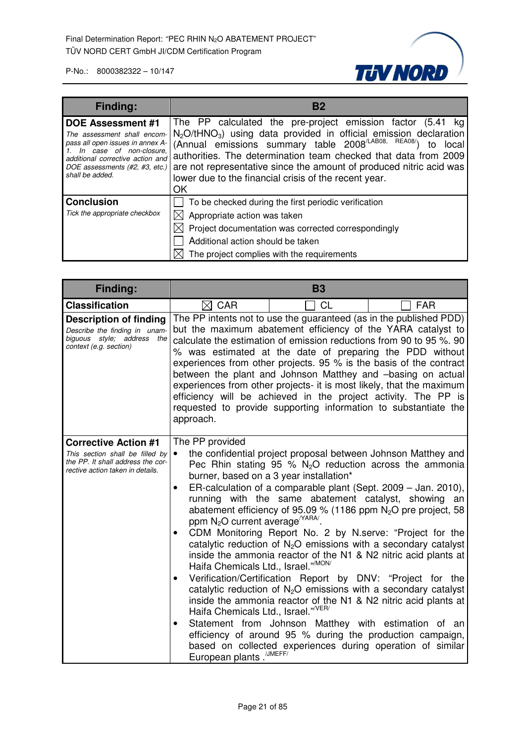

| <b>Finding:</b>                                                                                                                                                                                                 | B <sub>2</sub>                                                                                                                                                                                                                                                                                                                                                                                                                                 |
|-----------------------------------------------------------------------------------------------------------------------------------------------------------------------------------------------------------------|------------------------------------------------------------------------------------------------------------------------------------------------------------------------------------------------------------------------------------------------------------------------------------------------------------------------------------------------------------------------------------------------------------------------------------------------|
| <b>DOE Assessment #1</b><br>The assessment shall encom-<br>pass all open issues in annex A-<br>In case of non-closure.<br>additional corrective action and<br>DOE assessments (#2, #3, etc.)<br>shall be added. | The PP calculated the pre-project emission factor (5.41 kg)<br>N <sub>2</sub> O/tHNO <sub>3</sub> ) using data provided in official emission declaration<br>(Annual emissions summary table 2008 <sup>/LAB08, REA08/</sup> )<br>local<br>authorities. The determination team checked that data from 2009<br>are not representative since the amount of produced nitric acid was<br>lower due to the financial crisis of the recent year.<br>ΟK |
| <b>Conclusion</b><br>Tick the appropriate checkbox                                                                                                                                                              | To be checked during the first periodic verification<br>Appropriate action was taken<br>Project documentation was corrected correspondingly<br>Additional action should be taken<br>The project complies with the requirements                                                                                                                                                                                                                 |

| Finding:                                                                                                                                | <b>B3</b>                                                                                                                                                                                                                                                                                                                                                                                                                                                                                                                                                                                                                            |                                                                                                                                                                                                                                                                                                                                                                                                                                                                                                                                                                                                                                                                                                                                                                                                                                                                                                                                                              |    |
|-----------------------------------------------------------------------------------------------------------------------------------------|--------------------------------------------------------------------------------------------------------------------------------------------------------------------------------------------------------------------------------------------------------------------------------------------------------------------------------------------------------------------------------------------------------------------------------------------------------------------------------------------------------------------------------------------------------------------------------------------------------------------------------------|--------------------------------------------------------------------------------------------------------------------------------------------------------------------------------------------------------------------------------------------------------------------------------------------------------------------------------------------------------------------------------------------------------------------------------------------------------------------------------------------------------------------------------------------------------------------------------------------------------------------------------------------------------------------------------------------------------------------------------------------------------------------------------------------------------------------------------------------------------------------------------------------------------------------------------------------------------------|----|
| <b>Classification</b>                                                                                                                   | $\boxtimes$ CAR<br><b>CL</b><br><b>FAR</b>                                                                                                                                                                                                                                                                                                                                                                                                                                                                                                                                                                                           |                                                                                                                                                                                                                                                                                                                                                                                                                                                                                                                                                                                                                                                                                                                                                                                                                                                                                                                                                              |    |
| <b>Description of finding</b><br>Describe the finding in unam-<br>biguous style; address the<br>context (e.g. section)                  | The PP intents not to use the guaranteed (as in the published PDD)<br>but the maximum abatement efficiency of the YARA catalyst to<br>calculate the estimation of emission reductions from 90 to 95 %. 90<br>% was estimated at the date of preparing the PDD without<br>experiences from other projects. 95 % is the basis of the contract<br>between the plant and Johnson Matthey and -basing on actual<br>experiences from other projects- it is most likely, that the maximum<br>efficiency will be achieved in the project activity. The PP is<br>requested to provide supporting information to substantiate the<br>approach. |                                                                                                                                                                                                                                                                                                                                                                                                                                                                                                                                                                                                                                                                                                                                                                                                                                                                                                                                                              |    |
| <b>Corrective Action #1</b><br>This section shall be filled by<br>the PP. It shall address the cor-<br>rective action taken in details. | The PP provided<br>$\bullet$<br>$\bullet$<br>ppm N <sub>2</sub> O current average <sup>(YARA/</sup><br>Haifa Chemicals Ltd., Israel." <sup>MON/</sup><br>$\bullet$<br>Haifa Chemicals Ltd., Israel." <sup>/VER/</sup><br>$\bullet$<br>European plants. <sup>/JMEFF/</sup>                                                                                                                                                                                                                                                                                                                                                            | the confidential project proposal between Johnson Matthey and<br>Pec Rhin stating 95 % $N_2O$ reduction across the ammonia<br>burner, based on a 3 year installation*<br>ER-calculation of a comparable plant (Sept. 2009 – Jan. 2010),<br>running with the same abatement catalyst, showing<br>abatement efficiency of 95.09 % (1186 ppm $N2O$ pre project, 58<br>CDM Monitoring Report No. 2 by N.serve: "Project for the<br>catalytic reduction of $N_2O$ emissions with a secondary catalyst<br>inside the ammonia reactor of the N1 & N2 nitric acid plants at<br>Verification/Certification Report by DNV: "Project for the<br>catalytic reduction of $N_2O$ emissions with a secondary catalyst<br>inside the ammonia reactor of the N1 & N2 nitric acid plants at<br>Statement from Johnson Matthey with estimation of an<br>efficiency of around 95 % during the production campaign,<br>based on collected experiences during operation of similar | an |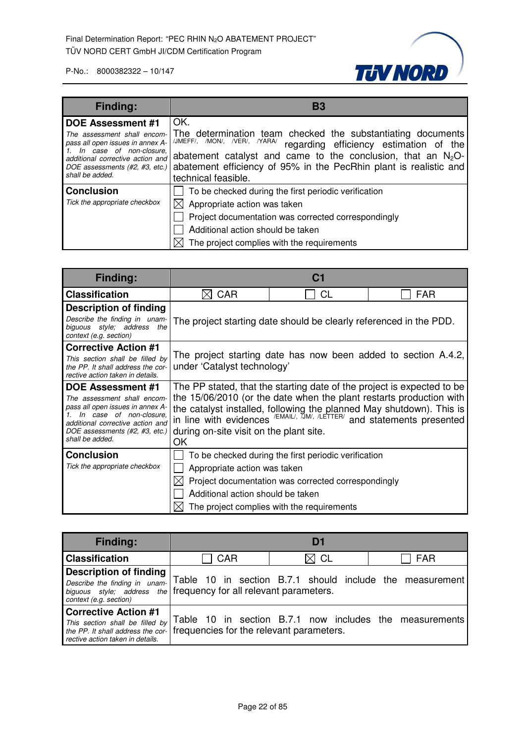

| <b>Finding:</b>                                                                                                                                                                                                 | B3                                                                                                                                                                                                                                                                                                           |
|-----------------------------------------------------------------------------------------------------------------------------------------------------------------------------------------------------------------|--------------------------------------------------------------------------------------------------------------------------------------------------------------------------------------------------------------------------------------------------------------------------------------------------------------|
| <b>DOE Assessment #1</b><br>The assessment shall encom-<br>pass all open issues in annex A-<br>In case of non-closure.<br>additional corrective action and<br>DOE assessments (#2, #3, etc.)<br>shall be added. | OK.<br>The determination team checked the substantiating documents<br>/JMEFF/, /MON/, /VER/, /YARA/<br>regarding efficiency estimation of the<br>abatement catalyst and came to the conclusion, that an $N_2O$ -<br>abatement efficiency of 95% in the PecRhin plant is realistic and<br>technical feasible. |
| <b>Conclusion</b><br>Tick the appropriate checkbox                                                                                                                                                              | To be checked during the first periodic verification<br>Appropriate action was taken<br>Project documentation was corrected correspondingly<br>Additional action should be taken<br>The project complies with the requirements                                                                               |

| Finding:                                                                                                                                                                            |                                                                                                                                                                                                                                                                               |                                                      |     |
|-------------------------------------------------------------------------------------------------------------------------------------------------------------------------------------|-------------------------------------------------------------------------------------------------------------------------------------------------------------------------------------------------------------------------------------------------------------------------------|------------------------------------------------------|-----|
| <b>Classification</b>                                                                                                                                                               | CAR                                                                                                                                                                                                                                                                           | СL                                                   | FAR |
| <b>Description of finding</b>                                                                                                                                                       |                                                                                                                                                                                                                                                                               |                                                      |     |
| Describe the finding in unam-<br>biguous style; address<br>the<br>context (e.g. section)                                                                                            | The project starting date should be clearly referenced in the PDD.                                                                                                                                                                                                            |                                                      |     |
| <b>Corrective Action #1</b>                                                                                                                                                         |                                                                                                                                                                                                                                                                               |                                                      |     |
| This section shall be filled by<br>the PP. It shall address the cor-<br>rective action taken in details.                                                                            | The project starting date has now been added to section A.4.2,<br>under 'Catalyst technology'                                                                                                                                                                                 |                                                      |     |
| DOE Assessment #1                                                                                                                                                                   | The PP stated, that the starting date of the project is expected to be                                                                                                                                                                                                        |                                                      |     |
| The assessment shall encom-<br>pass all open issues in annex A-<br>In case of non-closure.<br>additional corrective action and<br>DOE assessments (#2, #3, etc.)<br>shall be added. | the 15/06/2010 (or the date when the plant restarts production with<br>the catalyst installed, following the planned May shutdown). This is<br>in line with evidences $/EMAIL$ , $JMM$ , $/LETTER$ and statements presented<br>during on-site visit on the plant site.<br>OK. |                                                      |     |
| <b>Conclusion</b>                                                                                                                                                                   |                                                                                                                                                                                                                                                                               | To be checked during the first periodic verification |     |
| Tick the appropriate checkbox                                                                                                                                                       | Appropriate action was taken                                                                                                                                                                                                                                                  |                                                      |     |
|                                                                                                                                                                                     |                                                                                                                                                                                                                                                                               | Project documentation was corrected correspondingly  |     |
|                                                                                                                                                                                     | Additional action should be taken                                                                                                                                                                                                                                             |                                                      |     |
|                                                                                                                                                                                     |                                                                                                                                                                                                                                                                               | The project complies with the requirements           |     |

| <b>Finding:</b>                                                                                                                                               |                                            | Df |                                                          |
|---------------------------------------------------------------------------------------------------------------------------------------------------------------|--------------------------------------------|----|----------------------------------------------------------|
| <b>Classification</b>                                                                                                                                         | <b>CAR</b><br>$\boxtimes$ CL<br><b>FAR</b> |    |                                                          |
| <b>Description of finding</b><br>Describe the finding in unam-<br>biguous style; address the frequency for all relevant parameters.<br>context (e.g. section) |                                            |    | Table 10 in section B.7.1 should include the measurement |
| <b>Corrective Action #1</b><br>This section shall be filled by<br>the PP. It shall address the cor-<br>rective action taken in details.                       | frequencies for the relevant parameters.   |    | Table 10 in section B.7.1 now includes the measurements  |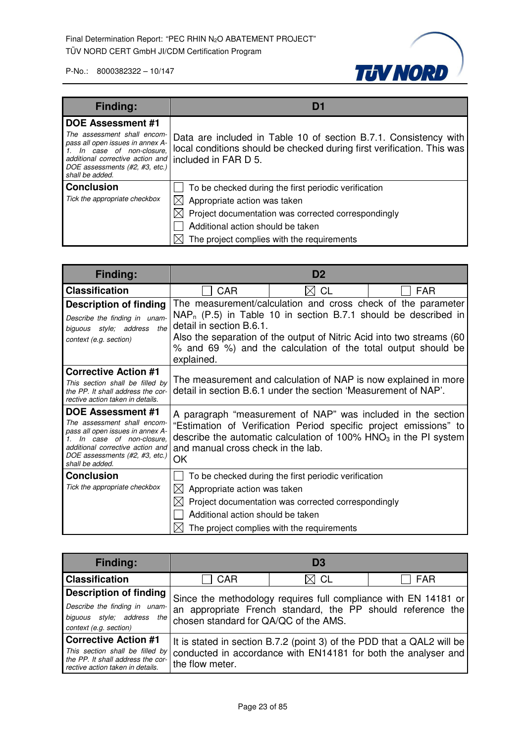

| <b>Finding:</b>                                                                                                                                                                                                    | Di                                                                                                                                                                 |  |
|--------------------------------------------------------------------------------------------------------------------------------------------------------------------------------------------------------------------|--------------------------------------------------------------------------------------------------------------------------------------------------------------------|--|
| <b>DOE Assessment #1</b><br>The assessment shall encom-<br>pass all open issues in annex A-<br>1. In case of non-closure,<br>additional corrective action and<br>DOE assessments (#2, #3, etc.)<br>shall be added. | Data are included in Table 10 of section B.7.1. Consistency with<br>local conditions should be checked during first verification. This was<br>included in FAR D 5. |  |
| <b>Conclusion</b>                                                                                                                                                                                                  | To be checked during the first periodic verification                                                                                                               |  |
| Tick the appropriate checkbox                                                                                                                                                                                      | Appropriate action was taken                                                                                                                                       |  |
|                                                                                                                                                                                                                    | $\boxtimes$ Project documentation was corrected correspondingly                                                                                                    |  |
|                                                                                                                                                                                                                    | Additional action should be taken                                                                                                                                  |  |
|                                                                                                                                                                                                                    | The project complies with the requirements                                                                                                                         |  |

| Finding:                                                                                                                                                                                                 | D2                                                                       |                                                                                                                                                                                                                                                                              |            |
|----------------------------------------------------------------------------------------------------------------------------------------------------------------------------------------------------------|--------------------------------------------------------------------------|------------------------------------------------------------------------------------------------------------------------------------------------------------------------------------------------------------------------------------------------------------------------------|------------|
| <b>Classification</b>                                                                                                                                                                                    | <b>CAR</b>                                                               | CL                                                                                                                                                                                                                                                                           | <b>FAR</b> |
| <b>Description of finding</b><br>Describe the finding in unam-<br>biguous style; address<br>the<br>context (e.g. section)                                                                                | detail in section B.6.1.<br>explained.                                   | The measurement/calculation and cross check of the parameter<br>$NAP_n$ (P.5) in Table 10 in section B.7.1 should be described in<br>Also the separation of the output of Nitric Acid into two streams (60)<br>% and 69 %) and the calculation of the total output should be |            |
| <b>Corrective Action #1</b><br>This section shall be filled by<br>the PP. It shall address the cor-<br>rective action taken in details.                                                                  |                                                                          | The measurement and calculation of NAP is now explained in more<br>detail in section B.6.1 under the section 'Measurement of NAP'.                                                                                                                                           |            |
| DOE Assessment #1<br>The assessment shall encom-<br>pass all open issues in annex A-<br>In case of non-closure.<br>additional corrective action and<br>DOE assessments (#2, #3, etc.)<br>shall be added. | and manual cross check in the lab.<br>OK                                 | A paragraph "measurement of NAP" was included in the section<br>"Estimation of Verification Period specific project emissions" to<br>describe the automatic calculation of 100% $HNO3$ in the PI system                                                                      |            |
| <b>Conclusion</b><br>Tick the appropriate checkbox                                                                                                                                                       | Appropriate action was taken<br>IXI<br>Additional action should be taken | To be checked during the first periodic verification<br>Project documentation was corrected correspondingly<br>The project complies with the requirements                                                                                                                    |            |

| Finding:                                                                                                                                |                                       | D <sub>3</sub>                                                 |                                                                                                                                |
|-----------------------------------------------------------------------------------------------------------------------------------------|---------------------------------------|----------------------------------------------------------------|--------------------------------------------------------------------------------------------------------------------------------|
| <b>Classification</b>                                                                                                                   | $\boxtimes$ CL<br>CAR<br>FAR          |                                                                |                                                                                                                                |
| <b>Description of finding</b><br>Describe the finding in unam-<br>biguous style; address<br>the<br>context (e.g. section)               | chosen standard for QA/QC of the AMS. |                                                                | Since the methodology requires full compliance with EN 14181 or<br>an appropriate French standard, the PP should reference the |
| <b>Corrective Action #1</b><br>This section shall be filled by<br>the PP. It shall address the cor-<br>rective action taken in details. | the flow meter.                       | conducted in accordance with EN14181 for both the analyser and | It is stated in section B.7.2 (point 3) of the PDD that a QAL2 will be                                                         |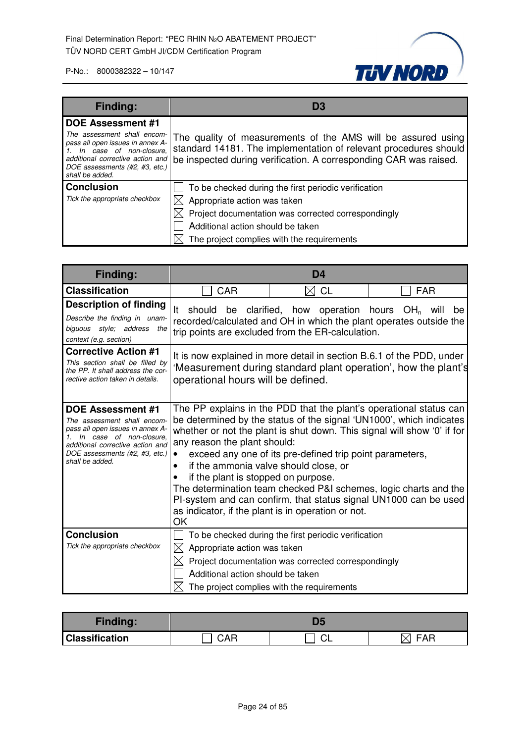

| <b>Finding:</b>                                                                                                                                                                                                    | D3                                                                                                                                                                                                                                                     |  |  |
|--------------------------------------------------------------------------------------------------------------------------------------------------------------------------------------------------------------------|--------------------------------------------------------------------------------------------------------------------------------------------------------------------------------------------------------------------------------------------------------|--|--|
| <b>DOE Assessment #1</b><br>The assessment shall encom-<br>pass all open issues in annex A-<br>1. In case of non-closure,<br>additional corrective action and<br>DOE assessments (#2, #3, etc.)<br>shall be added. | The quality of measurements of the AMS will be assured using<br>standard 14181. The implementation of relevant procedures should<br>be inspected during verification. A corresponding CAR was raised.                                                  |  |  |
| <b>Conclusion</b><br>Tick the appropriate checkbox                                                                                                                                                                 | To be checked during the first periodic verification<br>$\boxtimes$ Appropriate action was taken<br>$\boxtimes$ Project documentation was corrected correspondingly<br>Additional action should be taken<br>The project complies with the requirements |  |  |

| <b>Finding:</b>                                                                                                                                                                                                    | D <sub>4</sub>                                                                                                                                                                                                                                                                                                                                                                                                                                                                                                                                                                                                    |            |  |
|--------------------------------------------------------------------------------------------------------------------------------------------------------------------------------------------------------------------|-------------------------------------------------------------------------------------------------------------------------------------------------------------------------------------------------------------------------------------------------------------------------------------------------------------------------------------------------------------------------------------------------------------------------------------------------------------------------------------------------------------------------------------------------------------------------------------------------------------------|------------|--|
| <b>Classification</b>                                                                                                                                                                                              | <b>CAR</b><br>M<br>CL                                                                                                                                                                                                                                                                                                                                                                                                                                                                                                                                                                                             | <b>FAR</b> |  |
| <b>Description of finding</b><br>Describe the finding in unam-<br>biguous style; address the<br>context (e.g. section)                                                                                             | should<br>clarified, how operation hours $OH_n$ will<br>lt.<br>be<br>be<br>recorded/calculated and OH in which the plant operates outside the<br>trip points are excluded from the ER-calculation.                                                                                                                                                                                                                                                                                                                                                                                                                |            |  |
| <b>Corrective Action #1</b><br>This section shall be filled by<br>the PP. It shall address the cor-<br>rective action taken in details.                                                                            | It is now explained in more detail in section B.6.1 of the PDD, under<br>'Measurement during standard plant operation', how the plant's<br>operational hours will be defined.                                                                                                                                                                                                                                                                                                                                                                                                                                     |            |  |
| <b>DOE Assessment #1</b><br>The assessment shall encom-<br>pass all open issues in annex A-<br>1. In case of non-closure.<br>additional corrective action and<br>DOE assessments (#2, #3, etc.)<br>shall be added. | The PP explains in the PDD that the plant's operational status can<br>be determined by the status of the signal 'UN1000', which indicates<br>whether or not the plant is shut down. This signal will show '0' if for<br>any reason the plant should:<br>exceed any one of its pre-defined trip point parameters,<br>if the ammonia valve should close, or<br>$\bullet$<br>if the plant is stopped on purpose.<br>The determination team checked P&I schemes, logic charts and the<br>PI-system and can confirm, that status signal UN1000 can be used<br>as indicator, if the plant is in operation or not.<br>OK |            |  |
| <b>Conclusion</b><br>Tick the appropriate checkbox                                                                                                                                                                 | To be checked during the first periodic verification<br>Appropriate action was taken<br>IХI<br>Project documentation was corrected correspondingly<br>Additional action should be taken<br>The project complies with the requirements                                                                                                                                                                                                                                                                                                                                                                             |            |  |

| <b>Finding:</b>       |     |    |     |
|-----------------------|-----|----|-----|
| <b>Classification</b> | CAR | ◡∟ | FAR |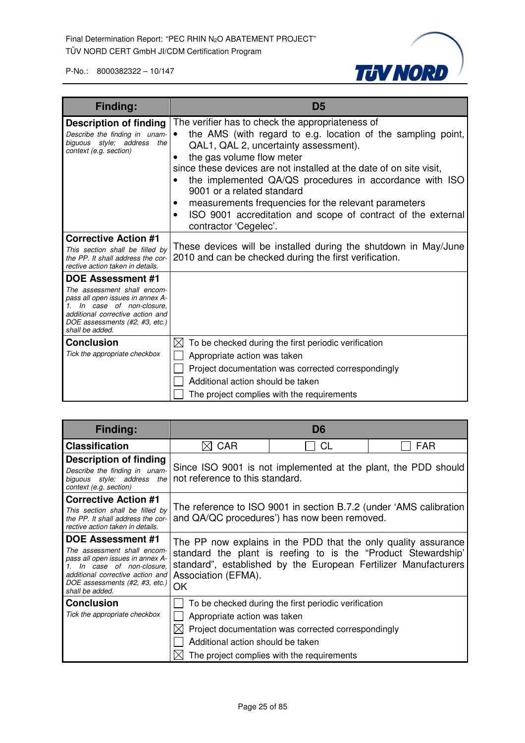

| <b>Finding:</b>                                                                                                                                                                                                    | D <sub>5</sub>                                                                                                                                                                                                                                                                                                                                                                                                                                                                                               |  |
|--------------------------------------------------------------------------------------------------------------------------------------------------------------------------------------------------------------------|--------------------------------------------------------------------------------------------------------------------------------------------------------------------------------------------------------------------------------------------------------------------------------------------------------------------------------------------------------------------------------------------------------------------------------------------------------------------------------------------------------------|--|
| <b>Description of finding</b><br>Describe the finding in unam-<br>biguous style; address the<br>context (e.g. section)                                                                                             | The verifier has to check the appropriateness of<br>the AMS (with regard to e.g. location of the sampling point,<br>QAL1, QAL 2, uncertainty assessment).<br>the gas volume flow meter<br>٠<br>since these devices are not installed at the date of on site visit,<br>the implemented QA/QS procedures in accordance with ISO<br>9001 or a related standard<br>measurements frequencies for the relevant parameters<br>ISO 9001 accreditation and scope of contract of the external<br>contractor 'Cegelec'. |  |
| <b>Corrective Action #1</b><br>This section shall be filled by<br>the PP. It shall address the cor-<br>rective action taken in details.                                                                            | These devices will be installed during the shutdown in May/June<br>2010 and can be checked during the first verification.                                                                                                                                                                                                                                                                                                                                                                                    |  |
| <b>DOE Assessment #1</b><br>The assessment shall encom-<br>pass all open issues in annex A-<br>1. In case of non-closure,<br>additional corrective action and<br>DOE assessments (#2, #3, etc.)<br>shall be added. |                                                                                                                                                                                                                                                                                                                                                                                                                                                                                                              |  |
| <b>Conclusion</b><br>Tick the appropriate checkbox                                                                                                                                                                 | To be checked during the first periodic verification<br>IХI<br>Appropriate action was taken<br>Project documentation was corrected correspondingly<br>Additional action should be taken<br>The project complies with the requirements                                                                                                                                                                                                                                                                        |  |

| Finding:                                                                                                                                                                                                        | D6                                                                                                                                                                                                                              |                                                                                                                                                           |            |
|-----------------------------------------------------------------------------------------------------------------------------------------------------------------------------------------------------------------|---------------------------------------------------------------------------------------------------------------------------------------------------------------------------------------------------------------------------------|-----------------------------------------------------------------------------------------------------------------------------------------------------------|------------|
| <b>Classification</b>                                                                                                                                                                                           | <b>CAR</b>                                                                                                                                                                                                                      | CL                                                                                                                                                        | <b>FAR</b> |
| <b>Description of finding</b><br>Describe the finding in unam-<br>biguous style; address the<br>context (e.g. section)                                                                                          | Since ISO 9001 is not implemented at the plant, the PDD should<br>not reference to this standard.                                                                                                                               |                                                                                                                                                           |            |
| <b>Corrective Action #1</b><br>This section shall be filled by<br>the PP. It shall address the cor-<br>rective action taken in details.                                                                         |                                                                                                                                                                                                                                 | The reference to ISO 9001 in section B.7.2 (under 'AMS calibration<br>and QA/QC procedures') has now been removed.                                        |            |
| <b>DOE Assessment #1</b><br>The assessment shall encom-<br>pass all open issues in annex A-<br>In case of non-closure.<br>additional corrective action and<br>DOE assessments (#2, #3, etc.)<br>shall be added. | The PP now explains in the PDD that the only quality assurance<br>standard the plant is reefing to is the "Product Stewardship"<br>standard", established by the European Fertilizer Manufacturers<br>Association (EFMA).<br>OK |                                                                                                                                                           |            |
| <b>Conclusion</b><br>Tick the appropriate checkbox                                                                                                                                                              | Appropriate action was taken<br>Additional action should be taken                                                                                                                                                               | To be checked during the first periodic verification<br>Project documentation was corrected correspondingly<br>The project complies with the requirements |            |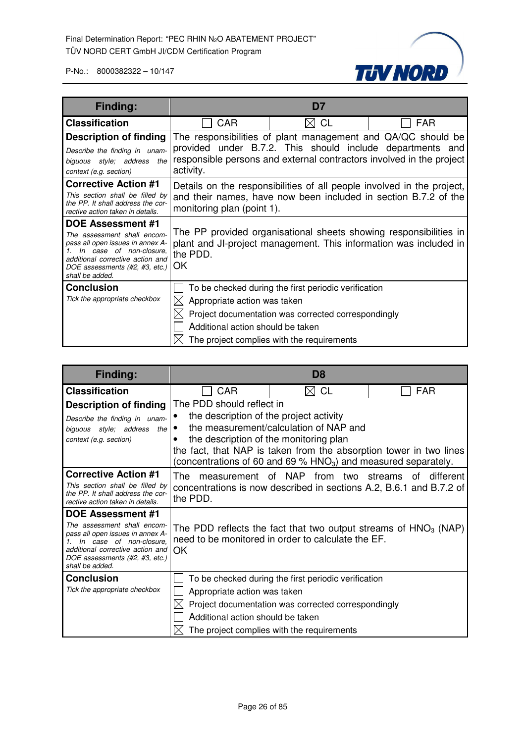

| <b>Finding:</b>                                                                                                                                                                                                 | D7                                                                                                                                                                                                             |                                                                                                                                                           |            |
|-----------------------------------------------------------------------------------------------------------------------------------------------------------------------------------------------------------------|----------------------------------------------------------------------------------------------------------------------------------------------------------------------------------------------------------------|-----------------------------------------------------------------------------------------------------------------------------------------------------------|------------|
| <b>Classification</b>                                                                                                                                                                                           | <b>CAR</b>                                                                                                                                                                                                     | СL                                                                                                                                                        | <b>FAR</b> |
| <b>Description of finding</b><br>Describe the finding in unam-<br>biguous style; address<br>the<br>context (e.g. section)                                                                                       | The responsibilities of plant management and QA/QC should be<br>provided under B.7.2. This should include departments and<br>responsible persons and external contractors involved in the project<br>activity. |                                                                                                                                                           |            |
| <b>Corrective Action #1</b><br>This section shall be filled by<br>the PP. It shall address the cor-<br>rective action taken in details.                                                                         | Details on the responsibilities of all people involved in the project,<br>and their names, have now been included in section B.7.2 of the<br>monitoring plan (point 1).                                        |                                                                                                                                                           |            |
| <b>DOE Assessment #1</b><br>The assessment shall encom-<br>pass all open issues in annex A-<br>In case of non-closure.<br>additional corrective action and<br>DOE assessments (#2, #3, etc.)<br>shall be added. | The PP provided organisational sheets showing responsibilities in<br>plant and JI-project management. This information was included in<br>the PDD.<br>OK                                                       |                                                                                                                                                           |            |
| <b>Conclusion</b><br>Tick the appropriate checkbox                                                                                                                                                              | Appropriate action was taken<br>IХI<br>Additional action should be taken                                                                                                                                       | To be checked during the first periodic verification<br>Project documentation was corrected correspondingly<br>The project complies with the requirements |            |

| <b>Finding:</b>                                                                                                                                                                     | D8                                                  |                                                                                                                                        |                 |
|-------------------------------------------------------------------------------------------------------------------------------------------------------------------------------------|-----------------------------------------------------|----------------------------------------------------------------------------------------------------------------------------------------|-----------------|
| <b>Classification</b>                                                                                                                                                               | CAR                                                 | <b>CL</b>                                                                                                                              | <b>FAR</b>      |
| <b>Description of finding</b>                                                                                                                                                       | The PDD should reflect in                           |                                                                                                                                        |                 |
| Describe the finding in unam-                                                                                                                                                       | the description of the project activity             |                                                                                                                                        |                 |
| biguous style; address the                                                                                                                                                          |                                                     | the measurement/calculation of NAP and                                                                                                 |                 |
| context (e.g. section)                                                                                                                                                              | the description of the monitoring plan              |                                                                                                                                        |                 |
|                                                                                                                                                                                     |                                                     | the fact, that NAP is taken from the absorption tower in two lines<br>(concentrations of 60 and 69 % $HNO3$ ) and measured separately. |                 |
| <b>Corrective Action #1</b>                                                                                                                                                         | measurement of NAP<br>The.                          | from two streams                                                                                                                       | different<br>ot |
| This section shall be filled by<br>the PP. It shall address the cor-<br>rective action taken in details.                                                                            | the PDD.                                            | concentrations is now described in sections A.2, B.6.1 and B.7.2 of                                                                    |                 |
| DOE Assessment #1                                                                                                                                                                   |                                                     |                                                                                                                                        |                 |
| The assessment shall encom-<br>pass all open issues in annex A-<br>In case of non-closure.<br>additional corrective action and<br>DOE assessments (#2, #3, etc.)<br>shall be added. | OK                                                  | The PDD reflects the fact that two output streams of $HNO3$ (NAP)<br>need to be monitored in order to calculate the EF.                |                 |
| <b>Conclusion</b>                                                                                                                                                                   |                                                     | To be checked during the first periodic verification                                                                                   |                 |
| Tick the appropriate checkbox                                                                                                                                                       | Appropriate action was taken                        |                                                                                                                                        |                 |
|                                                                                                                                                                                     | Project documentation was corrected correspondingly |                                                                                                                                        |                 |
|                                                                                                                                                                                     | Additional action should be taken                   |                                                                                                                                        |                 |
|                                                                                                                                                                                     |                                                     | The project complies with the requirements                                                                                             |                 |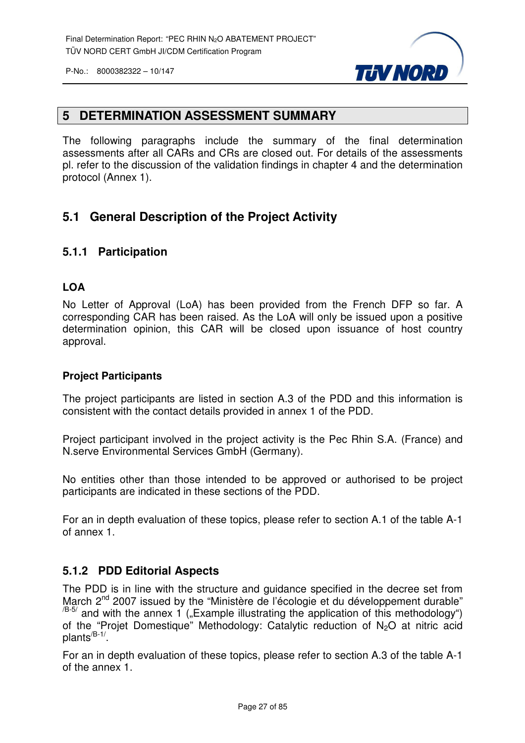

#### **5 DETERMINATION ASSESSMENT SUMMARY**

The following paragraphs include the summary of the final determination assessments after all CARs and CRs are closed out. For details of the assessments pl. refer to the discussion of the validation findings in chapter 4 and the determination protocol (Annex 1).

#### **5.1 General Description of the Project Activity**

#### **5.1.1 Participation**

#### **LOA**

No Letter of Approval (LoA) has been provided from the French DFP so far. A corresponding CAR has been raised. As the LoA will only be issued upon a positive determination opinion, this CAR will be closed upon issuance of host country approval.

#### **Project Participants**

The project participants are listed in section A.3 of the PDD and this information is consistent with the contact details provided in annex 1 of the PDD.

Project participant involved in the project activity is the Pec Rhin S.A. (France) and N.serve Environmental Services GmbH (Germany).

No entities other than those intended to be approved or authorised to be project participants are indicated in these sections of the PDD.

For an in depth evaluation of these topics, please refer to section A.1 of the table A-1 of annex 1.

#### **5.1.2 PDD Editorial Aspects**

The PDD is in line with the structure and guidance specified in the decree set from March 2<sup>nd</sup> 2007 issued by the "Ministère de l'écologie et du développement durable"  $/$ B-5/ and with the annex 1 ("Example illustrating the application of this methodology") of the "Projet Domestique" Methodology: Catalytic reduction of N<sub>2</sub>O at nitric acid plants<sup>/B-1/</sup>.

For an in depth evaluation of these topics, please refer to section A.3 of the table A-1 of the annex 1.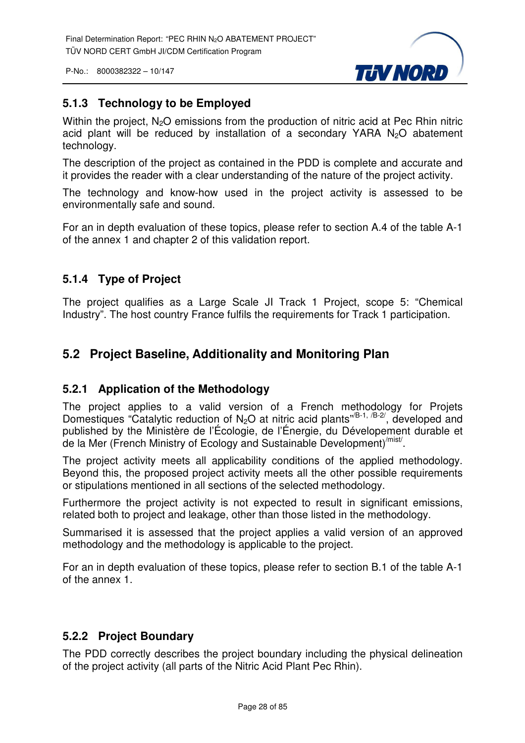

#### **5.1.3 Technology to be Employed**

Within the project,  $N_2O$  emissions from the production of nitric acid at Pec Rhin nitric acid plant will be reduced by installation of a secondary YARA N<sub>2</sub>O abatement technology.

The description of the project as contained in the PDD is complete and accurate and it provides the reader with a clear understanding of the nature of the project activity.

The technology and know-how used in the project activity is assessed to be environmentally safe and sound.

For an in depth evaluation of these topics, please refer to section A.4 of the table A-1 of the annex 1 and chapter 2 of this validation report.

#### **5.1.4 Type of Project**

The project qualifies as a Large Scale JI Track 1 Project, scope 5: "Chemical Industry". The host country France fulfils the requirements for Track 1 participation.

#### **5.2 Project Baseline, Additionality and Monitoring Plan**

#### **5.2.1 Application of the Methodology**

The project applies to a valid version of a French methodology for Projets Domestiques "Catalytic reduction of N<sub>2</sub>O at nitric acid plants"<sup>(B-1, /B-2/</sup>, developed and published by the Ministère de l'Écologie, de l'Énergie, du Dévelopement durable et de la Mer (French Ministry of Ecology and Sustainable Development)<sup>/mist/</sup>.

The project activity meets all applicability conditions of the applied methodology. Beyond this, the proposed project activity meets all the other possible requirements or stipulations mentioned in all sections of the selected methodology.

Furthermore the project activity is not expected to result in significant emissions, related both to project and leakage, other than those listed in the methodology.

Summarised it is assessed that the project applies a valid version of an approved methodology and the methodology is applicable to the project.

For an in depth evaluation of these topics, please refer to section B.1 of the table A-1 of the annex 1.

#### **5.2.2 Project Boundary**

The PDD correctly describes the project boundary including the physical delineation of the project activity (all parts of the Nitric Acid Plant Pec Rhin).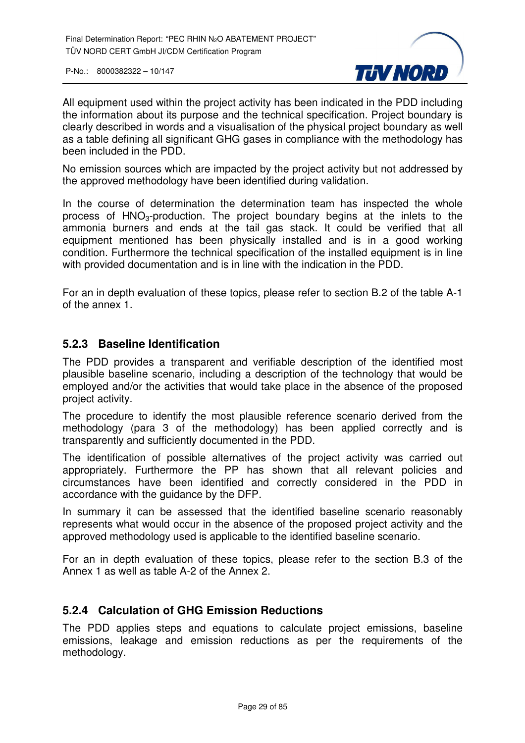

All equipment used within the project activity has been indicated in the PDD including the information about its purpose and the technical specification. Project boundary is clearly described in words and a visualisation of the physical project boundary as well as a table defining all significant GHG gases in compliance with the methodology has been included in the PDD.

No emission sources which are impacted by the project activity but not addressed by the approved methodology have been identified during validation.

In the course of determination the determination team has inspected the whole process of  $HNO<sub>3</sub>-production$ . The project boundary begins at the inlets to the ammonia burners and ends at the tail gas stack. It could be verified that all equipment mentioned has been physically installed and is in a good working condition. Furthermore the technical specification of the installed equipment is in line with provided documentation and is in line with the indication in the PDD.

For an in depth evaluation of these topics, please refer to section B.2 of the table A-1 of the annex 1.

#### **5.2.3 Baseline Identification**

The PDD provides a transparent and verifiable description of the identified most plausible baseline scenario, including a description of the technology that would be employed and/or the activities that would take place in the absence of the proposed project activity.

The procedure to identify the most plausible reference scenario derived from the methodology (para 3 of the methodology) has been applied correctly and is transparently and sufficiently documented in the PDD.

The identification of possible alternatives of the project activity was carried out appropriately. Furthermore the PP has shown that all relevant policies and circumstances have been identified and correctly considered in the PDD in accordance with the guidance by the DFP.

In summary it can be assessed that the identified baseline scenario reasonably represents what would occur in the absence of the proposed project activity and the approved methodology used is applicable to the identified baseline scenario.

For an in depth evaluation of these topics, please refer to the section B.3 of the Annex 1 as well as table A-2 of the Annex 2.

#### **5.2.4 Calculation of GHG Emission Reductions**

The PDD applies steps and equations to calculate project emissions, baseline emissions, leakage and emission reductions as per the requirements of the methodology.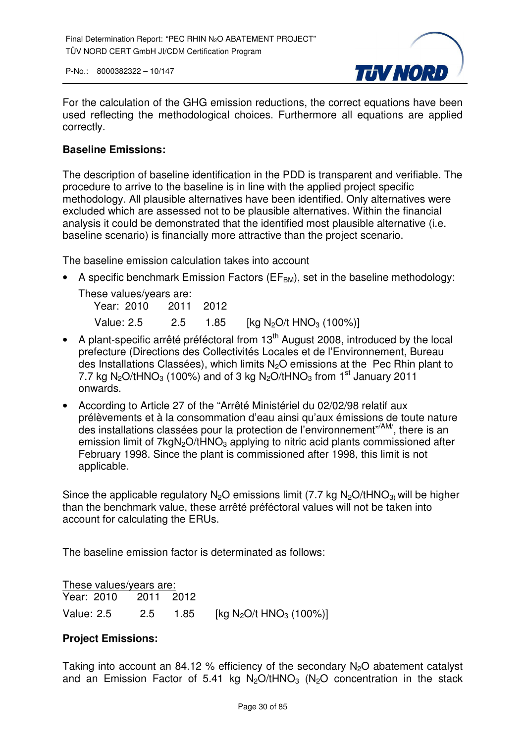

For the calculation of the GHG emission reductions, the correct equations have been used reflecting the methodological choices. Furthermore all equations are applied correctly.

#### **Baseline Emissions:**

The description of baseline identification in the PDD is transparent and verifiable. The procedure to arrive to the baseline is in line with the applied project specific methodology. All plausible alternatives have been identified. Only alternatives were excluded which are assessed not to be plausible alternatives. Within the financial analysis it could be demonstrated that the identified most plausible alternative (i.e. baseline scenario) is financially more attractive than the project scenario.

The baseline emission calculation takes into account

• A specific benchmark Emission Factors ( $EF<sub>BM</sub>$ ), set in the baseline methodology: These values/years are:

 Year: 2010 2011 2012 Value: 2.5 2.5 1.85 [kg N<sub>2</sub>O/t HNO<sub>3</sub> (100%)]

- $\bullet$  A plant-specific arrêté préféctoral from 13<sup>th</sup> August 2008, introduced by the local prefecture (Directions des Collectivités Locales et de l'Environnement, Bureau des Installations Classées), which limits N<sub>2</sub>O emissions at the Pec Rhin plant to 7.7 kg N<sub>2</sub>O/tHNO<sub>3</sub> (100%) and of 3 kg N<sub>2</sub>O/tHNO<sub>3</sub> from 1<sup>st</sup> January 2011 onwards.
- According to Article 27 of the "Arrêté Ministériel du 02/02/98 relatif aux prélèvements et à la consommation d'eau ainsi qu'aux émissions de toute nature des installations classées pour la protection de l'environnement"/AM/, there is an emission limit of  $7kqN<sub>2</sub>O/tHNO<sub>3</sub>$  applying to nitric acid plants commissioned after February 1998. Since the plant is commissioned after 1998, this limit is not applicable.

Since the applicable regulatory  $N_2O$  emissions limit (7.7 kg  $N_2O/tHNO_3$ ) will be higher than the benchmark value, these arrêté préféctoral values will not be taken into account for calculating the ERUs.

The baseline emission factor is determinated as follows:

| These values/years are: |  |  |                                                          |
|-------------------------|--|--|----------------------------------------------------------|
| Year: 2010 2011 2012    |  |  |                                                          |
| Value: 2.5              |  |  | 2.5 1.85 [kg N <sub>2</sub> O/t HNO <sub>3</sub> (100%)] |

#### **Project Emissions:**

Taking into account an 84.12 % efficiency of the secondary  $N_2O$  abatement catalyst and an Emission Factor of 5.41 kg  $N_2O/tHNO_3$  ( $N_2O$  concentration in the stack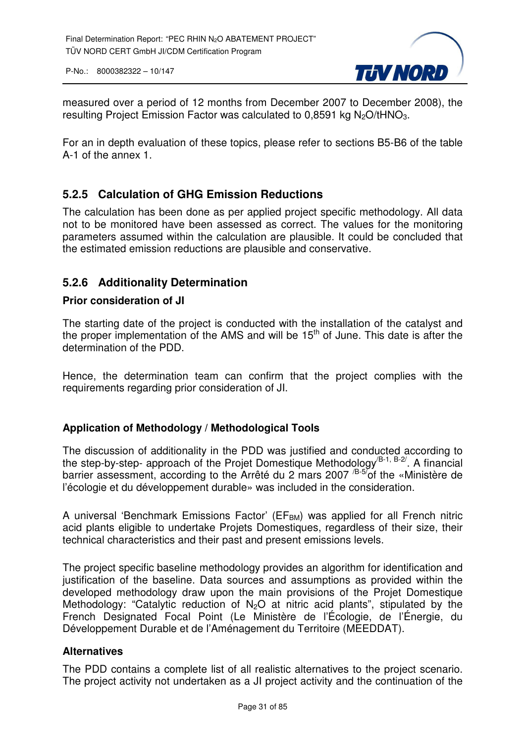

measured over a period of 12 months from December 2007 to December 2008), the resulting Project Emission Factor was calculated to 0,8591 kg  $N_2O/tHNO_3$ .

For an in depth evaluation of these topics, please refer to sections B5-B6 of the table A-1 of the annex 1.

#### **5.2.5 Calculation of GHG Emission Reductions**

The calculation has been done as per applied project specific methodology. All data not to be monitored have been assessed as correct. The values for the monitoring parameters assumed within the calculation are plausible. It could be concluded that the estimated emission reductions are plausible and conservative.

#### **5.2.6 Additionality Determination**

#### **Prior consideration of JI**

The starting date of the project is conducted with the installation of the catalyst and the proper implementation of the AMS and will be  $15<sup>th</sup>$  of June. This date is after the determination of the PDD.

Hence, the determination team can confirm that the project complies with the requirements regarding prior consideration of JI.

#### **Application of Methodology / Methodological Tools**

The discussion of additionality in the PDD was justified and conducted according to the step-by-step- approach of the Projet Domestique Methodology<sup> $(B-1, B-2)$ </sup>. A financial barrier assessment, according to the Arrêté du 2 mars 2007<sup>B-57</sup>of the «Ministère de l'écologie et du développement durable» was included in the consideration.

A universal 'Benchmark Emissions Factor' ( $EF<sub>BM</sub>$ ) was applied for all French nitric acid plants eligible to undertake Projets Domestiques, regardless of their size, their technical characteristics and their past and present emissions levels.

The project specific baseline methodology provides an algorithm for identification and justification of the baseline. Data sources and assumptions as provided within the developed methodology draw upon the main provisions of the Projet Domestique Methodology: "Catalytic reduction of  $N_2O$  at nitric acid plants", stipulated by the French Designated Focal Point (Le Ministère de l'Écologie, de l'Énergie, du Développement Durable et de l'Aménagement du Territoire (MEEDDAT).

#### **Alternatives**

The PDD contains a complete list of all realistic alternatives to the project scenario. The project activity not undertaken as a JI project activity and the continuation of the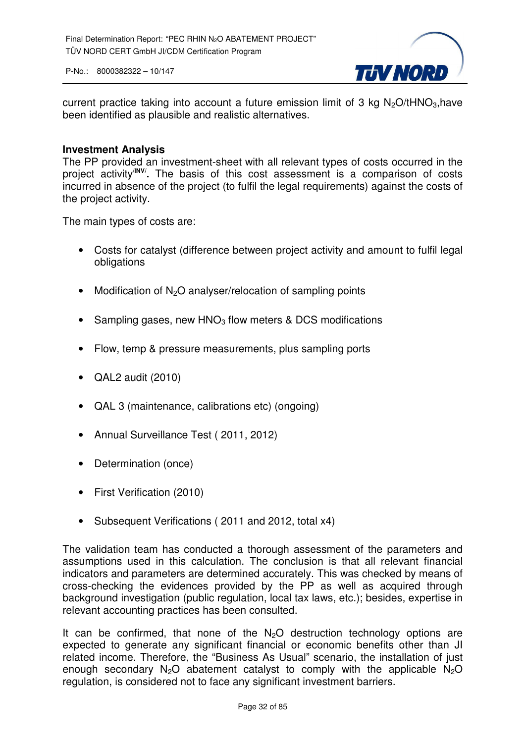

current practice taking into account a future emission limit of 3 kg  $N<sub>2</sub>O/tHNO<sub>3</sub>$ , have been identified as plausible and realistic alternatives.

#### **Investment Analysis**

The PP provided an investment-sheet with all relevant types of costs occurred in the project activity**/INV/ .** The basis of this cost assessment is a comparison of costs incurred in absence of the project (to fulfil the legal requirements) against the costs of the project activity.

The main types of costs are:

- Costs for catalyst (difference between project activity and amount to fulfil legal obligations
- Modification of  $N_2O$  analyser/relocation of sampling points
- Sampling gases, new  $HNO<sub>3</sub>$  flow meters & DCS modifications
- Flow, temp & pressure measurements, plus sampling ports
- QAL2 audit (2010)
- QAL 3 (maintenance, calibrations etc) (ongoing)
- Annual Surveillance Test ( 2011, 2012)
- Determination (once)
- First Verification (2010)
- Subsequent Verifications ( 2011 and 2012, total x4)

The validation team has conducted a thorough assessment of the parameters and assumptions used in this calculation. The conclusion is that all relevant financial indicators and parameters are determined accurately. This was checked by means of cross-checking the evidences provided by the PP as well as acquired through background investigation (public regulation, local tax laws, etc.); besides, expertise in relevant accounting practices has been consulted.

It can be confirmed, that none of the  $N<sub>2</sub>O$  destruction technology options are expected to generate any significant financial or economic benefits other than JI related income. Therefore, the "Business As Usual" scenario, the installation of just enough secondary  $N_2O$  abatement catalyst to comply with the applicable  $N_2O$ regulation, is considered not to face any significant investment barriers.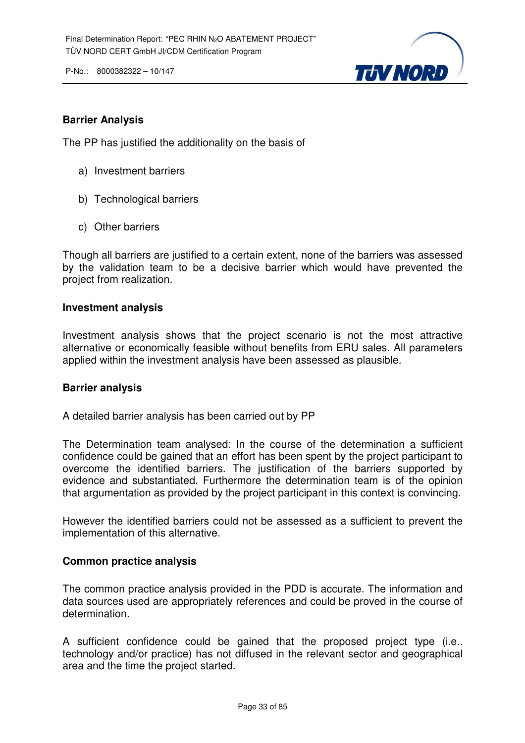

#### **Barrier Analysis**

The PP has justified the additionality on the basis of

- a) Investment barriers
- b) Technological barriers
- c) Other barriers

Though all barriers are justified to a certain extent, none of the barriers was assessed by the validation team to be a decisive barrier which would have prevented the project from realization.

#### **Investment analysis**

Investment analysis shows that the project scenario is not the most attractive alternative or economically feasible without benefits from ERU sales. All parameters applied within the investment analysis have been assessed as plausible.

#### **Barrier analysis**

A detailed barrier analysis has been carried out by PP

The Determination team analysed: In the course of the determination a sufficient confidence could be gained that an effort has been spent by the project participant to overcome the identified barriers. The justification of the barriers supported by evidence and substantiated. Furthermore the determination team is of the opinion that argumentation as provided by the project participant in this context is convincing.

However the identified barriers could not be assessed as a sufficient to prevent the implementation of this alternative.

#### **Common practice analysis**

The common practice analysis provided in the PDD is accurate. The information and data sources used are appropriately references and could be proved in the course of determination.

A sufficient confidence could be gained that the proposed project type (i.e.. technology and/or practice) has not diffused in the relevant sector and geographical area and the time the project started.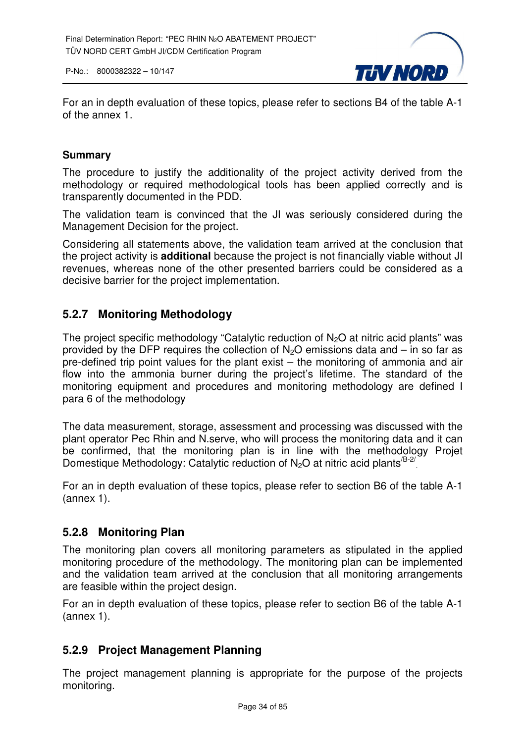

For an in depth evaluation of these topics, please refer to sections B4 of the table A-1 of the annex 1.

#### **Summary**

The procedure to justify the additionality of the project activity derived from the methodology or required methodological tools has been applied correctly and is transparently documented in the PDD.

The validation team is convinced that the JI was seriously considered during the Management Decision for the project.

Considering all statements above, the validation team arrived at the conclusion that the project activity is **additional** because the project is not financially viable without JI revenues, whereas none of the other presented barriers could be considered as a decisive barrier for the project implementation.

#### **5.2.7 Monitoring Methodology**

The project specific methodology "Catalytic reduction of  $N_2O$  at nitric acid plants" was provided by the DFP requires the collection of  $N<sub>2</sub>O$  emissions data and – in so far as pre-defined trip point values for the plant exist – the monitoring of ammonia and air flow into the ammonia burner during the project's lifetime. The standard of the monitoring equipment and procedures and monitoring methodology are defined I para 6 of the methodology

The data measurement, storage, assessment and processing was discussed with the plant operator Pec Rhin and N.serve, who will process the monitoring data and it can be confirmed, that the monitoring plan is in line with the methodology Projet Domestique Methodology: Catalytic reduction of  $N_2O$  at nitric acid plants<sup>/B-2/</sup>

For an in depth evaluation of these topics, please refer to section B6 of the table A-1 (annex 1).

#### **5.2.8 Monitoring Plan**

The monitoring plan covers all monitoring parameters as stipulated in the applied monitoring procedure of the methodology. The monitoring plan can be implemented and the validation team arrived at the conclusion that all monitoring arrangements are feasible within the project design.

For an in depth evaluation of these topics, please refer to section B6 of the table A-1 (annex 1).

#### **5.2.9 Project Management Planning**

The project management planning is appropriate for the purpose of the projects monitoring.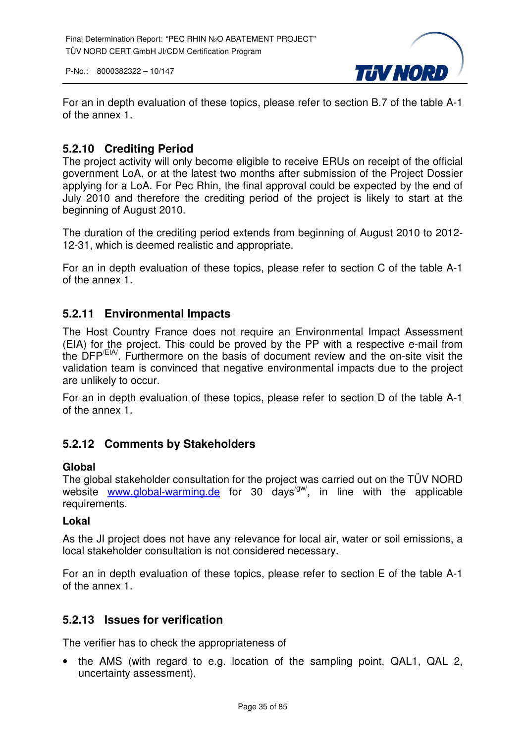

For an in depth evaluation of these topics, please refer to section B.7 of the table A-1 of the annex 1.

#### **5.2.10 Crediting Period**

The project activity will only become eligible to receive ERUs on receipt of the official government LoA, or at the latest two months after submission of the Project Dossier applying for a LoA. For Pec Rhin, the final approval could be expected by the end of July 2010 and therefore the crediting period of the project is likely to start at the beginning of August 2010.

The duration of the crediting period extends from beginning of August 2010 to 2012- 12-31, which is deemed realistic and appropriate.

For an in depth evaluation of these topics, please refer to section C of the table A-1 of the annex 1.

#### **5.2.11 Environmental Impacts**

The Host Country France does not require an Environmental Impact Assessment (EIA) for the project. This could be proved by the PP with a respective e-mail from the DFP/EIA/. Furthermore on the basis of document review and the on-site visit the validation team is convinced that negative environmental impacts due to the project are unlikely to occur.

For an in depth evaluation of these topics, please refer to section D of the table A-1 of the annex 1.

#### **5.2.12 Comments by Stakeholders**

#### **Global**

The global stakeholder consultation for the project was carried out on the TÜV NORD website www.global-warming.de for 30 days<sup>/gw/</sup>, in line with the applicable requirements.

#### **Lokal**

As the JI project does not have any relevance for local air, water or soil emissions, a local stakeholder consultation is not considered necessary.

For an in depth evaluation of these topics, please refer to section E of the table A-1 of the annex 1.

#### **5.2.13 Issues for verification**

The verifier has to check the appropriateness of

• the AMS (with regard to e.g. location of the sampling point, QAL1, QAL 2, uncertainty assessment).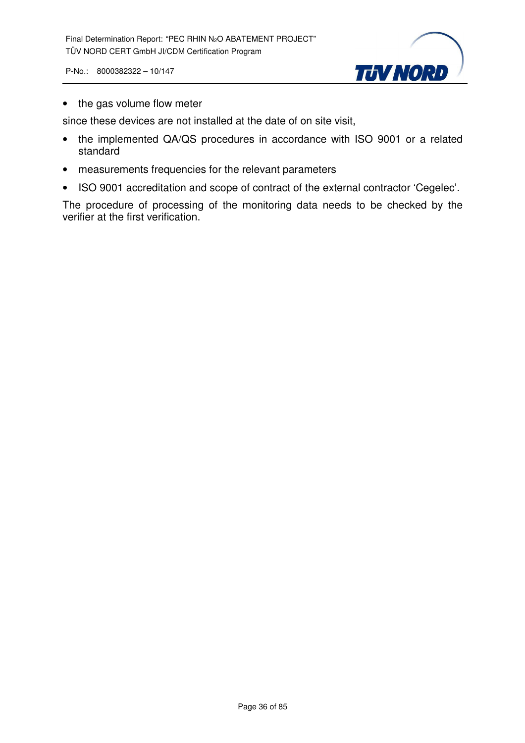

• the gas volume flow meter

since these devices are not installed at the date of on site visit,

- the implemented QA/QS procedures in accordance with ISO 9001 or a related standard
- measurements frequencies for the relevant parameters
- ISO 9001 accreditation and scope of contract of the external contractor 'Cegelec'.

The procedure of processing of the monitoring data needs to be checked by the verifier at the first verification.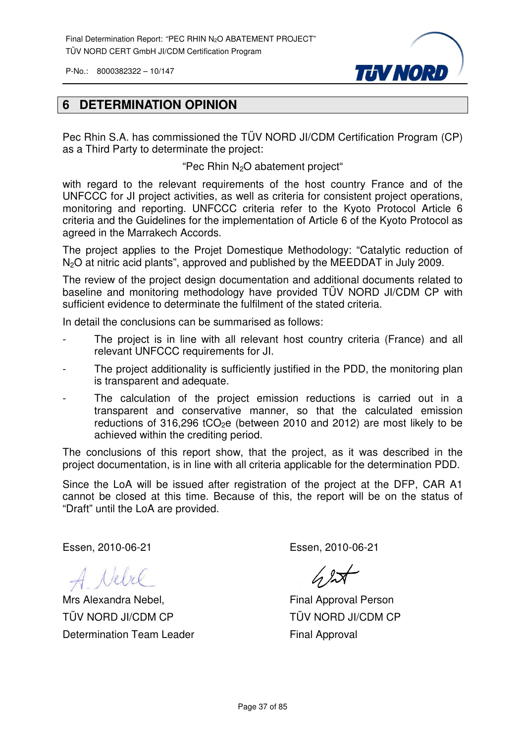

### **6 DETERMINATION OPINION**

Pec Rhin S.A. has commissioned the TÜV NORD JI/CDM Certification Program (CP) as a Third Party to determinate the project:

"Pec Rhin  $N_2O$  abatement project"

with regard to the relevant requirements of the host country France and of the UNFCCC for JI project activities, as well as criteria for consistent project operations, monitoring and reporting. UNFCCC criteria refer to the Kyoto Protocol Article 6 criteria and the Guidelines for the implementation of Article 6 of the Kyoto Protocol as agreed in the Marrakech Accords.

The project applies to the Projet Domestique Methodology: "Catalytic reduction of N<sub>2</sub>O at nitric acid plants", approved and published by the MEEDDAT in July 2009.

The review of the project design documentation and additional documents related to baseline and monitoring methodology have provided TÜV NORD JI/CDM CP with sufficient evidence to determinate the fulfilment of the stated criteria.

In detail the conclusions can be summarised as follows:

- The project is in line with all relevant host country criteria (France) and all relevant UNFCCC requirements for JI.
- The project additionality is sufficiently justified in the PDD, the monitoring plan is transparent and adequate.
- The calculation of the project emission reductions is carried out in a transparent and conservative manner, so that the calculated emission reductions of 316,296 tCO<sub>2</sub>e (between 2010 and 2012) are most likely to be achieved within the crediting period.

The conclusions of this report show, that the project, as it was described in the project documentation, is in line with all criteria applicable for the determination PDD.

Since the LoA will be issued after registration of the project at the DFP, CAR A1 cannot be closed at this time. Because of this, the report will be on the status of "Draft" until the LoA are provided.

Essen, 2010-06-21

A Nebel

Mrs Alexandra Nebel, TÜV NORD JI/CDM CP Determination Team Leader

Essen, 2010-06-21

 $42$ 

Final Approval Person TÜV NORD JI/CDM CP Final Approval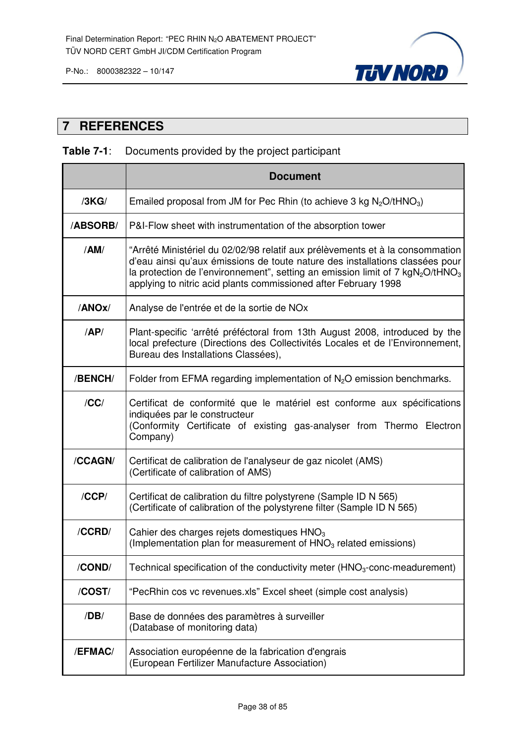

## **7 REFERENCES**

# **Table 7-1**: Documents provided by the project participant

|          | <b>Document</b>                                                                                                                                                                                                                                                                                                     |
|----------|---------------------------------------------------------------------------------------------------------------------------------------------------------------------------------------------------------------------------------------------------------------------------------------------------------------------|
| /3KG/    | Emailed proposal from JM for Pec Rhin (to achieve 3 kg $N_2O/tHNO_3$ )                                                                                                                                                                                                                                              |
| /ABSORB/ | P&I-Flow sheet with instrumentation of the absorption tower                                                                                                                                                                                                                                                         |
| /AM/     | "Arrêté Ministériel du 02/02/98 relatif aux prélèvements et à la consommation<br>d'eau ainsi qu'aux émissions de toute nature des installations classées pour<br>la protection de l'environnement", setting an emission limit of 7 $kgN2O/tHNO3$<br>applying to nitric acid plants commissioned after February 1998 |
| /ANOx/   | Analyse de l'entrée et de la sortie de NOx                                                                                                                                                                                                                                                                          |
| AP/      | Plant-specific 'arrêté préféctoral from 13th August 2008, introduced by the<br>local prefecture (Directions des Collectivités Locales et de l'Environnement,<br>Bureau des Installations Classées),                                                                                                                 |
| /BENCH/  | Folder from EFMA regarding implementation of $N_2O$ emission benchmarks.                                                                                                                                                                                                                                            |
| /CC/     | Certificat de conformité que le matériel est conforme aux spécifications<br>indiquées par le constructeur<br>(Conformity Certificate of existing gas-analyser from Thermo Electron<br>Company)                                                                                                                      |
| /CCAGN/  | Certificat de calibration de l'analyseur de gaz nicolet (AMS)<br>(Certificate of calibration of AMS)                                                                                                                                                                                                                |
| /CCP/    | Certificat de calibration du filtre polystyrene (Sample ID N 565)<br>(Certificate of calibration of the polystyrene filter (Sample ID N 565)                                                                                                                                                                        |
| /CCRD/   | Cahier des charges rejets domestiques HNO <sub>3</sub><br>(Implementation plan for measurement of HNO <sub>3</sub> related emissions)                                                                                                                                                                               |
| /COND/   | Technical specification of the conductivity meter $(HNO3-conc-mean element)$                                                                                                                                                                                                                                        |
| /COST/   | "PecRhin cos vc revenues.xls" Excel sheet (simple cost analysis)                                                                                                                                                                                                                                                    |
| /DB/     | Base de données des paramètres à surveiller<br>(Database of monitoring data)                                                                                                                                                                                                                                        |
| /EFMAC/  | Association européenne de la fabrication d'engrais<br>(European Fertilizer Manufacture Association)                                                                                                                                                                                                                 |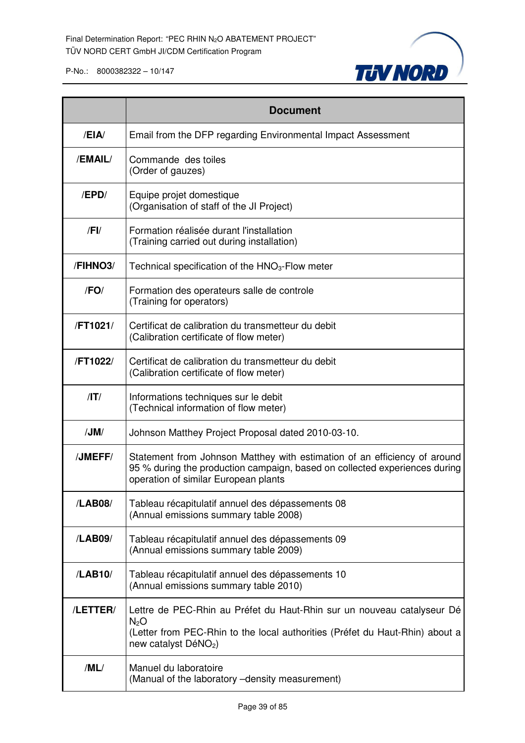

|            | <b>Document</b>                                                                                                                                                                                                |
|------------|----------------------------------------------------------------------------------------------------------------------------------------------------------------------------------------------------------------|
| /EIA       | Email from the DFP regarding Environmental Impact Assessment                                                                                                                                                   |
| /EMAIL/    | Commande des toiles<br>(Order of gauzes)                                                                                                                                                                       |
| /EPD/      | Equipe projet domestique<br>(Organisation of staff of the JI Project)                                                                                                                                          |
| $/$ FI $/$ | Formation réalisée durant l'installation<br>(Training carried out during installation)                                                                                                                         |
| /FIHNO3/   | Technical specification of the $HNO3$ -Flow meter                                                                                                                                                              |
| /FO/       | Formation des operateurs salle de controle<br>(Training for operators)                                                                                                                                         |
| /FT1021/   | Certificat de calibration du transmetteur du debit<br>(Calibration certificate of flow meter)                                                                                                                  |
| /FT1022/   | Certificat de calibration du transmetteur du debit<br>(Calibration certificate of flow meter)                                                                                                                  |
| /IT/       | Informations techniques sur le debit<br>(Technical information of flow meter)                                                                                                                                  |
| /JM/       | Johnson Matthey Project Proposal dated 2010-03-10.                                                                                                                                                             |
| /JMEFF/    | Statement from Johnson Matthey with estimation of an efficiency of around<br>95 % during the production campaign, based on collected experiences during<br>operation of similar European plants                |
| /LAB08/    | Tableau récapitulatif annuel des dépassements 08<br>(Annual emissions summary table 2008)                                                                                                                      |
| /LAB09/    | Tableau récapitulatif annuel des dépassements 09<br>(Annual emissions summary table 2009)                                                                                                                      |
| /LAB10/    | Tableau récapitulatif annuel des dépassements 10<br>(Annual emissions summary table 2010)                                                                                                                      |
| /LETTER/   | Lettre de PEC-Rhin au Préfet du Haut-Rhin sur un nouveau catalyseur Dé<br>N <sub>2</sub> O<br>(Letter from PEC-Rhin to the local authorities (Préfet du Haut-Rhin) about a<br>new catalyst DéNO <sub>2</sub> ) |
| /ML/       | Manuel du laboratoire<br>(Manual of the laboratory -density measurement)                                                                                                                                       |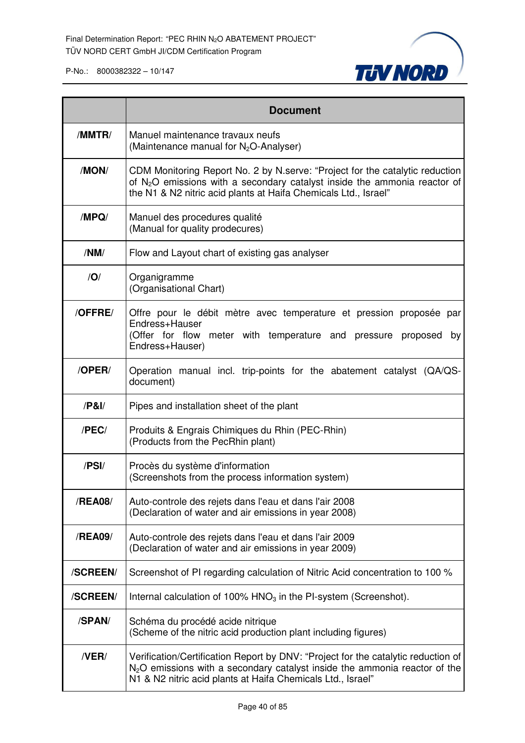

|             | <b>Document</b>                                                                                                                                                                                                                 |
|-------------|---------------------------------------------------------------------------------------------------------------------------------------------------------------------------------------------------------------------------------|
| /MMTR/      | Manuel maintenance travaux neufs<br>(Maintenance manual for N <sub>2</sub> O-Analyser)                                                                                                                                          |
| /MON/       | CDM Monitoring Report No. 2 by N.serve: "Project for the catalytic reduction<br>of $N_2O$ emissions with a secondary catalyst inside the ammonia reactor of<br>the N1 & N2 nitric acid plants at Haifa Chemicals Ltd., Israel"  |
| /MPQ/       | Manuel des procedures qualité<br>(Manual for quality prodecures)                                                                                                                                                                |
| /NM/        | Flow and Layout chart of existing gas analyser                                                                                                                                                                                  |
| /O/         | Organigramme<br>(Organisational Chart)                                                                                                                                                                                          |
| /OFFRE/     | Offre pour le débit mètre avec temperature et pression proposée par<br>Endress+Hauser<br>(Offer for flow meter with temperature and pressure proposed<br>by<br>Endress+Hauser)                                                  |
| /OPER/      | Operation manual incl. trip-points for the abatement catalyst (QA/QS-<br>document)                                                                                                                                              |
| $/$ P&I $/$ | Pipes and installation sheet of the plant                                                                                                                                                                                       |
| /PEC/       | Produits & Engrais Chimiques du Rhin (PEC-Rhin)<br>(Products from the PecRhin plant)                                                                                                                                            |
| /PSI/       | Procès du système d'information<br>(Screenshots from the process information system)                                                                                                                                            |
| /REA08/     | Auto-controle des rejets dans l'eau et dans l'air 2008<br>(Declaration of water and air emissions in year 2008)                                                                                                                 |
| /REA09/     | Auto-controle des rejets dans l'eau et dans l'air 2009<br>(Declaration of water and air emissions in year 2009)                                                                                                                 |
| /SCREEN/    | Screenshot of PI regarding calculation of Nitric Acid concentration to 100 %                                                                                                                                                    |
| /SCREEN/    | Internal calculation of 100% $HNO3$ in the PI-system (Screenshot).                                                                                                                                                              |
| /SPAN/      | Schéma du procédé acide nitrique<br>(Scheme of the nitric acid production plant including figures)                                                                                                                              |
| /VER/       | Verification/Certification Report by DNV: "Project for the catalytic reduction of<br>$N2O$ emissions with a secondary catalyst inside the ammonia reactor of the<br>N1 & N2 nitric acid plants at Haifa Chemicals Ltd., Israel" |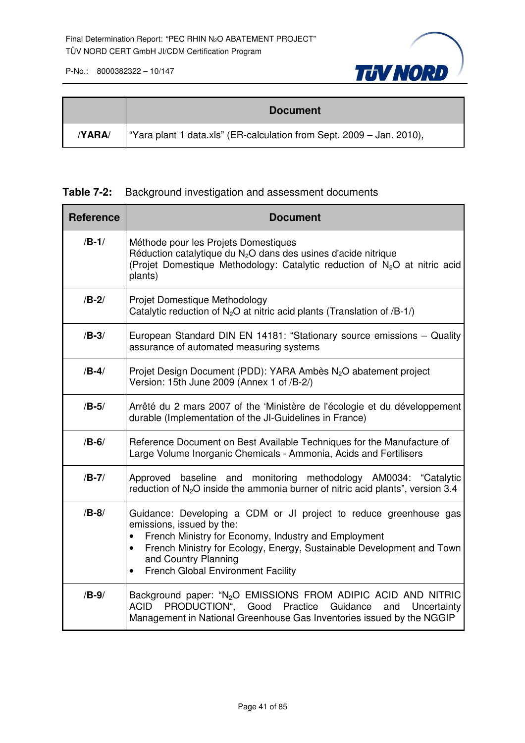

|       | <b>Document</b>                                                       |
|-------|-----------------------------------------------------------------------|
| YARA/ | "Yara plant 1 data.xls" (ER-calculation from Sept. 2009 – Jan. 2010), |

## **Table 7-2:** Background investigation and assessment documents

| <b>Reference</b> | <b>Document</b>                                                                                                                                                                                                                                                                                                                |
|------------------|--------------------------------------------------------------------------------------------------------------------------------------------------------------------------------------------------------------------------------------------------------------------------------------------------------------------------------|
| $/B-1/$          | Méthode pour les Projets Domestiques<br>Réduction catalytique du $N2O$ dans des usines d'acide nitrique<br>(Projet Domestique Methodology: Catalytic reduction of N <sub>2</sub> O at nitric acid<br>plants)                                                                                                                   |
| $/B-2/$          | Projet Domestique Methodology<br>Catalytic reduction of $N_2O$ at nitric acid plants (Translation of /B-1/)                                                                                                                                                                                                                    |
| $/B-3/$          | European Standard DIN EN 14181: "Stationary source emissions - Quality<br>assurance of automated measuring systems                                                                                                                                                                                                             |
| $/B-4/$          | Projet Design Document (PDD): YARA Ambès N <sub>2</sub> O abatement project<br>Version: 15th June 2009 (Annex 1 of /B-2/)                                                                                                                                                                                                      |
| $/B-5/$          | Arrêté du 2 mars 2007 of the 'Ministère de l'écologie et du développement<br>durable (Implementation of the JI-Guidelines in France)                                                                                                                                                                                           |
| $/B-6/$          | Reference Document on Best Available Techniques for the Manufacture of<br>Large Volume Inorganic Chemicals - Ammonia, Acids and Fertilisers                                                                                                                                                                                    |
| $/B-7/$          | Approved baseline and monitoring methodology AM0034: "Catalytic<br>reduction of $N_2O$ inside the ammonia burner of nitric acid plants", version 3.4                                                                                                                                                                           |
| $/B-8/$          | Guidance: Developing a CDM or JI project to reduce greenhouse gas<br>emissions, issued by the:<br>French Ministry for Economy, Industry and Employment<br>French Ministry for Ecology, Energy, Sustainable Development and Town<br>$\bullet$<br>and Country Planning<br><b>French Global Environment Facility</b><br>$\bullet$ |
| $/B-9/$          | Background paper: "N <sub>2</sub> O EMISSIONS FROM ADIPIC ACID AND NITRIC<br>PRODUCTION", Good Practice Guidance<br>ACID<br>Uncertainty<br>and<br>Management in National Greenhouse Gas Inventories issued by the NGGIP                                                                                                        |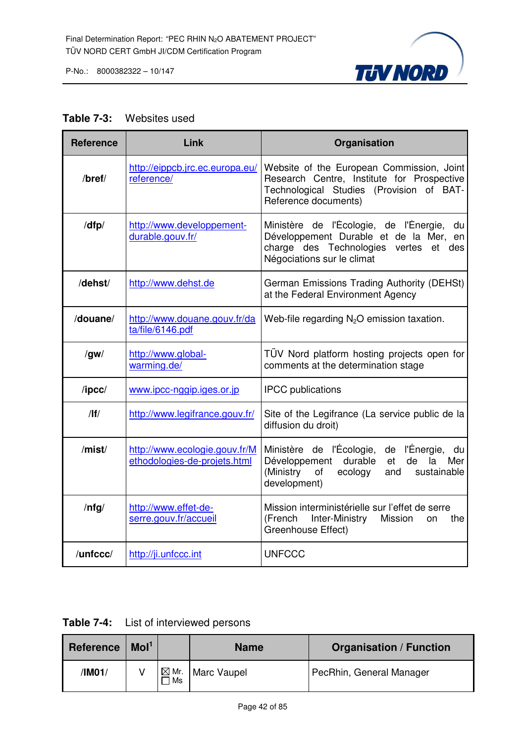

#### **Table 7-3:** Websites used

| <b>Reference</b> | Link                                                          | Organisation                                                                                                                                                     |  |  |  |
|------------------|---------------------------------------------------------------|------------------------------------------------------------------------------------------------------------------------------------------------------------------|--|--|--|
| $/$ bref $/$     | http://eippcb.jrc.ec.europa.eu/<br>reference/                 | Website of the European Commission, Joint<br>Research Centre, Institute for Prospective<br>Technological Studies (Provision of BAT-<br>Reference documents)      |  |  |  |
| /dfp/            | http://www.developpement-<br>durable.gouv.fr/                 | Ministère de l'Écologie, de l'Énergie,<br>du<br>Développement Durable et de la Mer, en<br>charge des Technologies vertes<br>et des<br>Négociations sur le climat |  |  |  |
| /dehst/          | http://www.dehst.de                                           | German Emissions Trading Authority (DEHSt)<br>at the Federal Environment Agency                                                                                  |  |  |  |
| /douane/         | http://www.douane.gouv.fr/da<br>ta/file/6146.pdf              | Web-file regarding $N_2O$ emission taxation.                                                                                                                     |  |  |  |
| /gw/             | http://www.global-<br>warming.de/                             | TÜV Nord platform hosting projects open for<br>comments at the determination stage                                                                               |  |  |  |
| /ipcc/           | www.ipcc-nggip.iges.or.jp                                     | <b>IPCC</b> publications                                                                                                                                         |  |  |  |
| /                | http://www.legifrance.gouv.fr/                                | Site of the Legifrance (La service public de la<br>diffusion du droit)                                                                                           |  |  |  |
| /mist/           | http://www.ecologie.gouv.fr/M<br>ethodologies-de-projets.html | Ministère de l'Écologie, de l'Énergie, du<br>Développement durable<br>de<br>et<br>la<br>Mer<br>(Ministry<br>of<br>ecology<br>and<br>sustainable<br>development)  |  |  |  |
| $/$ nfg $/$      | http://www.effet-de-<br>serre.gouv.fr/accueil                 | Mission interministérielle sur l'effet de serre<br>(French<br>Inter-Ministry Mission<br>the<br><b>on</b><br>Greenhouse Effect)                                   |  |  |  |
| /unfccc/         | http://ji.unfccc.int                                          | <b>UNFCCC</b>                                                                                                                                                    |  |  |  |

**Table 7-4:** List of interviewed persons

| <b>Reference</b> | Mol <sup>1</sup> |                       | <b>Name</b> | <b>Organisation / Function</b> |
|------------------|------------------|-----------------------|-------------|--------------------------------|
| /IM01/           |                  | $\boxtimes$ Mr.<br>Ms | Marc Vaupel | PecRhin, General Manager       |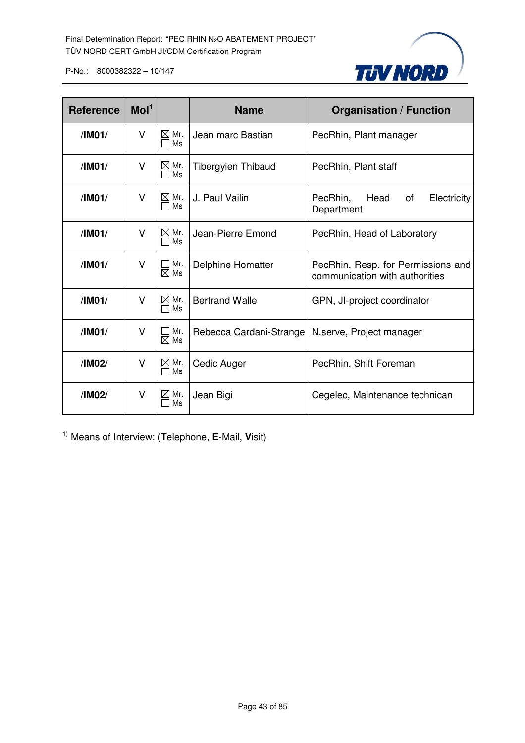

| <b>Reference</b> | Mol <sup>1</sup> |                            | <b>Name</b>               | <b>Organisation / Function</b>                                       |  |  |
|------------------|------------------|----------------------------|---------------------------|----------------------------------------------------------------------|--|--|
| /IMO1/           | V                | $\boxtimes$ Mr.<br>Ms<br>П | Jean marc Bastian         | PecRhin, Plant manager                                               |  |  |
| /IM01/           | v                | $\boxtimes$ Mr.<br>Ms      | <b>Tibergyien Thibaud</b> | PecRhin, Plant staff                                                 |  |  |
| /IMO1/           | v                | $\boxtimes$ Mr.<br>Ms      | J. Paul Vailin            | Head<br>PecRhin,<br>of<br>Electricity<br>Department                  |  |  |
| /IM01/           | v                | $\boxtimes$ Mr.<br>Ms      | Jean-Pierre Emond         | PecRhin, Head of Laboratory                                          |  |  |
| /IMO1/           | v                | Mr.<br>$\boxtimes$ Ms      | Delphine Homatter         | PecRhin, Resp. for Permissions and<br>communication with authorities |  |  |
| /IM01/           | v                | $\boxtimes$ Mr.<br>Ms      | <b>Bertrand Walle</b>     | GPN, JI-project coordinator                                          |  |  |
| /IM01/           | v                | Mr.<br>$\boxtimes$ Ms      | Rebecca Cardani-Strange   | N.serve, Project manager                                             |  |  |
| /IM02/           | V                | $\boxtimes$ Mr.<br>Ms      | Cedic Auger               | PecRhin, Shift Foreman                                               |  |  |
| /IM02/           | V                | $\boxtimes$ Mr.<br>Ms      | Jean Bigi                 | Cegelec, Maintenance technican                                       |  |  |

1) Means of Interview: (**T**elephone, **E**-Mail, **V**isit)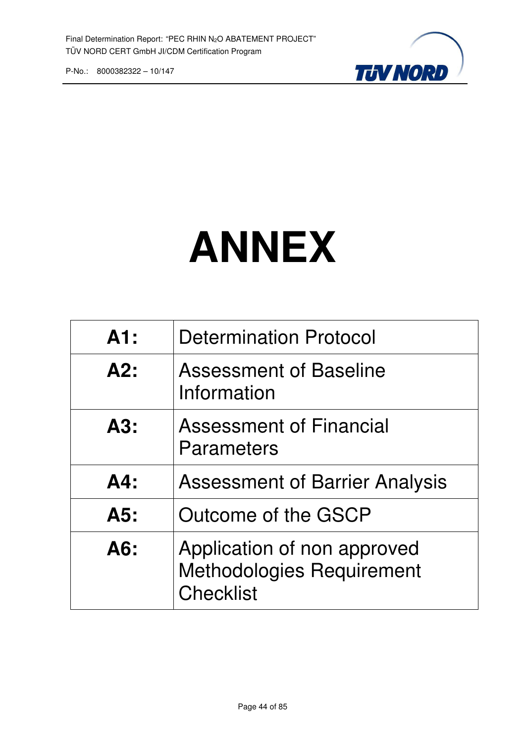

# **ANNEX**

| A1:    | <b>Determination Protocol</b>                                                       |
|--------|-------------------------------------------------------------------------------------|
| A2:    | <b>Assessment of Baseline</b><br>Information                                        |
| A3:    | <b>Assessment of Financial</b><br>Parameters                                        |
| $AA$ : | <b>Assessment of Barrier Analysis</b>                                               |
| A5:    | Outcome of the GSCP                                                                 |
| A6:    | Application of non approved<br><b>Methodologies Requirement</b><br><b>Checklist</b> |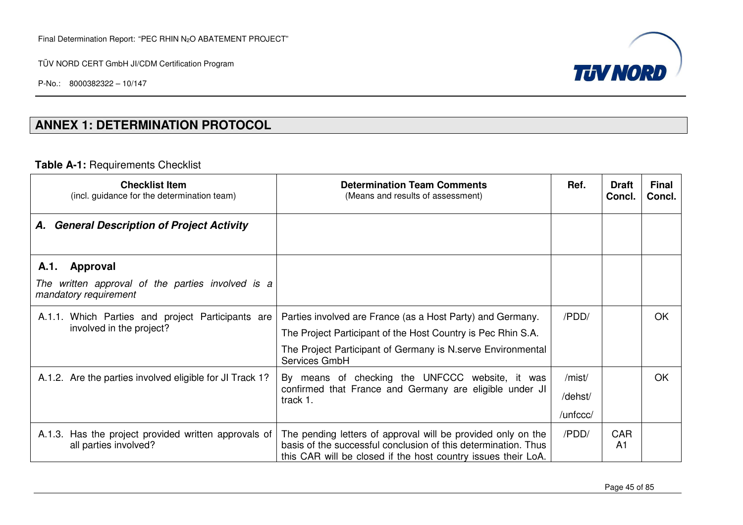P-No.: 8000382322 – 10/147



## **ANNEX 1: DETERMINATION PROTOCOL**

#### **Table A-1:** Requirements Checklist

| <b>Checklist Item</b><br>(incl. guidance for the determination team)                           | <b>Determination Team Comments</b><br>(Means and results of assessment)                                                                                                                                     | Ref.                          | <b>Draft</b><br>Concl.       | <b>Final</b><br>Concl. |
|------------------------------------------------------------------------------------------------|-------------------------------------------------------------------------------------------------------------------------------------------------------------------------------------------------------------|-------------------------------|------------------------------|------------------------|
| <b>General Description of Project Activity</b><br>А.                                           |                                                                                                                                                                                                             |                               |                              |                        |
| Approval<br>A.1.<br>The written approval of the parties involved is a<br>mandatory requirement |                                                                                                                                                                                                             |                               |                              |                        |
| A.1.1. Which Parties and project Participants are<br>involved in the project?                  | Parties involved are France (as a Host Party) and Germany.<br>The Project Participant of the Host Country is Pec Rhin S.A.<br>The Project Participant of Germany is N. serve Environmental<br>Services GmbH | /PDD/                         |                              | OK                     |
| A.1.2. Are the parties involved eligible for JI Track 1?                                       | By means of checking the UNFCCC website, it was<br>confirmed that France and Germany are eligible under JI<br>track 1.                                                                                      | /mist/<br>/dehst/<br>/unfccc/ |                              | OK                     |
| Has the project provided written approvals of<br>A.1.3.<br>all parties involved?               | The pending letters of approval will be provided only on the<br>basis of the successful conclusion of this determination. Thus<br>this CAR will be closed if the host country issues their LoA.             | /PDD/                         | <b>CAR</b><br>A <sub>1</sub> |                        |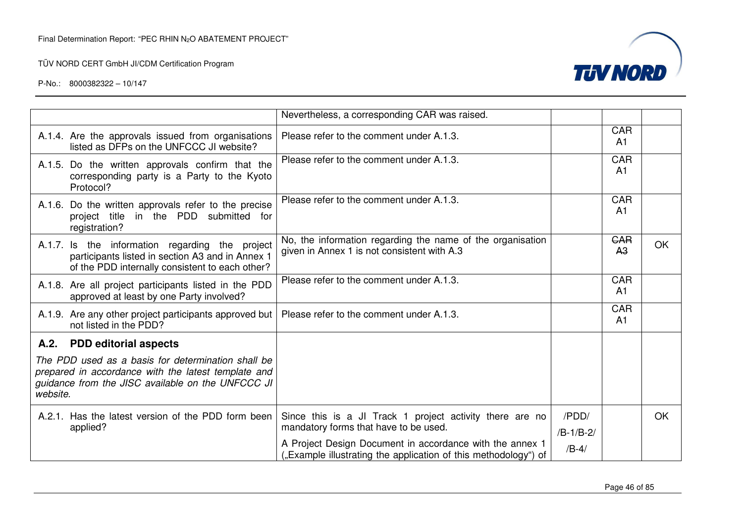

|          |                                                                                                                                                                | Nevertheless, a corresponding CAR was raised.                                                                              |                      |                              |           |
|----------|----------------------------------------------------------------------------------------------------------------------------------------------------------------|----------------------------------------------------------------------------------------------------------------------------|----------------------|------------------------------|-----------|
|          | A.1.4. Are the approvals issued from organisations<br>listed as DFPs on the UNFCCC JI website?                                                                 | Please refer to the comment under A.1.3.                                                                                   |                      | CAR<br>A <sub>1</sub>        |           |
|          | A.1.5. Do the written approvals confirm that the<br>corresponding party is a Party to the Kyoto<br>Protocol?                                                   | Please refer to the comment under A.1.3.                                                                                   |                      | <b>CAR</b><br>A1             |           |
|          | A.1.6. Do the written approvals refer to the precise<br>project title in the PDD submitted for<br>registration?                                                | Please refer to the comment under A.1.3.                                                                                   |                      | <b>CAR</b><br>A <sub>1</sub> |           |
|          | A.1.7. Is the information regarding the project<br>participants listed in section A3 and in Annex 1<br>of the PDD internally consistent to each other?         | No, the information regarding the name of the organisation<br>given in Annex 1 is not consistent with A.3                  |                      | <b>GAR</b><br>A <sub>3</sub> | <b>OK</b> |
|          | A.1.8. Are all project participants listed in the PDD<br>approved at least by one Party involved?                                                              | Please refer to the comment under A.1.3.                                                                                   |                      | <b>CAR</b><br>A <sub>1</sub> |           |
|          | A.1.9. Are any other project participants approved but<br>not listed in the PDD?                                                                               | Please refer to the comment under A.1.3.                                                                                   |                      | CAR<br>A <sub>1</sub>        |           |
|          | A.2. PDD editorial aspects                                                                                                                                     |                                                                                                                            |                      |                              |           |
| website. | The PDD used as a basis for determination shall be<br>prepared in accordance with the latest template and<br>guidance from the JISC available on the UNFCCC JI |                                                                                                                            |                      |                              |           |
|          | A.2.1. Has the latest version of the PDD form been<br>applied?                                                                                                 | Since this is a JI Track 1 project activity there are no<br>mandatory forms that have to be used.                          | /PDD/<br>$/B-1/B-2/$ |                              | <b>OK</b> |
|          |                                                                                                                                                                | A Project Design Document in accordance with the annex 1<br>"Example illustrating the application of this methodology") of | $/B-4/$              |                              |           |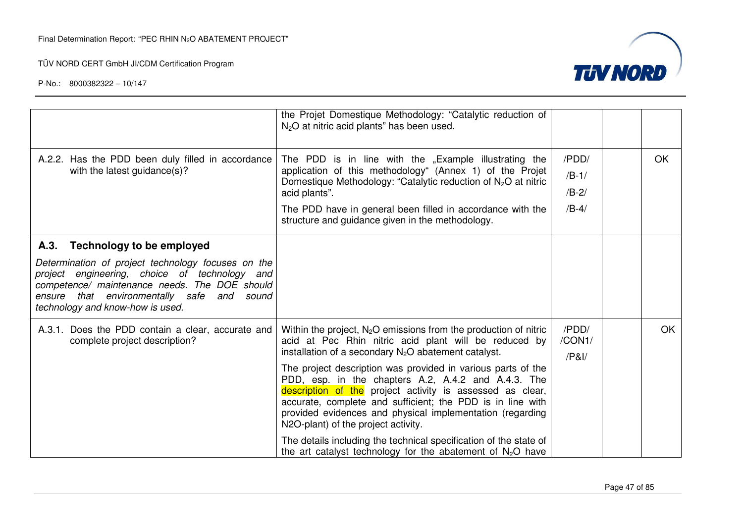

|                                                                                                                                                                                                                                                                                       | the Projet Domestique Methodology: "Catalytic reduction of<br>$N2O$ at nitric acid plants" has been used.                                                                                                                                                                                                                                                                                                                                                                                                                                                                                                                                                                        |                                        |           |
|---------------------------------------------------------------------------------------------------------------------------------------------------------------------------------------------------------------------------------------------------------------------------------------|----------------------------------------------------------------------------------------------------------------------------------------------------------------------------------------------------------------------------------------------------------------------------------------------------------------------------------------------------------------------------------------------------------------------------------------------------------------------------------------------------------------------------------------------------------------------------------------------------------------------------------------------------------------------------------|----------------------------------------|-----------|
| A.2.2. Has the PDD been duly filled in accordance<br>with the latest guidance(s)?                                                                                                                                                                                                     | The PDD is in line with the "Example illustrating the<br>application of this methodology" (Annex 1) of the Projet<br>Domestique Methodology: "Catalytic reduction of $N_2O$ at nitric<br>acid plants".<br>The PDD have in general been filled in accordance with the<br>structure and guidance given in the methodology.                                                                                                                                                                                                                                                                                                                                                         | /PDD/<br>$/B-1/$<br>$/B-2/$<br>$/B-4/$ | OK.       |
| <b>Technology to be employed</b><br>A.3.<br>Determination of project technology focuses on the<br>project engineering, choice of technology and<br>competence/ maintenance needs. The DOE should<br>ensure that environmentally safe and<br>sound<br>technology and know-how is used. |                                                                                                                                                                                                                                                                                                                                                                                                                                                                                                                                                                                                                                                                                  |                                        |           |
| A.3.1. Does the PDD contain a clear, accurate and<br>complete project description?                                                                                                                                                                                                    | Within the project, $N_2O$ emissions from the production of nitric<br>acid at Pec Rhin nitric acid plant will be reduced by<br>installation of a secondary $N_2O$ abatement catalyst.<br>The project description was provided in various parts of the<br>PDD, esp. in the chapters A.2, A.4.2 and A.4.3. The<br>description of the project activity is assessed as clear,<br>accurate, complete and sufficient; the PDD is in line with<br>provided evidences and physical implementation (regarding<br>N2O-plant) of the project activity.<br>The details including the technical specification of the state of<br>the art catalyst technology for the abatement of $N_2O$ have | /PDD/<br>/CON1/<br>/PA                 | <b>OK</b> |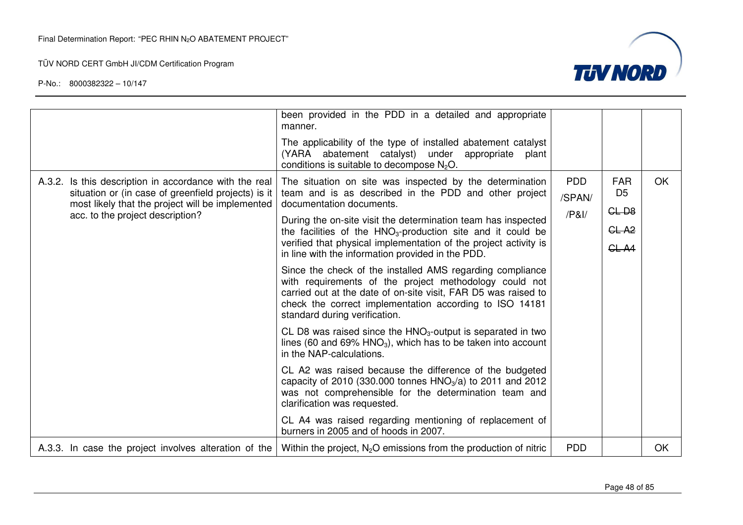

|                                                                                                                                                                                                       | been provided in the PDD in a detailed and appropriate<br>manner.<br>The applicability of the type of installed abatement catalyst<br>(YARA abatement catalyst) under<br>appropriate<br>plant<br>conditions is suitable to decompose $N2O$ .                                                                                                                                                                                                                                                                                                                                                                                                                                                                                                                                                                                                                                                                                                                                                                                                                                                                                                                                         |                                     |                                                                      |    |
|-------------------------------------------------------------------------------------------------------------------------------------------------------------------------------------------------------|--------------------------------------------------------------------------------------------------------------------------------------------------------------------------------------------------------------------------------------------------------------------------------------------------------------------------------------------------------------------------------------------------------------------------------------------------------------------------------------------------------------------------------------------------------------------------------------------------------------------------------------------------------------------------------------------------------------------------------------------------------------------------------------------------------------------------------------------------------------------------------------------------------------------------------------------------------------------------------------------------------------------------------------------------------------------------------------------------------------------------------------------------------------------------------------|-------------------------------------|----------------------------------------------------------------------|----|
| A.3.2. Is this description in accordance with the real<br>situation or (in case of greenfield projects) is it<br>most likely that the project will be implemented<br>acc. to the project description? | The situation on site was inspected by the determination<br>team and is as described in the PDD and other project<br>documentation documents.<br>During the on-site visit the determination team has inspected<br>the facilities of the $HNO3$ -production site and it could be<br>verified that physical implementation of the project activity is<br>in line with the information provided in the PDD.<br>Since the check of the installed AMS regarding compliance<br>with requirements of the project methodology could not<br>carried out at the date of on-site visit, FAR D5 was raised to<br>check the correct implementation according to ISO 14181<br>standard during verification.<br>CL D8 was raised since the $HNO3$ -output is separated in two<br>lines (60 and 69% $HNO3$ ), which has to be taken into account<br>in the NAP-calculations.<br>CL A2 was raised because the difference of the budgeted<br>capacity of 2010 (330.000 tonnes $HNO3/a$ ) to 2011 and 2012<br>was not comprehensible for the determination team and<br>clarification was requested.<br>CL A4 was raised regarding mentioning of replacement of<br>burners in 2005 and of hoods in 2007. | <b>PDD</b><br>/SPAN/<br>$/$ P&I $/$ | <b>FAR</b><br>D <sub>5</sub><br>$CL-DB$<br>CL <sub>A2</sub><br>CL A4 | OK |
| A.3.3. In case the project involves alteration of the                                                                                                                                                 | Within the project, $N_2O$ emissions from the production of nitric                                                                                                                                                                                                                                                                                                                                                                                                                                                                                                                                                                                                                                                                                                                                                                                                                                                                                                                                                                                                                                                                                                                   | <b>PDD</b>                          |                                                                      | OK |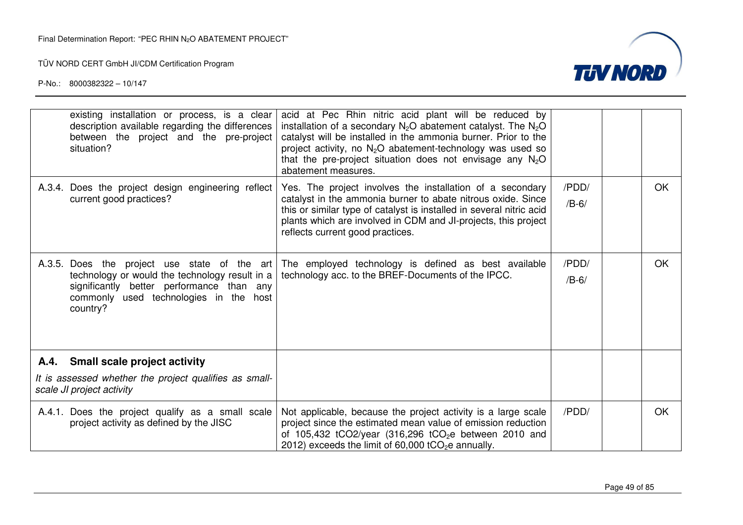

| existing installation or process, is a clear<br>description available regarding the differences<br>between the project and the pre-project<br>situation?                                          | acid at Pec Rhin nitric acid plant will be reduced by<br>installation of a secondary $N_2O$ abatement catalyst. The $N_2O$<br>catalyst will be installed in the ammonia burner. Prior to the<br>project activity, no $N_2O$ abatement-technology was used so<br>that the pre-project situation does not envisage any $N_2O$<br>abatement measures. |                  |     |
|---------------------------------------------------------------------------------------------------------------------------------------------------------------------------------------------------|----------------------------------------------------------------------------------------------------------------------------------------------------------------------------------------------------------------------------------------------------------------------------------------------------------------------------------------------------|------------------|-----|
| A.3.4. Does the project design engineering reflect<br>current good practices?                                                                                                                     | Yes. The project involves the installation of a secondary<br>catalyst in the ammonia burner to abate nitrous oxide. Since<br>this or similar type of catalyst is installed in several nitric acid<br>plants which are involved in CDM and JI-projects, this project<br>reflects current good practices.                                            | /PDD/<br>$/B-6/$ | OK. |
| A.3.5. Does the project use state of the art<br>technology or would the technology result in a<br>significantly better performance than any<br>commonly used technologies in the host<br>country? | The employed technology is defined as best available<br>technology acc. to the BREF-Documents of the IPCC.                                                                                                                                                                                                                                         | /PDD/<br>$/B-6/$ | OK. |
| A.4. Small scale project activity                                                                                                                                                                 |                                                                                                                                                                                                                                                                                                                                                    |                  |     |
| It is assessed whether the project qualifies as small-<br>scale JI project activity                                                                                                               |                                                                                                                                                                                                                                                                                                                                                    |                  |     |
| A.4.1. Does the project qualify as a small scale<br>project activity as defined by the JISC                                                                                                       | Not applicable, because the project activity is a large scale<br>project since the estimated mean value of emission reduction<br>of 105,432 tCO2/year (316,296 tCO <sub>2</sub> e between 2010 and<br>2012) exceeds the limit of $60,000$ tCO <sub>2</sub> e annually.                                                                             | /PDD/            | OK. |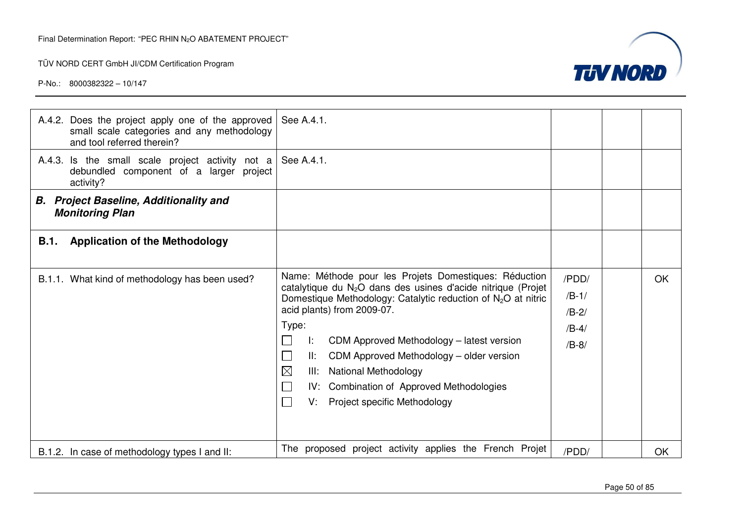

| A.4.2. Does the project apply one of the approved<br>small scale categories and any methodology<br>and tool referred therein? | See A.4.1.                                                                                                                                                                                                                                                                                                                                                                                                                                                                                 |                                                   |           |
|-------------------------------------------------------------------------------------------------------------------------------|--------------------------------------------------------------------------------------------------------------------------------------------------------------------------------------------------------------------------------------------------------------------------------------------------------------------------------------------------------------------------------------------------------------------------------------------------------------------------------------------|---------------------------------------------------|-----------|
| A.4.3. Is the small scale project activity not a<br>debundled component of a larger project<br>activity?                      | See A.4.1.                                                                                                                                                                                                                                                                                                                                                                                                                                                                                 |                                                   |           |
| <b>B.</b> Project Baseline, Additionality and<br><b>Monitoring Plan</b>                                                       |                                                                                                                                                                                                                                                                                                                                                                                                                                                                                            |                                                   |           |
| <b>Application of the Methodology</b><br><b>B.1.</b>                                                                          |                                                                                                                                                                                                                                                                                                                                                                                                                                                                                            |                                                   |           |
| B.1.1. What kind of methodology has been used?                                                                                | Name: Méthode pour les Projets Domestiques: Réduction<br>catalytique du N <sub>2</sub> O dans des usines d'acide nitrique (Projet<br>Domestique Methodology: Catalytic reduction of $N_2O$ at nitric<br>acid plants) from 2009-07.<br>Type:<br>CDM Approved Methodology - latest version<br>Ŀ.<br>CDM Approved Methodology - older version<br>II:<br>$\boxtimes$<br><b>National Methodology</b><br>III:<br>IV: Combination of Approved Methodologies<br>Project specific Methodology<br>V. | /PDD/<br>$/B-1/$<br>$/B-2/$<br>$/B-4/$<br>$/B-8/$ | OK        |
| B.1.2. In case of methodology types I and II:                                                                                 | The proposed project activity applies the French Projet                                                                                                                                                                                                                                                                                                                                                                                                                                    | /PDD/                                             | <b>OK</b> |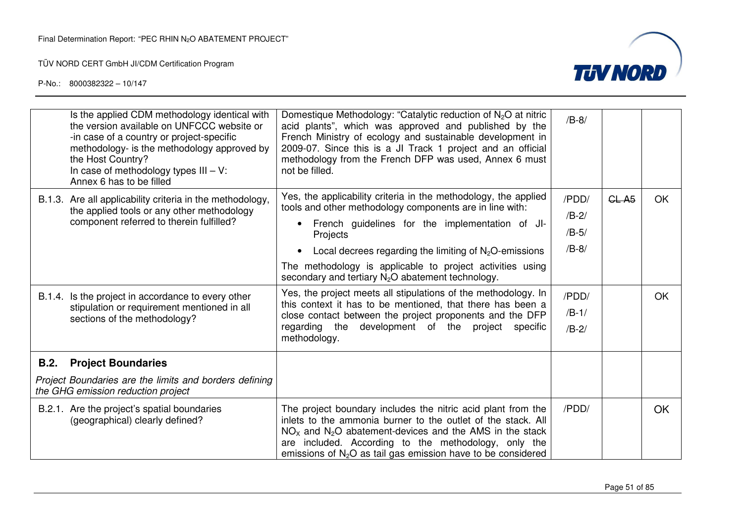

|             | Is the applied CDM methodology identical with<br>the version available on UNFCCC website or<br>-in case of a country or project-specific<br>methodology- is the methodology approved by<br>the Host Country?<br>In case of methodology types $III - V$ :<br>Annex 6 has to be filled     | Domestique Methodology: "Catalytic reduction of $N_2O$ at nitric<br>acid plants", which was approved and published by the<br>French Ministry of ecology and sustainable development in<br>2009-07. Since this is a JI Track 1 project and an official<br>methodology from the French DFP was used, Annex 6 must<br>not be filled.                                                                                                                                                                                                                                                                                                         | $/B-8/$                                                               |                   |                  |
|-------------|------------------------------------------------------------------------------------------------------------------------------------------------------------------------------------------------------------------------------------------------------------------------------------------|-------------------------------------------------------------------------------------------------------------------------------------------------------------------------------------------------------------------------------------------------------------------------------------------------------------------------------------------------------------------------------------------------------------------------------------------------------------------------------------------------------------------------------------------------------------------------------------------------------------------------------------------|-----------------------------------------------------------------------|-------------------|------------------|
|             | B.1.3. Are all applicability criteria in the methodology,<br>the applied tools or any other methodology<br>component referred to therein fulfilled?<br>B.1.4. Is the project in accordance to every other<br>stipulation or requirement mentioned in all<br>sections of the methodology? | Yes, the applicability criteria in the methodology, the applied<br>tools and other methodology components are in line with:<br>French guidelines for the implementation of JI-<br>Projects<br>Local decrees regarding the limiting of $N_2O$ -emissions<br>$\bullet$<br>The methodology is applicable to project activities using<br>secondary and tertiary $N_2O$ abatement technology.<br>Yes, the project meets all stipulations of the methodology. In<br>this context it has to be mentioned, that there has been a<br>close contact between the project proponents and the DFP<br>regarding the development of the project specific | /PDD/<br>$/B-2/$<br>$/B-5/$<br>$/B-8/$<br>/PDD/<br>$/B-1/$<br>$/B-2/$ | CL A <sub>5</sub> | <b>OK</b><br>OK. |
| <b>B.2.</b> | <b>Project Boundaries</b>                                                                                                                                                                                                                                                                | methodology.                                                                                                                                                                                                                                                                                                                                                                                                                                                                                                                                                                                                                              |                                                                       |                   |                  |
|             | Project Boundaries are the limits and borders defining<br>the GHG emission reduction project                                                                                                                                                                                             |                                                                                                                                                                                                                                                                                                                                                                                                                                                                                                                                                                                                                                           |                                                                       |                   |                  |
|             | B.2.1. Are the project's spatial boundaries<br>(geographical) clearly defined?                                                                                                                                                                                                           | The project boundary includes the nitric acid plant from the<br>inlets to the ammonia burner to the outlet of the stack. All<br>$NOx$ and $N2O$ abatement-devices and the AMS in the stack<br>are included. According to the methodology, only the<br>emissions of $N2O$ as tail gas emission have to be considered                                                                                                                                                                                                                                                                                                                       | /PDD/                                                                 |                   | OK.              |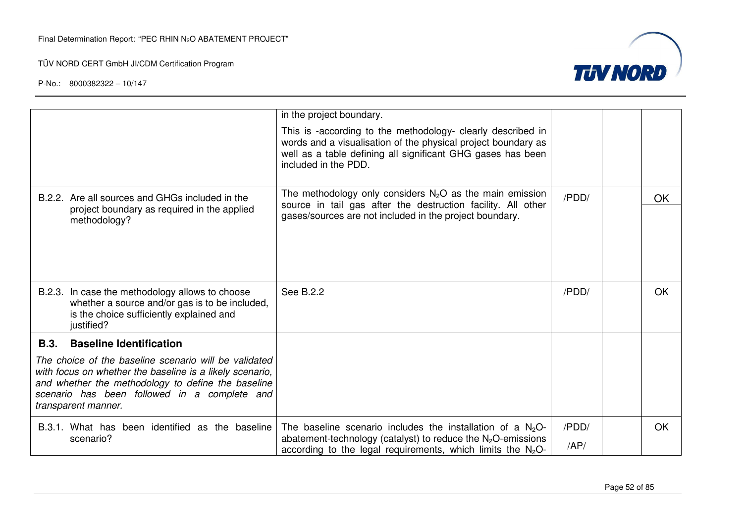

|                                                                                                                                                                                                                                                | in the project boundary.                                                                                                                                                                                            |       |           |
|------------------------------------------------------------------------------------------------------------------------------------------------------------------------------------------------------------------------------------------------|---------------------------------------------------------------------------------------------------------------------------------------------------------------------------------------------------------------------|-------|-----------|
|                                                                                                                                                                                                                                                | This is -according to the methodology- clearly described in<br>words and a visualisation of the physical project boundary as<br>well as a table defining all significant GHG gases has been<br>included in the PDD. |       |           |
| B.2.2. Are all sources and GHGs included in the                                                                                                                                                                                                | The methodology only considers $N_2O$ as the main emission                                                                                                                                                          | /PDD/ | <b>OK</b> |
| project boundary as required in the applied<br>methodology?                                                                                                                                                                                    | source in tail gas after the destruction facility. All other<br>gases/sources are not included in the project boundary.                                                                                             |       |           |
| B.2.3. In case the methodology allows to choose<br>whether a source and/or gas is to be included,<br>is the choice sufficiently explained and<br>justified?                                                                                    | See B.2.2                                                                                                                                                                                                           | /PDD/ | OK.       |
| B.3.<br><b>Baseline Identification</b>                                                                                                                                                                                                         |                                                                                                                                                                                                                     |       |           |
| The choice of the baseline scenario will be validated<br>with focus on whether the baseline is a likely scenario,<br>and whether the methodology to define the baseline<br>scenario has been followed in a complete and<br>transparent manner. |                                                                                                                                                                                                                     |       |           |
| B.3.1. What has been identified as the baseline                                                                                                                                                                                                | The baseline scenario includes the installation of a $N_2O$ -                                                                                                                                                       | /PDD/ | <b>OK</b> |
| scenario?                                                                                                                                                                                                                                      | abatement-technology (catalyst) to reduce the $N_2O$ -emissions<br>according to the legal requirements, which limits the $N_2O$ -                                                                                   | AP/   |           |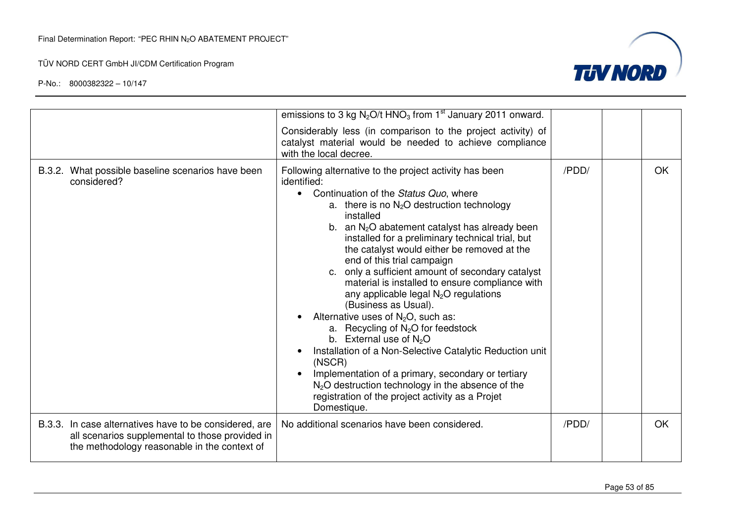

|                                                                                                                                                           | emissions to 3 kg $N_2O/t$ HNO <sub>3</sub> from 1 <sup>st</sup> January 2011 onward.                                                                                                                                                                                                                                                                                                                                                                                                                                                                                                                                                                                                                                                                                                                                                                                                                                                           |       |           |
|-----------------------------------------------------------------------------------------------------------------------------------------------------------|-------------------------------------------------------------------------------------------------------------------------------------------------------------------------------------------------------------------------------------------------------------------------------------------------------------------------------------------------------------------------------------------------------------------------------------------------------------------------------------------------------------------------------------------------------------------------------------------------------------------------------------------------------------------------------------------------------------------------------------------------------------------------------------------------------------------------------------------------------------------------------------------------------------------------------------------------|-------|-----------|
|                                                                                                                                                           | Considerably less (in comparison to the project activity) of<br>catalyst material would be needed to achieve compliance<br>with the local decree.                                                                                                                                                                                                                                                                                                                                                                                                                                                                                                                                                                                                                                                                                                                                                                                               |       |           |
| B.3.2. What possible baseline scenarios have been<br>considered?                                                                                          | Following alternative to the project activity has been<br>identified:<br>Continuation of the Status Quo, where<br>$\bullet$<br>a. there is no $N_2O$ destruction technology<br>installed<br>b. an $N_2O$ abatement catalyst has already been<br>installed for a preliminary technical trial, but<br>the catalyst would either be removed at the<br>end of this trial campaign<br>c. only a sufficient amount of secondary catalyst<br>material is installed to ensure compliance with<br>any applicable legal N <sub>2</sub> O regulations<br>(Business as Usual).<br>Alternative uses of $N_2O$ , such as:<br>a. Recycling of N <sub>2</sub> O for feedstock<br>b. External use of $N_2O$<br>Installation of a Non-Selective Catalytic Reduction unit<br>(NSCR)<br>Implementation of a primary, secondary or tertiary<br>$N2O$ destruction technology in the absence of the<br>registration of the project activity as a Projet<br>Domestique. | /PDD/ | <b>OK</b> |
| B.3.3. In case alternatives have to be considered, are<br>all scenarios supplemental to those provided in<br>the methodology reasonable in the context of | No additional scenarios have been considered.                                                                                                                                                                                                                                                                                                                                                                                                                                                                                                                                                                                                                                                                                                                                                                                                                                                                                                   | /PDD/ | <b>OK</b> |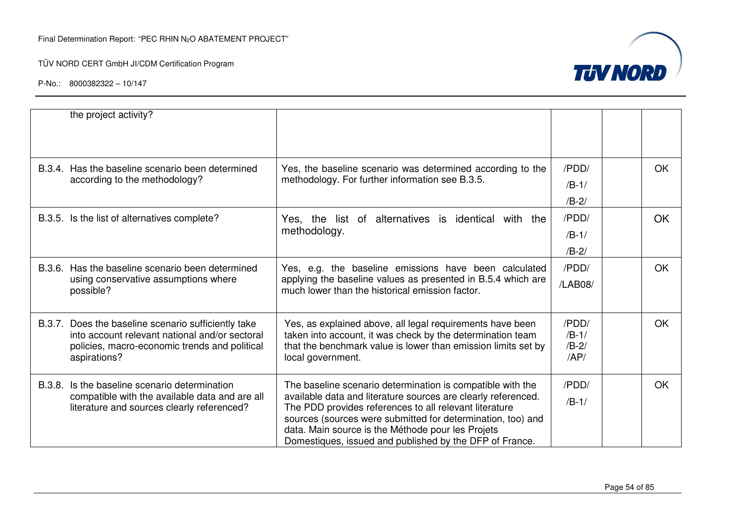

|                                            | the project activity?                                                                                               |                                                                                                                       |                |           |
|--------------------------------------------|---------------------------------------------------------------------------------------------------------------------|-----------------------------------------------------------------------------------------------------------------------|----------------|-----------|
|                                            | B.3.4. Has the baseline scenario been determined                                                                    | Yes, the baseline scenario was determined according to the                                                            | /PDD/          | <b>OK</b> |
|                                            | according to the methodology?                                                                                       | methodology. For further information see B.3.5.                                                                       | $/B-1/$        |           |
|                                            |                                                                                                                     |                                                                                                                       | $/B-2/$        |           |
|                                            | B.3.5. Is the list of alternatives complete?<br>Yes, the list of alternatives is identical with the<br>methodology. | /PDD/                                                                                                                 | <b>OK</b>      |           |
|                                            |                                                                                                                     | $/B-1/$                                                                                                               |                |           |
|                                            |                                                                                                                     |                                                                                                                       | $/B-2/$        |           |
|                                            | B.3.6. Has the baseline scenario been determined                                                                    | Yes, e.g. the baseline emissions have been calculated                                                                 | /PDD/          | OK.       |
|                                            | using conservative assumptions where<br>possible?                                                                   | applying the baseline values as presented in B.5.4 which are<br>much lower than the historical emission factor.       | /LAB08/        |           |
|                                            | B.3.7. Does the baseline scenario sufficiently take                                                                 | Yes, as explained above, all legal requirements have been                                                             | /PDD/          | <b>OK</b> |
|                                            | into account relevant national and/or sectoral                                                                      | taken into account, it was check by the determination team                                                            | $/B-1/$        |           |
|                                            | policies, macro-economic trends and political<br>aspirations?                                                       | that the benchmark value is lower than emission limits set by<br>local government.                                    | $/B-2/$<br>AP/ |           |
| B.3.8.                                     | Is the baseline scenario determination                                                                              | The baseline scenario determination is compatible with the                                                            | /PDD/          | <b>OK</b> |
| literature and sources clearly referenced? | compatible with the available data and are all                                                                      | available data and literature sources are clearly referenced.                                                         | $/B-1/$        |           |
|                                            |                                                                                                                     | The PDD provides references to all relevant literature<br>sources (sources were submitted for determination, too) and |                |           |
|                                            |                                                                                                                     | data. Main source is the Méthode pour les Projets                                                                     |                |           |
|                                            |                                                                                                                     | Domestiques, issued and published by the DFP of France.                                                               |                |           |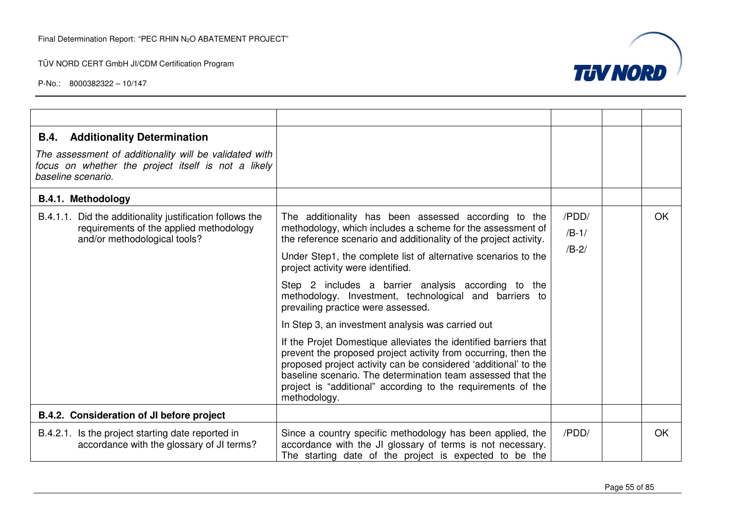

| <b>Additionality Determination</b><br>B.4.<br>The assessment of additionality will be validated with<br>focus on whether the project itself is not a likely<br>baseline scenario. |                                                                                                                                                                                                                                                                                                                                                                                                                                                                                                                                                                                                                                                                                                                                                                                                                                                                    |                             |           |
|-----------------------------------------------------------------------------------------------------------------------------------------------------------------------------------|--------------------------------------------------------------------------------------------------------------------------------------------------------------------------------------------------------------------------------------------------------------------------------------------------------------------------------------------------------------------------------------------------------------------------------------------------------------------------------------------------------------------------------------------------------------------------------------------------------------------------------------------------------------------------------------------------------------------------------------------------------------------------------------------------------------------------------------------------------------------|-----------------------------|-----------|
| <b>B.4.1. Methodology</b>                                                                                                                                                         |                                                                                                                                                                                                                                                                                                                                                                                                                                                                                                                                                                                                                                                                                                                                                                                                                                                                    |                             |           |
| B.4.1.1. Did the additionality justification follows the<br>requirements of the applied methodology<br>and/or methodological tools?                                               | The additionality has been assessed according to the<br>methodology, which includes a scheme for the assessment of<br>the reference scenario and additionality of the project activity.<br>Under Step1, the complete list of alternative scenarios to the<br>project activity were identified.<br>Step 2 includes a barrier analysis according to the<br>methodology. Investment, technological and barriers to<br>prevailing practice were assessed.<br>In Step 3, an investment analysis was carried out<br>If the Projet Domestique alleviates the identified barriers that<br>prevent the proposed project activity from occurring, then the<br>proposed project activity can be considered 'additional' to the<br>baseline scenario. The determination team assessed that the<br>project is "additional" according to the requirements of the<br>methodology. | /PDD/<br>$/B-1/$<br>$/B-2/$ | <b>OK</b> |
| B.4.2. Consideration of JI before project                                                                                                                                         |                                                                                                                                                                                                                                                                                                                                                                                                                                                                                                                                                                                                                                                                                                                                                                                                                                                                    |                             |           |
| B.4.2.1. Is the project starting date reported in<br>accordance with the glossary of JI terms?                                                                                    | Since a country specific methodology has been applied, the<br>accordance with the JI glossary of terms is not necessary.<br>The starting date of the project is expected to be the                                                                                                                                                                                                                                                                                                                                                                                                                                                                                                                                                                                                                                                                                 | /PDD/                       | OK        |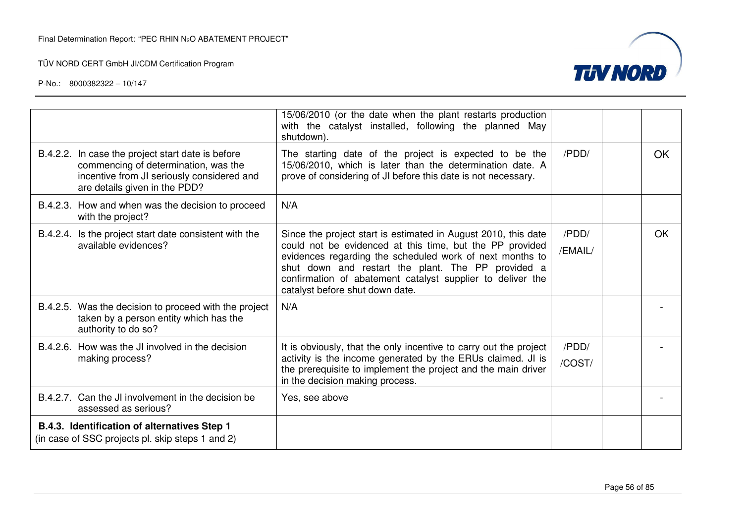

|                                                                                                                                                                          | 15/06/2010 (or the date when the plant restarts production<br>with the catalyst installed, following the planned May<br>shutdown).                                                                                                                                                                                                            |                  |           |
|--------------------------------------------------------------------------------------------------------------------------------------------------------------------------|-----------------------------------------------------------------------------------------------------------------------------------------------------------------------------------------------------------------------------------------------------------------------------------------------------------------------------------------------|------------------|-----------|
| B.4.2.2. In case the project start date is before<br>commencing of determination, was the<br>incentive from JI seriously considered and<br>are details given in the PDD? | The starting date of the project is expected to be the<br>15/06/2010, which is later than the determination date. A<br>prove of considering of JI before this date is not necessary.                                                                                                                                                          | /PDD/            | OK        |
| B.4.2.3. How and when was the decision to proceed<br>with the project?                                                                                                   | N/A                                                                                                                                                                                                                                                                                                                                           |                  |           |
| B.4.2.4. Is the project start date consistent with the<br>available evidences?                                                                                           | Since the project start is estimated in August 2010, this date<br>could not be evidenced at this time, but the PP provided<br>evidences regarding the scheduled work of next months to<br>shut down and restart the plant. The PP provided a<br>confirmation of abatement catalyst supplier to deliver the<br>catalyst before shut down date. | /PDD/<br>/EMAIL/ | <b>OK</b> |
| B.4.2.5. Was the decision to proceed with the project<br>taken by a person entity which has the<br>authority to do so?                                                   | N/A                                                                                                                                                                                                                                                                                                                                           |                  |           |
| B.4.2.6. How was the JI involved in the decision                                                                                                                         | It is obviously, that the only incentive to carry out the project                                                                                                                                                                                                                                                                             | /PDD/            |           |
| making process?                                                                                                                                                          | activity is the income generated by the ERUs claimed. JI is<br>the prerequisite to implement the project and the main driver<br>in the decision making process.                                                                                                                                                                               | /COST/           |           |
| B.4.2.7. Can the JI involvement in the decision be<br>assessed as serious?                                                                                               | Yes, see above                                                                                                                                                                                                                                                                                                                                |                  |           |
| B.4.3. Identification of alternatives Step 1<br>(in case of SSC projects pl. skip steps 1 and 2)                                                                         |                                                                                                                                                                                                                                                                                                                                               |                  |           |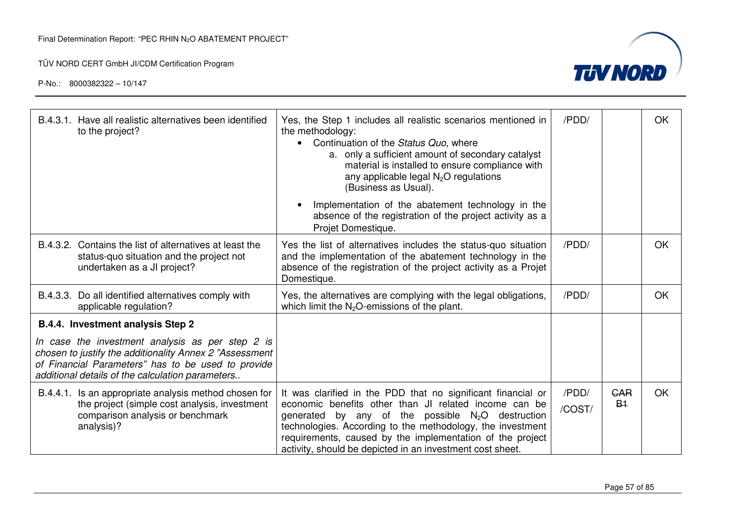

| B.4.3.1. Have all realistic alternatives been identified<br>to the project?                                                                                                                                           | Yes, the Step 1 includes all realistic scenarios mentioned in<br>the methodology:<br>Continuation of the Status Quo, where<br>a. only a sufficient amount of secondary catalyst<br>material is installed to ensure compliance with<br>any applicable legal $N_2O$ regulations<br>(Business as Usual).                                                                | /PDD/           |                    | OK |
|-----------------------------------------------------------------------------------------------------------------------------------------------------------------------------------------------------------------------|----------------------------------------------------------------------------------------------------------------------------------------------------------------------------------------------------------------------------------------------------------------------------------------------------------------------------------------------------------------------|-----------------|--------------------|----|
|                                                                                                                                                                                                                       | Implementation of the abatement technology in the<br>absence of the registration of the project activity as a<br>Projet Domestique.                                                                                                                                                                                                                                  |                 |                    |    |
| B.4.3.2. Contains the list of alternatives at least the<br>status-quo situation and the project not<br>undertaken as a JI project?                                                                                    | Yes the list of alternatives includes the status-quo situation<br>and the implementation of the abatement technology in the<br>absence of the registration of the project activity as a Projet<br>Domestique.                                                                                                                                                        | /PDD/           |                    | OK |
| B.4.3.3. Do all identified alternatives comply with<br>applicable regulation?                                                                                                                                         | Yes, the alternatives are complying with the legal obligations,<br>which limit the $N_2O$ -emissions of the plant.                                                                                                                                                                                                                                                   | /PDD/           |                    | OK |
| B.4.4. Investment analysis Step 2                                                                                                                                                                                     |                                                                                                                                                                                                                                                                                                                                                                      |                 |                    |    |
| In case the investment analysis as per step 2 is<br>chosen to justify the additionality Annex 2 "Assessment<br>of Financial Parameters" has to be used to provide<br>additional details of the calculation parameters |                                                                                                                                                                                                                                                                                                                                                                      |                 |                    |    |
| B.4.4.1. Is an appropriate analysis method chosen for<br>the project (simple cost analysis, investment<br>comparison analysis or benchmark<br>analysis)?                                                              | It was clarified in the PDD that no significant financial or<br>economic benefits other than JI related income can be<br>generated by any of the possible $N_2O$ destruction<br>technologies. According to the methodology, the investment<br>requirements, caused by the implementation of the project<br>activity, should be depicted in an investment cost sheet. | /PDD/<br>/COST/ | <b>GAR</b><br>$B+$ | OK |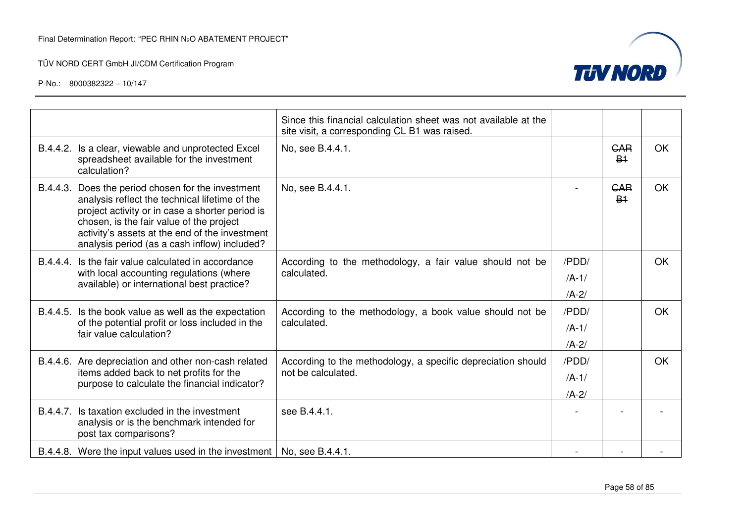

|                                                                                                                                                              |                                                                                                                                                                                                                                                                                                       | Since this financial calculation sheet was not available at the<br>site visit, a corresponding CL B1 was raised. |           |                                    |    |
|--------------------------------------------------------------------------------------------------------------------------------------------------------------|-------------------------------------------------------------------------------------------------------------------------------------------------------------------------------------------------------------------------------------------------------------------------------------------------------|------------------------------------------------------------------------------------------------------------------|-----------|------------------------------------|----|
|                                                                                                                                                              | B.4.4.2. Is a clear, viewable and unprotected Excel<br>spreadsheet available for the investment<br>calculation?                                                                                                                                                                                       | No, see B.4.4.1.                                                                                                 |           | <b>GAR</b><br><b>B<sub>1</sub></b> | OK |
|                                                                                                                                                              | B.4.4.3. Does the period chosen for the investment<br>analysis reflect the technical lifetime of the<br>project activity or in case a shorter period is<br>chosen, is the fair value of the project<br>activity's assets at the end of the investment<br>analysis period (as a cash inflow) included? | No, see B.4.4.1.                                                                                                 |           | <b>CAR</b><br>B <sub>1</sub>       | OK |
| B.4.4.4. Is the fair value calculated in accordance<br>calculated.<br>with local accounting regulations (where<br>available) or international best practice? |                                                                                                                                                                                                                                                                                                       | According to the methodology, a fair value should not be                                                         | /PDD/     |                                    | OK |
|                                                                                                                                                              |                                                                                                                                                                                                                                                                                                       | $/A-1/$                                                                                                          |           |                                    |    |
|                                                                                                                                                              |                                                                                                                                                                                                                                                                                                       |                                                                                                                  | $/A-2/$   |                                    |    |
|                                                                                                                                                              | B.4.4.5. Is the book value as well as the expectation                                                                                                                                                                                                                                                 | According to the methodology, a book value should not be<br>calculated.                                          | /PDD/     |                                    | OK |
|                                                                                                                                                              | of the potential profit or loss included in the<br>fair value calculation?                                                                                                                                                                                                                            |                                                                                                                  | $/A-1/$   |                                    |    |
|                                                                                                                                                              |                                                                                                                                                                                                                                                                                                       |                                                                                                                  | $/A-2/$   |                                    |    |
|                                                                                                                                                              | B.4.4.6. Are depreciation and other non-cash related                                                                                                                                                                                                                                                  | According to the methodology, a specific depreciation should                                                     | /PDD/     |                                    | OK |
|                                                                                                                                                              | items added back to net profits for the<br>purpose to calculate the financial indicator?                                                                                                                                                                                                              | not be calculated.                                                                                               | $/A-1/$   |                                    |    |
|                                                                                                                                                              |                                                                                                                                                                                                                                                                                                       |                                                                                                                  | $/A - 2/$ |                                    |    |
| B.4.4.7.                                                                                                                                                     | Is taxation excluded in the investment<br>analysis or is the benchmark intended for<br>post tax comparisons?                                                                                                                                                                                          | see B.4.4.1.                                                                                                     |           |                                    |    |
|                                                                                                                                                              | B.4.4.8. Were the input values used in the investment   No, see B.4.4.1.                                                                                                                                                                                                                              |                                                                                                                  |           |                                    |    |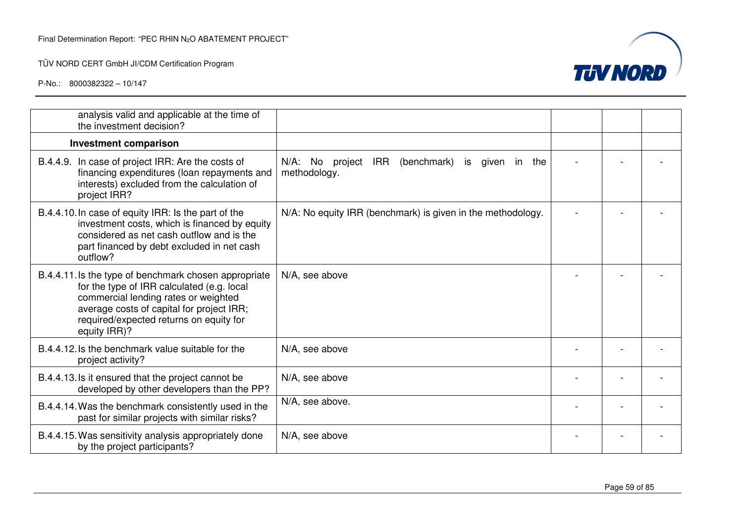

| analysis valid and applicable at the time of<br>the investment decision?                                                                                                                                                                            |                                                                                    |  |  |
|-----------------------------------------------------------------------------------------------------------------------------------------------------------------------------------------------------------------------------------------------------|------------------------------------------------------------------------------------|--|--|
| <b>Investment comparison</b>                                                                                                                                                                                                                        |                                                                                    |  |  |
| B.4.4.9. In case of project IRR: Are the costs of<br>financing expenditures (loan repayments and<br>interests) excluded from the calculation of<br>project IRR?                                                                                     | N/A: No<br><b>IRR</b><br>(benchmark)<br>project<br>is given in the<br>methodology. |  |  |
| B.4.4.10. In case of equity IRR: Is the part of the<br>investment costs, which is financed by equity<br>considered as net cash outflow and is the<br>part financed by debt excluded in net cash<br>outflow?                                         | N/A: No equity IRR (benchmark) is given in the methodology.                        |  |  |
| B.4.4.11. Is the type of benchmark chosen appropriate<br>for the type of IRR calculated (e.g. local<br>commercial lending rates or weighted<br>average costs of capital for project IRR;<br>required/expected returns on equity for<br>equity IRR)? | N/A, see above                                                                     |  |  |
| B.4.4.12. Is the benchmark value suitable for the<br>project activity?                                                                                                                                                                              | N/A, see above                                                                     |  |  |
| B.4.4.13. Is it ensured that the project cannot be<br>developed by other developers than the PP?                                                                                                                                                    | N/A, see above                                                                     |  |  |
| B.4.4.14. Was the benchmark consistently used in the<br>past for similar projects with similar risks?                                                                                                                                               | N/A, see above.                                                                    |  |  |
| B.4.4.15. Was sensitivity analysis appropriately done<br>by the project participants?                                                                                                                                                               | N/A, see above                                                                     |  |  |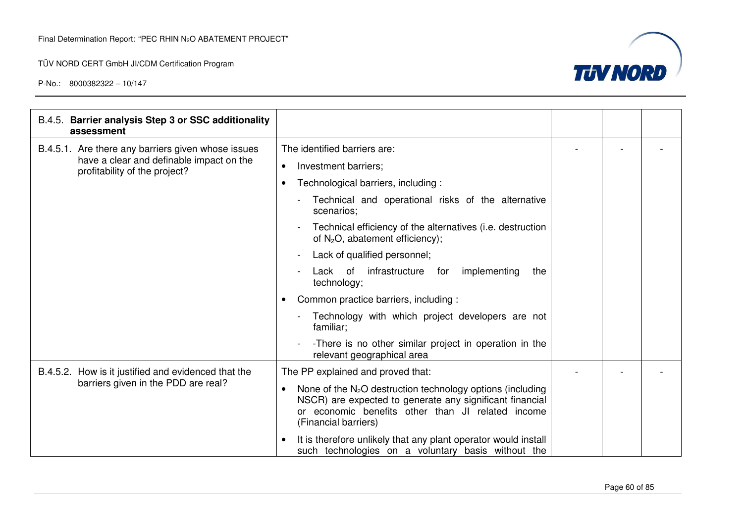

| B.4.5. Barrier analysis Step 3 or SSC additionality<br>assessment         |                                                                                                                                                                                                       |  |  |
|---------------------------------------------------------------------------|-------------------------------------------------------------------------------------------------------------------------------------------------------------------------------------------------------|--|--|
| B.4.5.1. Are there any barriers given whose issues                        | The identified barriers are:                                                                                                                                                                          |  |  |
| have a clear and definable impact on the<br>profitability of the project? | Investment barriers;<br>$\bullet$                                                                                                                                                                     |  |  |
|                                                                           | Technological barriers, including :                                                                                                                                                                   |  |  |
|                                                                           | Technical and operational risks of the alternative<br>scenarios;                                                                                                                                      |  |  |
|                                                                           | Technical efficiency of the alternatives (i.e. destruction<br>of $N_2O$ , abatement efficiency);                                                                                                      |  |  |
|                                                                           | Lack of qualified personnel;<br>$\blacksquare$                                                                                                                                                        |  |  |
|                                                                           | implementing<br>Lack of<br>infrastructure<br>for<br>the<br>technology;                                                                                                                                |  |  |
|                                                                           | Common practice barriers, including :                                                                                                                                                                 |  |  |
|                                                                           | Technology with which project developers are not<br>familiar;                                                                                                                                         |  |  |
|                                                                           | -There is no other similar project in operation in the<br>relevant geographical area                                                                                                                  |  |  |
| B.4.5.2. How is it justified and evidenced that the                       | The PP explained and proved that:                                                                                                                                                                     |  |  |
| barriers given in the PDD are real?                                       | None of the $N_2O$ destruction technology options (including<br>NSCR) are expected to generate any significant financial<br>or economic benefits other than JI related income<br>(Financial barriers) |  |  |
|                                                                           | It is therefore unlikely that any plant operator would install<br>such technologies on a voluntary basis without the                                                                                  |  |  |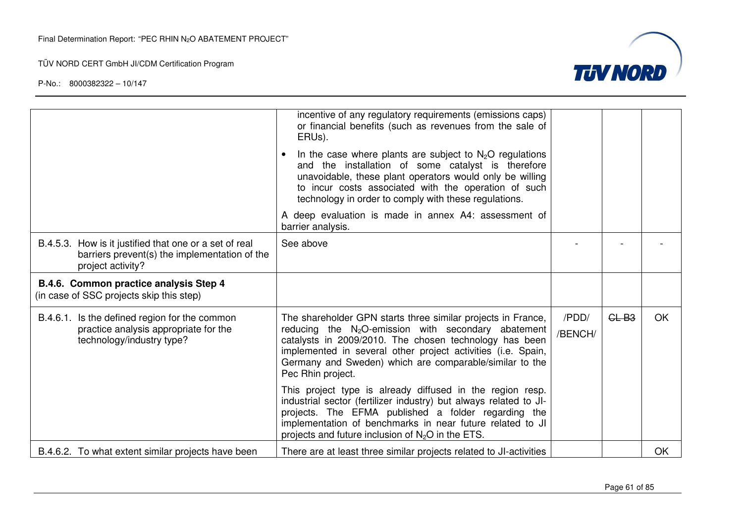

|                                                                                                                              | incentive of any regulatory requirements (emissions caps)<br>or financial benefits (such as revenues from the sale of<br>ERUs).                                                                                                                                                                                                  |                  |         |           |
|------------------------------------------------------------------------------------------------------------------------------|----------------------------------------------------------------------------------------------------------------------------------------------------------------------------------------------------------------------------------------------------------------------------------------------------------------------------------|------------------|---------|-----------|
|                                                                                                                              | In the case where plants are subject to $N_2O$ regulations<br>and the installation of some catalyst is therefore<br>unavoidable, these plant operators would only be willing<br>to incur costs associated with the operation of such<br>technology in order to comply with these regulations.                                    |                  |         |           |
|                                                                                                                              | A deep evaluation is made in annex A4: assessment of<br>barrier analysis.                                                                                                                                                                                                                                                        |                  |         |           |
| B.4.5.3. How is it justified that one or a set of real<br>barriers prevent(s) the implementation of the<br>project activity? | See above                                                                                                                                                                                                                                                                                                                        |                  |         |           |
| B.4.6. Common practice analysis Step 4<br>(in case of SSC projects skip this step)                                           |                                                                                                                                                                                                                                                                                                                                  |                  |         |           |
| B.4.6.1. Is the defined region for the common<br>practice analysis appropriate for the<br>technology/industry type?          | The shareholder GPN starts three similar projects in France,<br>reducing the $N_2O$ -emission with secondary abatement<br>catalysts in 2009/2010. The chosen technology has been<br>implemented in several other project activities (i.e. Spain,<br>Germany and Sweden) which are comparable/similar to the<br>Pec Rhin project. | /PDD/<br>/BENCH/ | $GL-B3$ | <b>OK</b> |
|                                                                                                                              | This project type is already diffused in the region resp.<br>industrial sector (fertilizer industry) but always related to JI-<br>projects. The EFMA published a folder regarding the<br>implementation of benchmarks in near future related to JI<br>projects and future inclusion of $N_2O$ in the ETS.                        |                  |         |           |
| B.4.6.2. To what extent similar projects have been                                                                           | There are at least three similar projects related to JI-activities                                                                                                                                                                                                                                                               |                  |         | <b>OK</b> |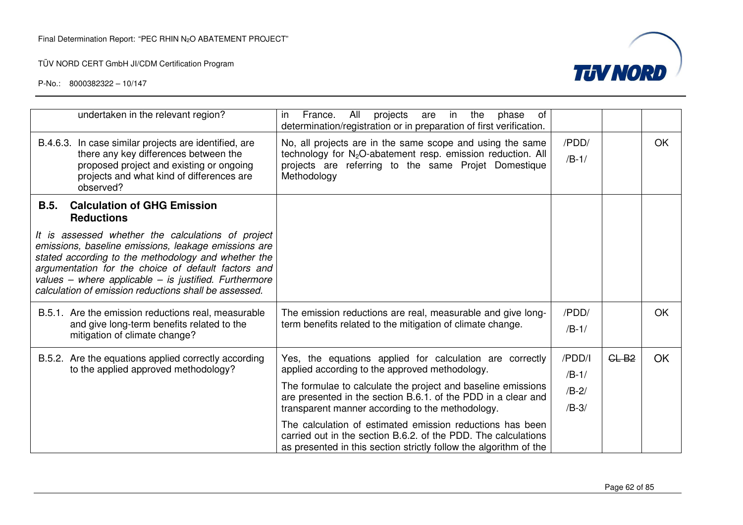

| undertaken in the relevant region?                                                                                                                                                                                                                                                                                                         | France.<br>projects<br>All<br>in<br>the<br>of<br>in.<br>are<br>phase<br>determination/registration or in preparation of first verification.                                                                 |                               |         |    |
|--------------------------------------------------------------------------------------------------------------------------------------------------------------------------------------------------------------------------------------------------------------------------------------------------------------------------------------------|-------------------------------------------------------------------------------------------------------------------------------------------------------------------------------------------------------------|-------------------------------|---------|----|
| B.4.6.3. In case similar projects are identified, are<br>there any key differences between the<br>proposed project and existing or ongoing<br>projects and what kind of differences are<br>observed?                                                                                                                                       | No, all projects are in the same scope and using the same<br>technology for N <sub>2</sub> O-abatement resp. emission reduction. All<br>projects are referring to the same Projet Domestique<br>Methodology | /PDD/<br>$/B-1/$              |         | OK |
| <b>Calculation of GHG Emission</b><br><b>B.5.</b><br><b>Reductions</b>                                                                                                                                                                                                                                                                     |                                                                                                                                                                                                             |                               |         |    |
| It is assessed whether the calculations of project<br>emissions, baseline emissions, leakage emissions are<br>stated according to the methodology and whether the<br>argumentation for the choice of default factors and<br>values - where applicable - is justified. Furthermore<br>calculation of emission reductions shall be assessed. |                                                                                                                                                                                                             |                               |         |    |
| B.5.1. Are the emission reductions real, measurable<br>and give long-term benefits related to the<br>mitigation of climate change?                                                                                                                                                                                                         | The emission reductions are real, measurable and give long-<br>term benefits related to the mitigation of climate change.                                                                                   | /PDD/<br>$/B-1/$              |         | OK |
| B.5.2. Are the equations applied correctly according<br>to the applied approved methodology?                                                                                                                                                                                                                                               | Yes, the equations applied for calculation are correctly<br>applied according to the approved methodology.                                                                                                  |                               | $CL-B2$ | OK |
|                                                                                                                                                                                                                                                                                                                                            | The formulae to calculate the project and baseline emissions<br>are presented in the section B.6.1. of the PDD in a clear and<br>transparent manner according to the methodology.                           | $/B-1/$<br>$/B-2/$<br>$/B-3/$ |         |    |
|                                                                                                                                                                                                                                                                                                                                            | The calculation of estimated emission reductions has been<br>carried out in the section B.6.2. of the PDD. The calculations<br>as presented in this section strictly follow the algorithm of the            |                               |         |    |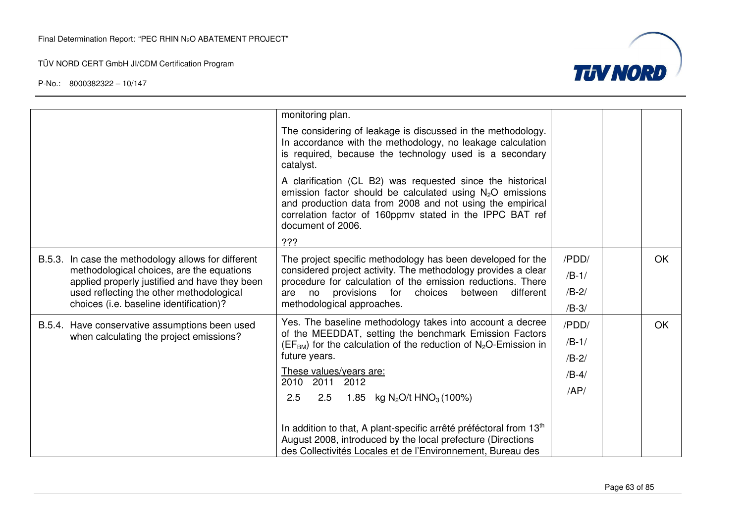



|                                         |                                                                                                                                                   | monitoring plan.                                                                                                                                                                                                                                                        |         |    |
|-----------------------------------------|---------------------------------------------------------------------------------------------------------------------------------------------------|-------------------------------------------------------------------------------------------------------------------------------------------------------------------------------------------------------------------------------------------------------------------------|---------|----|
|                                         |                                                                                                                                                   | The considering of leakage is discussed in the methodology.<br>In accordance with the methodology, no leakage calculation<br>is required, because the technology used is a secondary<br>catalyst.                                                                       |         |    |
|                                         |                                                                                                                                                   | A clarification (CL B2) was requested since the historical<br>emission factor should be calculated using $N_2O$ emissions<br>and production data from 2008 and not using the empirical<br>correlation factor of 160ppmv stated in the IPPC BAT ref<br>document of 2006. |         |    |
|                                         |                                                                                                                                                   | ???                                                                                                                                                                                                                                                                     |         |    |
|                                         | B.5.3. In case the methodology allows for different<br>methodological choices, are the equations<br>applied properly justified and have they been | The project specific methodology has been developed for the<br>considered project activity. The methodology provides a clear<br>procedure for calculation of the emission reductions. There<br>provisions<br>for<br>different<br>choices<br>between<br>are<br>no        | /PDD/   | OK |
|                                         |                                                                                                                                                   |                                                                                                                                                                                                                                                                         | $/B-1/$ |    |
|                                         | used reflecting the other methodological                                                                                                          |                                                                                                                                                                                                                                                                         | $/B-2/$ |    |
| choices (i.e. baseline identification)? |                                                                                                                                                   | methodological approaches.                                                                                                                                                                                                                                              |         |    |
|                                         | B.5.4. Have conservative assumptions been used                                                                                                    | Yes. The baseline methodology takes into account a decree                                                                                                                                                                                                               | /PDD/   | OK |
|                                         | when calculating the project emissions?                                                                                                           | of the MEEDDAT, setting the benchmark Emission Factors<br>$(EFBM)$ for the calculation of the reduction of $N2O$ -Emission in                                                                                                                                           | $/B-1/$ |    |
|                                         |                                                                                                                                                   | future years.                                                                                                                                                                                                                                                           | $/B-2/$ |    |
|                                         |                                                                                                                                                   | These values/years are:<br>2010 2011 2012                                                                                                                                                                                                                               | $/B-4/$ |    |
|                                         |                                                                                                                                                   | 2.5<br>1.85 kg N <sub>2</sub> O/t HNO <sub>3</sub> (100%)<br>2.5                                                                                                                                                                                                        | AP/     |    |
|                                         |                                                                                                                                                   | In addition to that, A plant-specific arrêté préféctoral from 13 <sup>th</sup><br>August 2008, introduced by the local prefecture (Directions<br>des Collectivités Locales et de l'Environnement, Bureau des                                                            |         |    |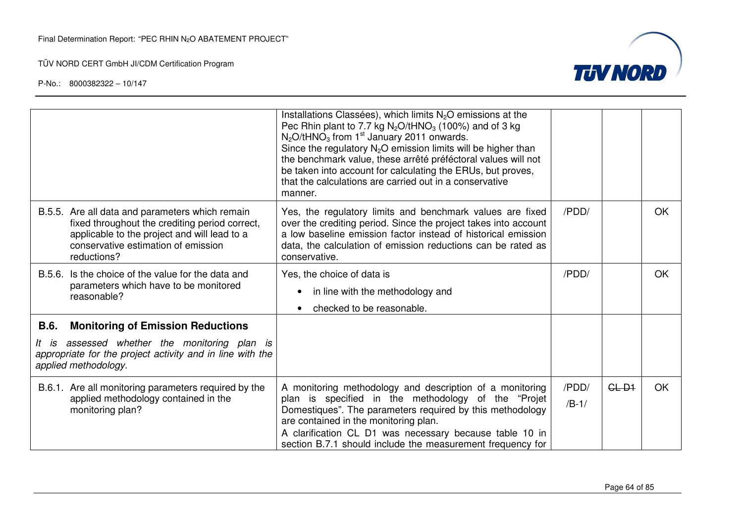

|             |                                                                                                                                                                                                         | Installations Classées), which limits N <sub>2</sub> O emissions at the<br>Pec Rhin plant to 7.7 kg $N_2O/tHNO_3$ (100%) and of 3 kg<br>$N_2$ O/tHNO <sub>3</sub> from 1 <sup>st</sup> January 2011 onwards.<br>Since the regulatory $N_2O$ emission limits will be higher than<br>the benchmark value, these arrêté préféctoral values will not<br>be taken into account for calculating the ERUs, but proves,<br>that the calculations are carried out in a conservative<br>manner. |                  |         |           |
|-------------|---------------------------------------------------------------------------------------------------------------------------------------------------------------------------------------------------------|---------------------------------------------------------------------------------------------------------------------------------------------------------------------------------------------------------------------------------------------------------------------------------------------------------------------------------------------------------------------------------------------------------------------------------------------------------------------------------------|------------------|---------|-----------|
|             | B.5.5. Are all data and parameters which remain<br>fixed throughout the crediting period correct,<br>applicable to the project and will lead to a<br>conservative estimation of emission<br>reductions? | Yes, the regulatory limits and benchmark values are fixed<br>over the crediting period. Since the project takes into account<br>a low baseline emission factor instead of historical emission<br>data, the calculation of emission reductions can be rated as<br>conservative.                                                                                                                                                                                                        | /PDD/            |         | <b>OK</b> |
| B.5.6.      | Is the choice of the value for the data and<br>parameters which have to be monitored<br>reasonable?                                                                                                     | Yes, the choice of data is<br>in line with the methodology and<br>checked to be reasonable.                                                                                                                                                                                                                                                                                                                                                                                           | /PDD/            |         | <b>OK</b> |
| <b>B.6.</b> | <b>Monitoring of Emission Reductions</b>                                                                                                                                                                |                                                                                                                                                                                                                                                                                                                                                                                                                                                                                       |                  |         |           |
|             | It is assessed whether the monitoring plan is<br>appropriate for the project activity and in line with the<br>applied methodology.                                                                      |                                                                                                                                                                                                                                                                                                                                                                                                                                                                                       |                  |         |           |
|             | B.6.1. Are all monitoring parameters required by the<br>applied methodology contained in the<br>monitoring plan?                                                                                        | A monitoring methodology and description of a monitoring<br>plan is specified in the methodology of the "Projet<br>Domestiques". The parameters required by this methodology<br>are contained in the monitoring plan.<br>A clarification CL D1 was necessary because table 10 in<br>section B.7.1 should include the measurement frequency for                                                                                                                                        | /PDD/<br>$/B-1/$ | $GL-D1$ | <b>OK</b> |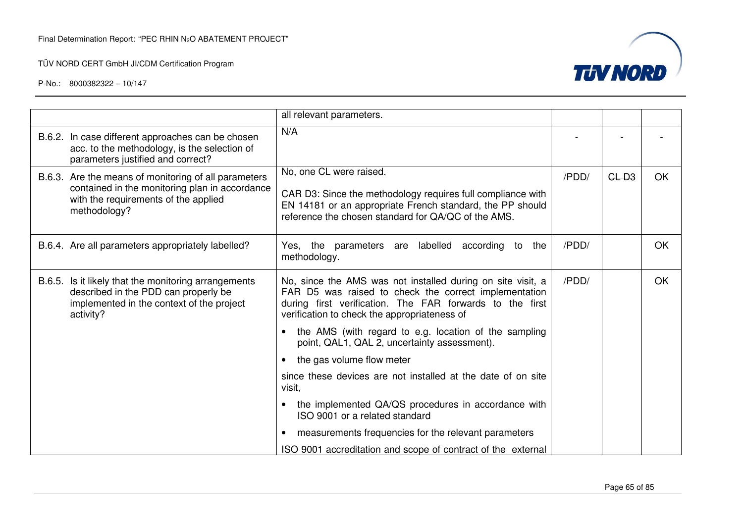

|                                                                                                                                                                | all relevant parameters.                                                                                                                                                                                                         |       |         |    |
|----------------------------------------------------------------------------------------------------------------------------------------------------------------|----------------------------------------------------------------------------------------------------------------------------------------------------------------------------------------------------------------------------------|-------|---------|----|
| B.6.2. In case different approaches can be chosen<br>acc. to the methodology, is the selection of<br>parameters justified and correct?                         | N/A                                                                                                                                                                                                                              |       |         |    |
| B.6.3. Are the means of monitoring of all parameters<br>contained in the monitoring plan in accordance<br>with the requirements of the applied<br>methodology? | No, one CL were raised.<br>CAR D3: Since the methodology requires full compliance with<br>EN 14181 or an appropriate French standard, the PP should<br>reference the chosen standard for QA/QC of the AMS.                       | /PDD/ | $GL-D3$ | OK |
| B.6.4. Are all parameters appropriately labelled?                                                                                                              | Yes, the parameters are labelled according to the<br>methodology.                                                                                                                                                                | /PDD/ |         | OK |
| B.6.5. Is it likely that the monitoring arrangements<br>described in the PDD can properly be<br>implemented in the context of the project<br>activity?         | No, since the AMS was not installed during on site visit, a<br>FAR D5 was raised to check the correct implementation<br>during first verification. The FAR forwards to the first<br>verification to check the appropriateness of | /PDD/ |         | OK |
|                                                                                                                                                                | the AMS (with regard to e.g. location of the sampling<br>point, QAL1, QAL 2, uncertainty assessment).                                                                                                                            |       |         |    |
|                                                                                                                                                                | the gas volume flow meter                                                                                                                                                                                                        |       |         |    |
|                                                                                                                                                                | since these devices are not installed at the date of on site<br>visit,                                                                                                                                                           |       |         |    |
|                                                                                                                                                                | the implemented QA/QS procedures in accordance with<br>ISO 9001 or a related standard                                                                                                                                            |       |         |    |
|                                                                                                                                                                | measurements frequencies for the relevant parameters<br>٠                                                                                                                                                                        |       |         |    |
|                                                                                                                                                                | ISO 9001 accreditation and scope of contract of the external                                                                                                                                                                     |       |         |    |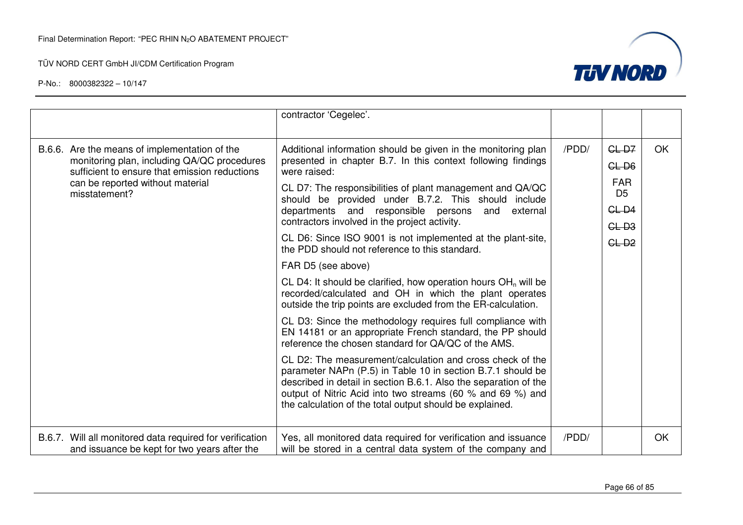

|  |                                                                                                                                                                                              | contractor 'Cegelec'.                                                                                                                                                                                                                                                                                                  |         |                              |           |
|--|----------------------------------------------------------------------------------------------------------------------------------------------------------------------------------------------|------------------------------------------------------------------------------------------------------------------------------------------------------------------------------------------------------------------------------------------------------------------------------------------------------------------------|---------|------------------------------|-----------|
|  | B.6.6. Are the means of implementation of the                                                                                                                                                | Additional information should be given in the monitoring plan                                                                                                                                                                                                                                                          | /PDD/   | $GL-D7$                      | <b>OK</b> |
|  | monitoring plan, including QA/QC procedures<br>sufficient to ensure that emission reductions<br>can be reported without material<br>misstatement?                                            | presented in chapter B.7. In this context following findings<br>were raised:                                                                                                                                                                                                                                           |         | $GL-DB$                      |           |
|  |                                                                                                                                                                                              | CL D7: The responsibilities of plant management and QA/QC<br>should be provided under B.7.2. This should include                                                                                                                                                                                                       |         | <b>FAR</b><br>D <sub>5</sub> |           |
|  |                                                                                                                                                                                              | departments and responsible persons<br>external<br>and                                                                                                                                                                                                                                                                 |         | $GL-D4$                      |           |
|  |                                                                                                                                                                                              | contractors involved in the project activity.                                                                                                                                                                                                                                                                          |         | $GL-3$                       |           |
|  | CL D6: Since ISO 9001 is not implemented at the plant-site,<br>the PDD should not reference to this standard.                                                                                |                                                                                                                                                                                                                                                                                                                        | $GL-D2$ |                              |           |
|  | FAR D5 (see above)                                                                                                                                                                           |                                                                                                                                                                                                                                                                                                                        |         |                              |           |
|  | CL D4: It should be clarified, how operation hours $OH_n$ will be<br>recorded/calculated and OH in which the plant operates<br>outside the trip points are excluded from the ER-calculation. |                                                                                                                                                                                                                                                                                                                        |         |                              |           |
|  |                                                                                                                                                                                              | CL D3: Since the methodology requires full compliance with<br>EN 14181 or an appropriate French standard, the PP should<br>reference the chosen standard for QA/QC of the AMS.                                                                                                                                         |         |                              |           |
|  |                                                                                                                                                                                              | CL D2: The measurement/calculation and cross check of the<br>parameter NAPn (P.5) in Table 10 in section B.7.1 should be<br>described in detail in section B.6.1. Also the separation of the<br>output of Nitric Acid into two streams (60 % and 69 %) and<br>the calculation of the total output should be explained. |         |                              |           |
|  | B.6.7. Will all monitored data required for verification<br>and issuance be kept for two years after the                                                                                     | Yes, all monitored data required for verification and issuance<br>will be stored in a central data system of the company and                                                                                                                                                                                           | /PDD/   |                              | OK        |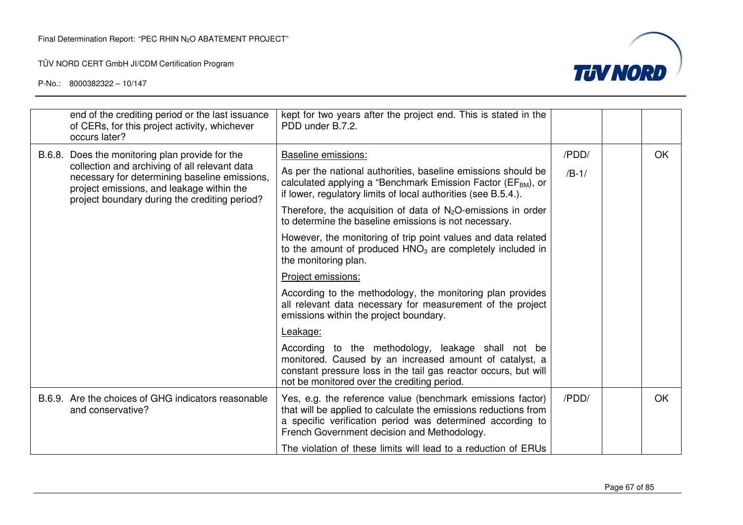

|  | end of the crediting period or the last issuance<br>of CERs, for this project activity, whichever<br>occurs later?                                                                                                                              | kept for two years after the project end. This is stated in the<br>PDD under B.7.2.                                                                                                                                                        |         |           |
|--|-------------------------------------------------------------------------------------------------------------------------------------------------------------------------------------------------------------------------------------------------|--------------------------------------------------------------------------------------------------------------------------------------------------------------------------------------------------------------------------------------------|---------|-----------|
|  | B.6.8. Does the monitoring plan provide for the<br>collection and archiving of all relevant data<br>necessary for determining baseline emissions,<br>project emissions, and leakage within the<br>project boundary during the crediting period? | Baseline emissions:                                                                                                                                                                                                                        | /PDD/   | OK        |
|  |                                                                                                                                                                                                                                                 | As per the national authorities, baseline emissions should be<br>calculated applying a "Benchmark Emission Factor (EF <sub>BM</sub> ), or<br>if lower, regulatory limits of local authorities (see B.5.4.).                                | $/B-1/$ |           |
|  |                                                                                                                                                                                                                                                 | Therefore, the acquisition of data of $N_2O$ -emissions in order<br>to determine the baseline emissions is not necessary.                                                                                                                  |         |           |
|  |                                                                                                                                                                                                                                                 | However, the monitoring of trip point values and data related<br>to the amount of produced HNO <sub>3</sub> are completely included in<br>the monitoring plan.                                                                             |         |           |
|  |                                                                                                                                                                                                                                                 | Project emissions:                                                                                                                                                                                                                         |         |           |
|  |                                                                                                                                                                                                                                                 | According to the methodology, the monitoring plan provides<br>all relevant data necessary for measurement of the project<br>emissions within the project boundary.                                                                         |         |           |
|  |                                                                                                                                                                                                                                                 | Leakage:                                                                                                                                                                                                                                   |         |           |
|  |                                                                                                                                                                                                                                                 | According to the methodology, leakage shall not be<br>monitored. Caused by an increased amount of catalyst, a<br>constant pressure loss in the tail gas reactor occurs, but will<br>not be monitored over the crediting period.            |         |           |
|  | B.6.9. Are the choices of GHG indicators reasonable<br>and conservative?                                                                                                                                                                        | Yes, e.g. the reference value (benchmark emissions factor)<br>that will be applied to calculate the emissions reductions from<br>a specific verification period was determined according to<br>French Government decision and Methodology. | /PDD/   | <b>OK</b> |
|  |                                                                                                                                                                                                                                                 | The violation of these limits will lead to a reduction of ERUs                                                                                                                                                                             |         |           |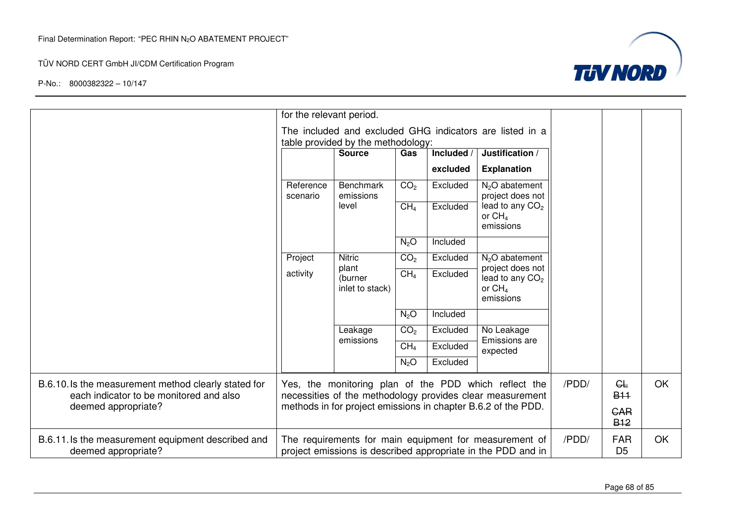

|                                                                                                 | for the relevant period.                                                                                           |                                                                                                |                 |            |                                                                                                                        |       |                                     |           |
|-------------------------------------------------------------------------------------------------|--------------------------------------------------------------------------------------------------------------------|------------------------------------------------------------------------------------------------|-----------------|------------|------------------------------------------------------------------------------------------------------------------------|-------|-------------------------------------|-----------|
|                                                                                                 |                                                                                                                    | The included and excluded GHG indicators are listed in a<br>table provided by the methodology: |                 |            |                                                                                                                        |       |                                     |           |
|                                                                                                 |                                                                                                                    | <b>Source</b>                                                                                  | Gas             | Included / | Justification /                                                                                                        |       |                                     |           |
|                                                                                                 |                                                                                                                    |                                                                                                |                 | excluded   | <b>Explanation</b>                                                                                                     |       |                                     |           |
|                                                                                                 | Reference<br>scenario                                                                                              | <b>Benchmark</b><br>emissions                                                                  | CO <sub>2</sub> | Excluded   | $N2O$ abatement<br>project does not                                                                                    |       |                                     |           |
|                                                                                                 |                                                                                                                    | level                                                                                          | CH <sub>4</sub> | Excluded   | lead to any CO <sub>2</sub><br>or $CH4$<br>emissions                                                                   |       |                                     |           |
|                                                                                                 |                                                                                                                    |                                                                                                | $N_2O$          | Included   |                                                                                                                        |       |                                     |           |
|                                                                                                 | Project                                                                                                            | <b>Nitric</b>                                                                                  | CO <sub>2</sub> | Excluded   | $N2O$ abatement                                                                                                        |       |                                     |           |
|                                                                                                 | activity                                                                                                           | plant<br>(burner<br>inlet to stack)                                                            | CH <sub>4</sub> | Excluded   | project does not<br>lead to any CO <sub>2</sub><br>or $CH4$<br>emissions                                               |       |                                     |           |
|                                                                                                 |                                                                                                                    |                                                                                                | $N_2O$          | Included   |                                                                                                                        |       |                                     |           |
|                                                                                                 |                                                                                                                    | Leakage                                                                                        | CO <sub>2</sub> | Excluded   | No Leakage                                                                                                             |       |                                     |           |
|                                                                                                 |                                                                                                                    | emissions                                                                                      | CH <sub>4</sub> | Excluded   | Emissions are<br>expected                                                                                              |       |                                     |           |
|                                                                                                 |                                                                                                                    | N <sub>2</sub> O<br>Excluded                                                                   |                 |            |                                                                                                                        |       |                                     |           |
| B.6.10. Is the measurement method clearly stated for<br>each indicator to be monitored and also | Yes, the monitoring plan of the PDD which reflect the<br>necessities of the methodology provides clear measurement |                                                                                                |                 |            |                                                                                                                        | /PDD/ | CL<br><b>B<sub>11</sub></b>         | <b>OK</b> |
| deemed appropriate?                                                                             | methods in for project emissions in chapter B.6.2 of the PDD.                                                      |                                                                                                |                 |            |                                                                                                                        |       | <b>GAR</b><br><b>B<sub>12</sub></b> |           |
| B.6.11. Is the measurement equipment described and<br>deemed appropriate?                       |                                                                                                                    |                                                                                                |                 |            | The requirements for main equipment for measurement of<br>project emissions is described appropriate in the PDD and in | /PDD/ | <b>FAR</b><br>D <sub>5</sub>        | OK        |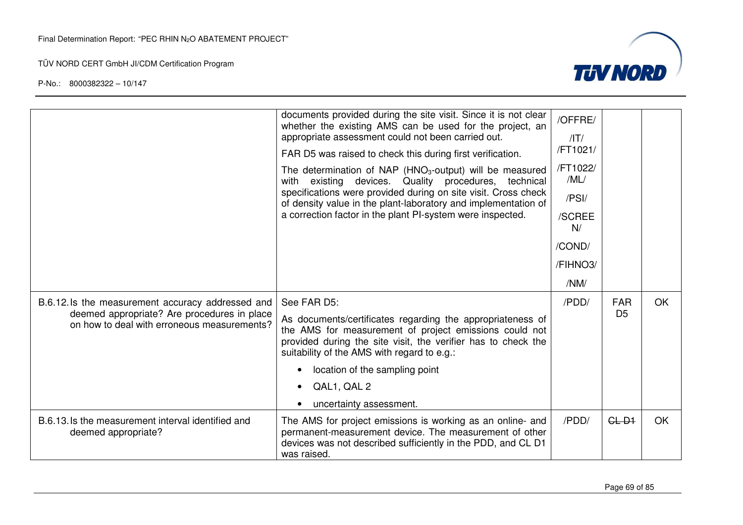

|                                                                                                                                                | documents provided during the site visit. Since it is not clear<br>whether the existing AMS can be used for the project, an<br>appropriate assessment could not been carried out.<br>FAR D5 was raised to check this during first verification.<br>The determination of NAP ( $HNO3$ -output) will be measured<br>with existing devices. Quality procedures, technical<br>specifications were provided during on site visit. Cross check<br>of density value in the plant-laboratory and implementation of<br>a correction factor in the plant PI-system were inspected. | /OFFRE/<br>/IT/<br>/FT1021/<br>/FT1022/<br>/ML/<br>/PSI/<br>/SCREE<br>N/<br>/COND/<br>/FIHNO3/<br>/NM/ |                              |           |
|------------------------------------------------------------------------------------------------------------------------------------------------|--------------------------------------------------------------------------------------------------------------------------------------------------------------------------------------------------------------------------------------------------------------------------------------------------------------------------------------------------------------------------------------------------------------------------------------------------------------------------------------------------------------------------------------------------------------------------|--------------------------------------------------------------------------------------------------------|------------------------------|-----------|
| B.6.12.1s the measurement accuracy addressed and<br>deemed appropriate? Are procedures in place<br>on how to deal with erroneous measurements? | See FAR D5:<br>As documents/certificates regarding the appropriateness of<br>the AMS for measurement of project emissions could not<br>provided during the site visit, the verifier has to check the<br>suitability of the AMS with regard to e.g.:<br>location of the sampling point<br>QAL1, QAL 2<br>uncertainty assessment.                                                                                                                                                                                                                                          | /PDD/                                                                                                  | <b>FAR</b><br>D <sub>5</sub> | OK.       |
| B.6.13. Is the measurement interval identified and<br>deemed appropriate?                                                                      | The AMS for project emissions is working as an online- and<br>permanent-measurement device. The measurement of other<br>devices was not described sufficiently in the PDD, and CL D1<br>was raised.                                                                                                                                                                                                                                                                                                                                                                      | /PDD/                                                                                                  | $GL-D1$                      | <b>OK</b> |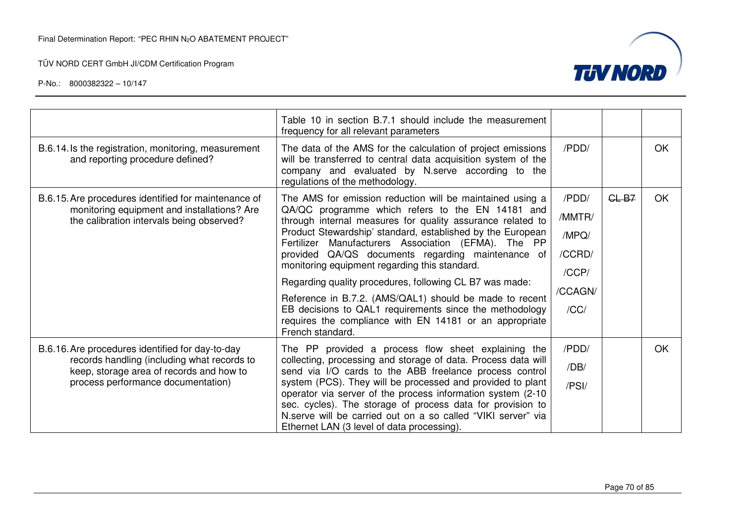

|                                                                                                                                                                                   | Table 10 in section B.7.1 should include the measurement<br>frequency for all relevant parameters                                                                                                                                                                                                                                                                                                                                                                                                                                                                                                                                                                      |                                                                |         |           |
|-----------------------------------------------------------------------------------------------------------------------------------------------------------------------------------|------------------------------------------------------------------------------------------------------------------------------------------------------------------------------------------------------------------------------------------------------------------------------------------------------------------------------------------------------------------------------------------------------------------------------------------------------------------------------------------------------------------------------------------------------------------------------------------------------------------------------------------------------------------------|----------------------------------------------------------------|---------|-----------|
| B.6.14. Is the registration, monitoring, measurement<br>and reporting procedure defined?                                                                                          | The data of the AMS for the calculation of project emissions<br>will be transferred to central data acquisition system of the<br>company and evaluated by N.serve according to the<br>regulations of the methodology.                                                                                                                                                                                                                                                                                                                                                                                                                                                  | /PDD/                                                          |         | OK.       |
| B.6.15. Are procedures identified for maintenance of<br>monitoring equipment and installations? Are<br>the calibration intervals being observed?                                  | The AMS for emission reduction will be maintained using a<br>QA/QC programme which refers to the EN 14181 and<br>through internal measures for quality assurance related to<br>Product Stewardship' standard, established by the European<br>Fertilizer Manufacturers Association (EFMA). The PP<br>provided QA/QS documents regarding maintenance of<br>monitoring equipment regarding this standard.<br>Regarding quality procedures, following CL B7 was made:<br>Reference in B.7.2. (AMS/QAL1) should be made to recent<br>EB decisions to QAL1 requirements since the methodology<br>requires the compliance with EN 14181 or an appropriate<br>French standard. | /PDD/<br>/MMTR/<br>/MPQ/<br>/CCRD/<br>/CCP/<br>/CCAGN/<br>/CC/ | $GL-B7$ | <b>OK</b> |
| B.6.16. Are procedures identified for day-to-day<br>records handling (including what records to<br>keep, storage area of records and how to<br>process performance documentation) | The PP provided a process flow sheet explaining the<br>collecting, processing and storage of data. Process data will<br>send via I/O cards to the ABB freelance process control<br>system (PCS). They will be processed and provided to plant<br>operator via server of the process information system (2-10<br>sec. cycles). The storage of process data for provision to<br>N.serve will be carried out on a so called "VIKI server" via<br>Ethernet LAN (3 level of data processing).                                                                                                                                                                               | /PDD/<br>/DB/<br>/PSI/                                         |         | <b>OK</b> |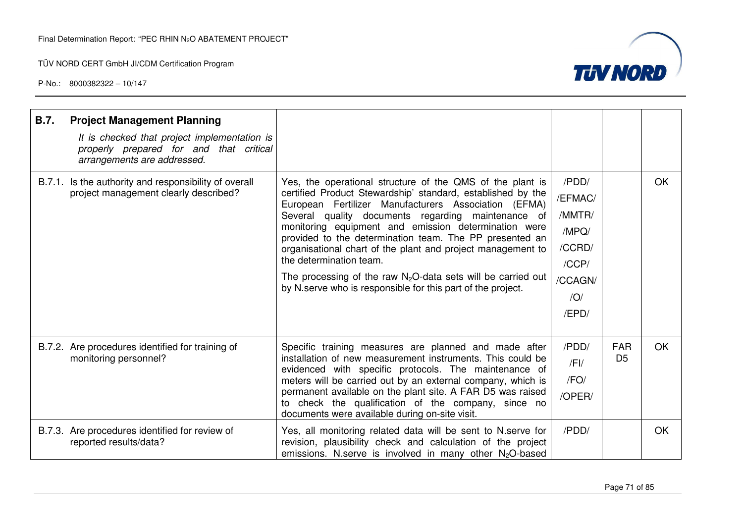

| <b>B.7.</b> | <b>Project Management Planning</b><br>It is checked that project implementation is<br>properly prepared for and that critical<br>arrangements are addressed. |                                                                                                                                                                                                                                                                                                                                                                                                                                                                                                                                                                                       |                                                                                   |                              |    |
|-------------|--------------------------------------------------------------------------------------------------------------------------------------------------------------|---------------------------------------------------------------------------------------------------------------------------------------------------------------------------------------------------------------------------------------------------------------------------------------------------------------------------------------------------------------------------------------------------------------------------------------------------------------------------------------------------------------------------------------------------------------------------------------|-----------------------------------------------------------------------------------|------------------------------|----|
|             | B.7.1. Is the authority and responsibility of overall<br>project management clearly described?                                                               | Yes, the operational structure of the QMS of the plant is<br>certified Product Stewardship' standard, established by the<br>European Fertilizer Manufacturers Association (EFMA)<br>Several quality documents regarding maintenance of<br>monitoring equipment and emission determination were<br>provided to the determination team. The PP presented an<br>organisational chart of the plant and project management to<br>the determination team.<br>The processing of the raw $N_2O$ -data sets will be carried out<br>by N.serve who is responsible for this part of the project. | /PDD/<br>/EFMAC/<br>/MMTR/<br>/MPQ/<br>/CCRD/<br>/CCP/<br>/CCAGN/<br>/O/<br>/EPD/ |                              | OK |
|             | B.7.2. Are procedures identified for training of<br>monitoring personnel?                                                                                    | Specific training measures are planned and made after<br>installation of new measurement instruments. This could be<br>evidenced with specific protocols. The maintenance of<br>meters will be carried out by an external company, which is<br>permanent available on the plant site. A FAR D5 was raised<br>to check the qualification of the company, since no<br>documents were available during on-site visit.                                                                                                                                                                    | /PDD/<br>$/$ FI $/$<br>/FO/<br>/OPER/                                             | <b>FAR</b><br>D <sub>5</sub> | OK |
|             | B.7.3. Are procedures identified for review of<br>reported results/data?                                                                                     | Yes, all monitoring related data will be sent to N.serve for<br>revision, plausibility check and calculation of the project<br>emissions. N.serve is involved in many other $N_2O$ -based                                                                                                                                                                                                                                                                                                                                                                                             | /PDD/                                                                             |                              | OK |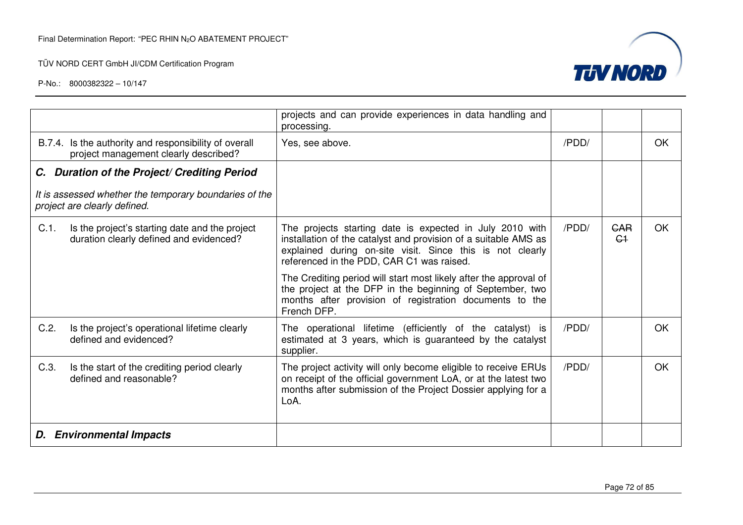

|                                                                                                      | projects and can provide experiences in data handling and<br>processing.                                                                                                                                                              |       |                              |           |
|------------------------------------------------------------------------------------------------------|---------------------------------------------------------------------------------------------------------------------------------------------------------------------------------------------------------------------------------------|-------|------------------------------|-----------|
| B.7.4. Is the authority and responsibility of overall<br>project management clearly described?       | Yes, see above.                                                                                                                                                                                                                       | /PDD/ |                              | <b>OK</b> |
| C. Duration of the Project/ Crediting Period                                                         |                                                                                                                                                                                                                                       |       |                              |           |
| It is assessed whether the temporary boundaries of the<br>project are clearly defined.               |                                                                                                                                                                                                                                       |       |                              |           |
| $C.1$ .<br>Is the project's starting date and the project<br>duration clearly defined and evidenced? | The projects starting date is expected in July 2010 with<br>installation of the catalyst and provision of a suitable AMS as<br>explained during on-site visit. Since this is not clearly<br>referenced in the PDD, CAR C1 was raised. | /PDD/ | <b>GAR</b><br>C <sub>1</sub> | <b>OK</b> |
|                                                                                                      | The Crediting period will start most likely after the approval of<br>the project at the DFP in the beginning of September, two<br>months after provision of registration documents to the<br>French DFP.                              |       |                              |           |
| C.2.<br>Is the project's operational lifetime clearly<br>defined and evidenced?                      | The operational lifetime (efficiently of the catalyst) is<br>estimated at 3 years, which is guaranteed by the catalyst<br>supplier.                                                                                                   | /PDD/ |                              | <b>OK</b> |
| C.3.<br>Is the start of the crediting period clearly<br>defined and reasonable?                      | The project activity will only become eligible to receive ERUs<br>on receipt of the official government LoA, or at the latest two<br>months after submission of the Project Dossier applying for a<br>LoA.                            | /PDD/ |                              | <b>OK</b> |
| <b>D.</b> Environmental Impacts                                                                      |                                                                                                                                                                                                                                       |       |                              |           |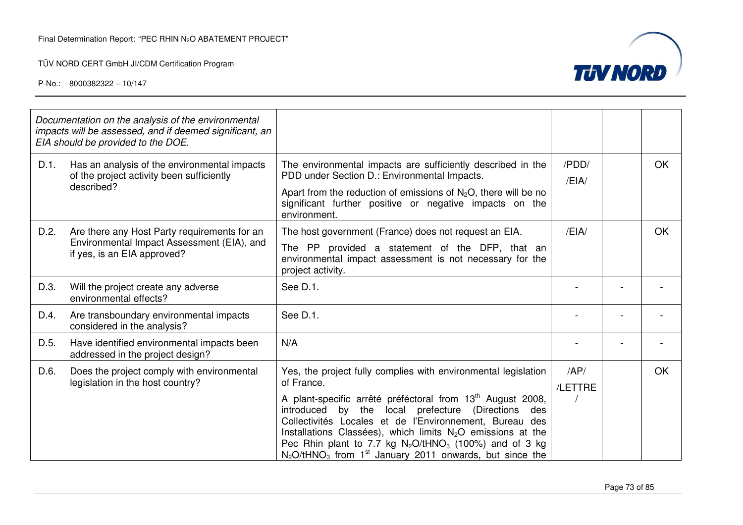TÜV NORD CERT GmbH JI/CDM Certification Program



|      | Documentation on the analysis of the environmental<br>impacts will be assessed, and if deemed significant, an<br>EIA should be provided to the DOE. |                                                                                                                                                                                                                                                                                                                                                                                                                                                                                                      |                |           |
|------|-----------------------------------------------------------------------------------------------------------------------------------------------------|------------------------------------------------------------------------------------------------------------------------------------------------------------------------------------------------------------------------------------------------------------------------------------------------------------------------------------------------------------------------------------------------------------------------------------------------------------------------------------------------------|----------------|-----------|
| D.1. | Has an analysis of the environmental impacts<br>of the project activity been sufficiently<br>described?                                             | The environmental impacts are sufficiently described in the<br>PDD under Section D.: Environmental Impacts.<br>Apart from the reduction of emissions of $N_2O$ , there will be no<br>significant further positive or negative impacts on the<br>environment.                                                                                                                                                                                                                                         | /PDD/<br>/EIA/ | OK        |
| D.2. | Are there any Host Party requirements for an<br>Environmental Impact Assessment (EIA), and<br>if yes, is an EIA approved?                           | The host government (France) does not request an EIA.<br>The PP provided a statement of the DFP, that an<br>environmental impact assessment is not necessary for the<br>project activity.                                                                                                                                                                                                                                                                                                            | /EH            | <b>OK</b> |
| D.3. | Will the project create any adverse<br>environmental effects?                                                                                       | See D.1.                                                                                                                                                                                                                                                                                                                                                                                                                                                                                             |                |           |
| D.4. | Are transboundary environmental impacts<br>considered in the analysis?                                                                              | See D.1.                                                                                                                                                                                                                                                                                                                                                                                                                                                                                             |                |           |
| D.5. | Have identified environmental impacts been<br>addressed in the project design?                                                                      | N/A                                                                                                                                                                                                                                                                                                                                                                                                                                                                                                  |                |           |
| D.6. | Does the project comply with environmental<br>legislation in the host country?                                                                      | Yes, the project fully complies with environmental legislation<br>of France.<br>A plant-specific arrêté préféctoral from 13 <sup>th</sup> August 2008,<br>introduced by<br>the<br>local prefecture (Directions<br>des<br>Collectivités Locales et de l'Environnement, Bureau des<br>Installations Classées), which limits $N_2O$ emissions at the<br>Pec Rhin plant to 7.7 kg $N_2O/tHNO_3$ (100%) and of 3 kg<br>$N_2O$ /tHNO <sub>3</sub> from 1 <sup>st</sup> January 2011 onwards, but since the | AP/<br>/LETTRE | OK        |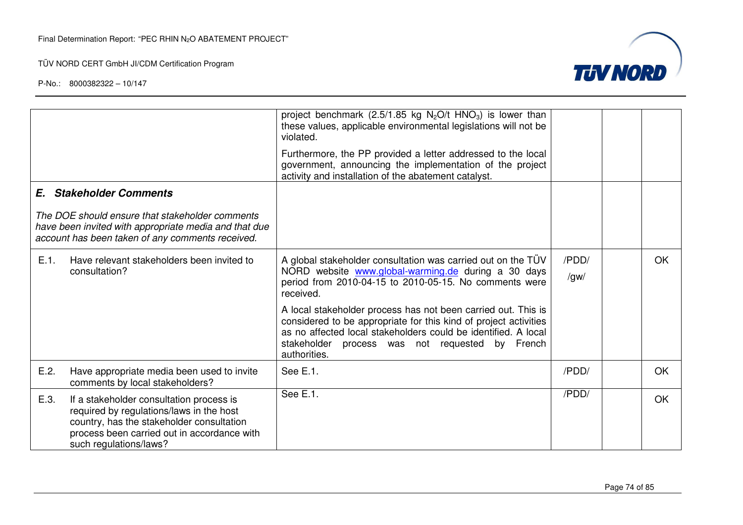TÜV NORD CERT GmbH JI/CDM Certification Program



|                                                                                                                                                                                                                    | project benchmark (2.5/1.85 kg $N_2O/t$ HNO <sub>3</sub> ) is lower than<br>these values, applicable environmental legislations will not be<br>violated.                                                                                                               |                        |           |
|--------------------------------------------------------------------------------------------------------------------------------------------------------------------------------------------------------------------|------------------------------------------------------------------------------------------------------------------------------------------------------------------------------------------------------------------------------------------------------------------------|------------------------|-----------|
|                                                                                                                                                                                                                    | Furthermore, the PP provided a letter addressed to the local<br>government, announcing the implementation of the project<br>activity and installation of the abatement catalyst.                                                                                       |                        |           |
| <b>E.</b> Stakeholder Comments                                                                                                                                                                                     |                                                                                                                                                                                                                                                                        |                        |           |
| The DOE should ensure that stakeholder comments<br>have been invited with appropriate media and that due<br>account has been taken of any comments received.                                                       |                                                                                                                                                                                                                                                                        |                        |           |
| E.1.<br>Have relevant stakeholders been invited to<br>consultation?                                                                                                                                                | A global stakeholder consultation was carried out on the TÜV<br>NORD website www.global-warming.de during a 30 days<br>period from 2010-04-15 to 2010-05-15. No comments were<br>received.                                                                             | /PDD/<br>$\sqrt{g}$ W/ | <b>OK</b> |
|                                                                                                                                                                                                                    | A local stakeholder process has not been carried out. This is<br>considered to be appropriate for this kind of project activities<br>as no affected local stakeholders could be identified. A local<br>stakeholder process was not requested by French<br>authorities. |                        |           |
| E.2.<br>Have appropriate media been used to invite<br>comments by local stakeholders?                                                                                                                              | See E.1.                                                                                                                                                                                                                                                               | /PDD/                  | <b>OK</b> |
| E.3.<br>If a stakeholder consultation process is<br>required by regulations/laws in the host<br>country, has the stakeholder consultation<br>process been carried out in accordance with<br>such regulations/laws? | See E.1.                                                                                                                                                                                                                                                               | /PDD/                  | <b>OK</b> |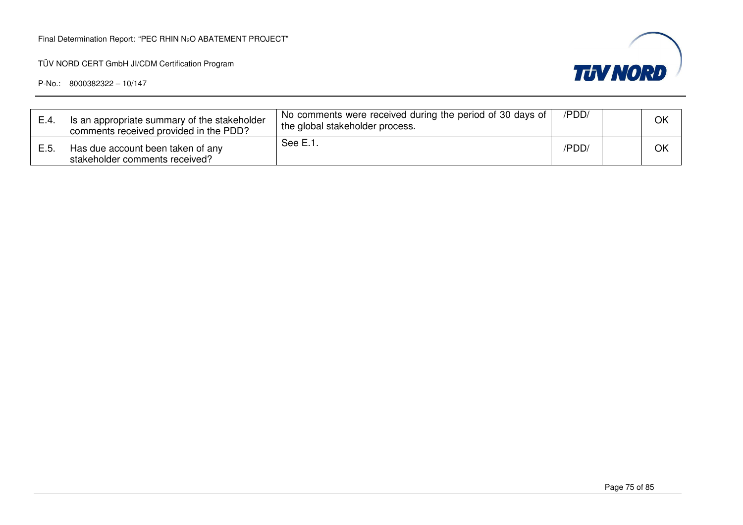TÜV NORD CERT GmbH JI/CDM Certification Program



| E.4. | Is an appropriate summary of the stakeholder<br>comments received provided in the PDD? | No comments were received during the period of 30 days of<br>the global stakeholder process. | /PDD/ | OK |
|------|----------------------------------------------------------------------------------------|----------------------------------------------------------------------------------------------|-------|----|
| E.5. | Has due account been taken of any<br>stakeholder comments received?                    | See E.1.                                                                                     | /PDD/ | OK |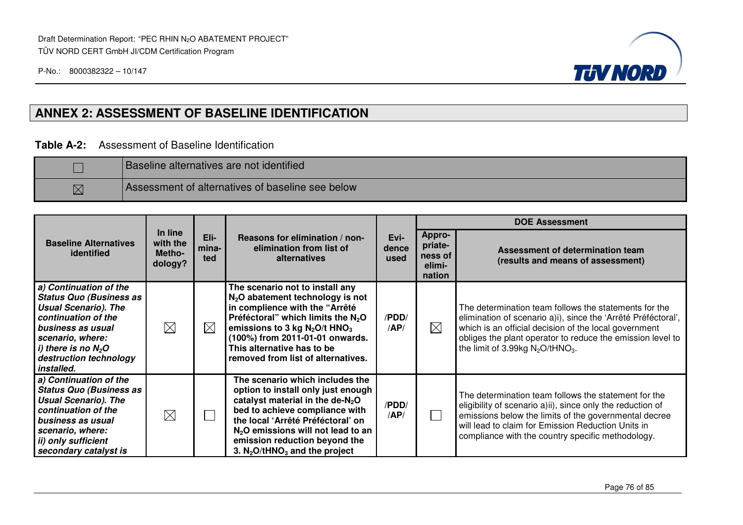

## **ANNEX 2: ASSESSMENT OF BASELINE IDENTIFICATION**

### **Table A-2:** Assessment of Baseline Identification

|             | <b>Baseline alternatives are not identified</b>  |
|-------------|--------------------------------------------------|
| $\boxtimes$ | Assessment of alternatives of baseline see below |

|                                                                                                                                                                                                                          |                                          |                      |                                                                                                                                                                                                                                                                                                             |              |                                                         | <b>DOE Assessment</b>                                                                                                                                                                                                                                                                            |
|--------------------------------------------------------------------------------------------------------------------------------------------------------------------------------------------------------------------------|------------------------------------------|----------------------|-------------------------------------------------------------------------------------------------------------------------------------------------------------------------------------------------------------------------------------------------------------------------------------------------------------|--------------|---------------------------------------------------------|--------------------------------------------------------------------------------------------------------------------------------------------------------------------------------------------------------------------------------------------------------------------------------------------------|
| <b>Baseline Alternatives</b><br>identified                                                                                                                                                                               | In line<br>with the<br>Metho-<br>dology? | Eli-<br>mina-<br>ted | Evi-<br>Reasons for elimination / non-<br>elimination from list of<br>dence<br>alternatives<br>used                                                                                                                                                                                                         |              | <b>Appro-</b><br>priate-<br>ness of<br>elimi-<br>nation | Assessment of determination team<br>(results and means of assessment)                                                                                                                                                                                                                            |
| a) Continuation of the<br><b>Status Quo (Business as</b><br><b>Usual Scenario). The</b><br>continuation of the<br>business as usual<br>scenario, where:<br>i) there is no $N_2O$<br>destruction technology<br>installed. | $\boxtimes$                              | $\boxtimes$          | The scenario not to install any<br>$N2O$ abatement technology is not<br>in complience with the "Arrêté<br>Préféctoral" which limits the $N_2O$<br>emissions to 3 kg $N_2O/t$ HNO <sub>3</sub><br>(100%) from 2011-01-01 onwards.<br>This alternative has to be<br>removed from list of alternatives.        | /PDD/<br>AP/ | $\boxtimes$                                             | The determination team follows the statements for the<br>elimination of scenario a)i), since the 'Arrêté Préféctoral',<br>which is an official decision of the local government<br>obliges the plant operator to reduce the emission level to<br>the limit of 3.99kg $N_2O$ /tHNO <sub>3</sub> . |
| a) Continuation of the<br><b>Status Quo (Business as</b><br><b>Usual Scenario). The</b><br>continuation of the<br>business as usual<br>scenario, where:<br>ii) only sufficient<br>secondary catalyst is                  | $\boxtimes$                              |                      | The scenario which includes the<br>option to install only just enough<br>catalyst material in the de- $N_2O$<br>bed to achieve compliance with<br>the local 'Arrêté Préféctoral' on<br>$N2O$ emissions will not lead to an<br>emission reduction beyond the<br>3. $N_2O$ /tHNO <sub>3</sub> and the project | /PDD/<br>AP/ |                                                         | The determination team follows the statement for the<br>eligibility of scenario a)ii), since only the reduction of<br>emissions below the limits of the governmental decree<br>will lead to claim for Emission Reduction Units in<br>compliance with the country specific methodology.           |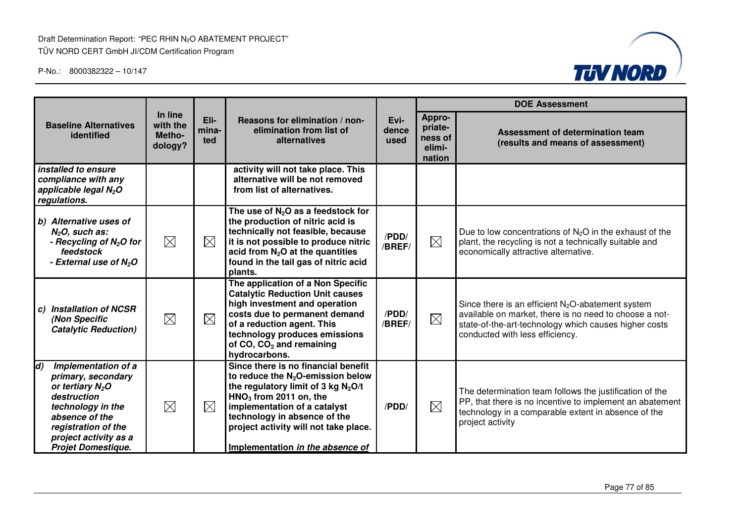Draft Determination Report: "PEC RHIN N2O ABATEMENT PROJECT" TÜV NORD CERT GmbH JI/CDM Certification Program



|                                                                                                                                                                                                          |                                          |                      |                                                                                                                                                                                                                                                                                                         |                       | <b>DOE Assessment</b>                            |                                                                                                                                                                                                            |  |
|----------------------------------------------------------------------------------------------------------------------------------------------------------------------------------------------------------|------------------------------------------|----------------------|---------------------------------------------------------------------------------------------------------------------------------------------------------------------------------------------------------------------------------------------------------------------------------------------------------|-----------------------|--------------------------------------------------|------------------------------------------------------------------------------------------------------------------------------------------------------------------------------------------------------------|--|
| <b>Baseline Alternatives</b><br>identified                                                                                                                                                               | In line<br>with the<br>Metho-<br>dology? | Eli-<br>mina-<br>ted | Reasons for elimination / non-<br>elimination from list of<br>alternatives                                                                                                                                                                                                                              | Evi-<br>dence<br>used | Appro-<br>priate-<br>ness of<br>elimi-<br>nation | Assessment of determination team<br>(results and means of assessment)                                                                                                                                      |  |
| installed to ensure<br>compliance with any<br>applicable legal N <sub>2</sub> O<br>regulations.                                                                                                          |                                          |                      | activity will not take place. This<br>alternative will be not removed<br>from list of alternatives.                                                                                                                                                                                                     |                       |                                                  |                                                                                                                                                                                                            |  |
| b) Alternative uses of<br>$N2O$ , such as:<br>- Recycling of $N_2O$ for<br>feedstock<br>- External use of $N_2O$                                                                                         | $\boxtimes$                              | $\boxtimes$          | The use of $N2O$ as a feedstock for<br>the production of nitric acid is<br>technically not feasible, because<br>it is not possible to produce nitric<br>acid from $N_2O$ at the quantities<br>found in the tail gas of nitric acid<br>plants.                                                           | /PDD/<br>/BREF/       | $\boxtimes$                                      | Due to low concentrations of $N_2O$ in the exhaust of the<br>plant, the recycling is not a technically suitable and<br>economically attractive alternative.                                                |  |
| c) Installation of NCSR<br>(Non Specific<br><b>Catalytic Reduction)</b>                                                                                                                                  | $\boxtimes$                              | $\boxtimes$          | The application of a Non Specific<br><b>Catalytic Reduction Unit causes</b><br>high investment and operation<br>costs due to permanent demand<br>of a reduction agent. This<br>technology produces emissions<br>of CO, CO <sub>2</sub> and remaining<br>hydrocarbons.                                   | /PDD/<br>/BREF/       | $\boxtimes$                                      | Since there is an efficient $N_2O$ -abatement system<br>available on market, there is no need to choose a not-<br>state-of-the-art-technology which causes higher costs<br>conducted with less efficiency. |  |
| Implementation of a<br>d)<br>primary, secondary<br>or tertiary $N_2O$<br>destruction<br>technology in the<br>absence of the<br>registration of the<br>project activity as a<br><b>Projet Domestique.</b> | $\boxtimes$                              | $\boxtimes$          | Since there is no financial benefit<br>to reduce the $N_2O$ -emission below<br>the regulatory limit of 3 kg N <sub>2</sub> O/t<br>$HNO3$ from 2011 on, the<br>implementation of a catalyst<br>technology in absence of the<br>project activity will not take place.<br>Implementation in the absence of | /PDD/                 | $\boxtimes$                                      | The determination team follows the justification of the<br>PP, that there is no incentive to implement an abatement<br>technology in a comparable extent in absence of the<br>project activity             |  |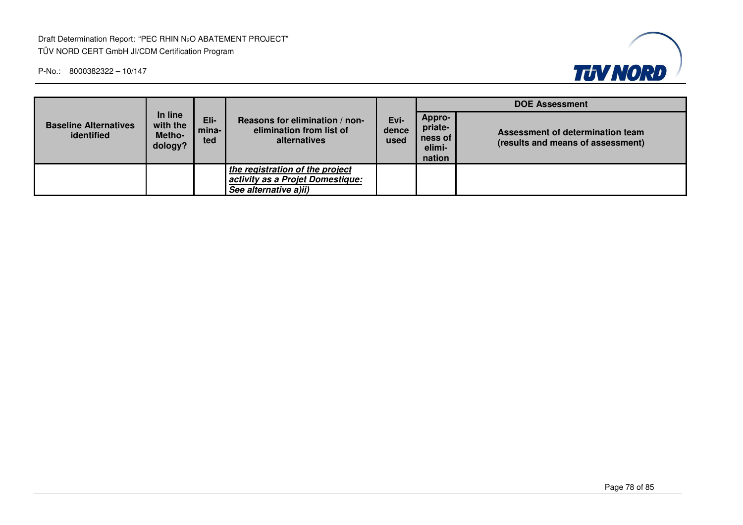Draft Determination Report: "PEC RHIN N2O ABATEMENT PROJECT" TÜV NORD CERT GmbH JI/CDM Certification Program



|                                            |                                          |                      |                                                                                              | Evi-<br>dence<br>used | <b>DOE Assessment</b>                            |                                                                       |  |
|--------------------------------------------|------------------------------------------|----------------------|----------------------------------------------------------------------------------------------|-----------------------|--------------------------------------------------|-----------------------------------------------------------------------|--|
| <b>Baseline Alternatives</b><br>identified | In line<br>with the<br>Metho-<br>dology? | Eli-<br>mina-<br>ted | Reasons for elimination / non-<br>elimination from list of<br>alternatives                   |                       | Appro-<br>priate-<br>ness of<br>elimi-<br>nation | Assessment of determination team<br>(results and means of assessment) |  |
|                                            |                                          |                      | the registration of the project<br>activity as a Projet Domestique:<br>See alternative a)ii) |                       |                                                  |                                                                       |  |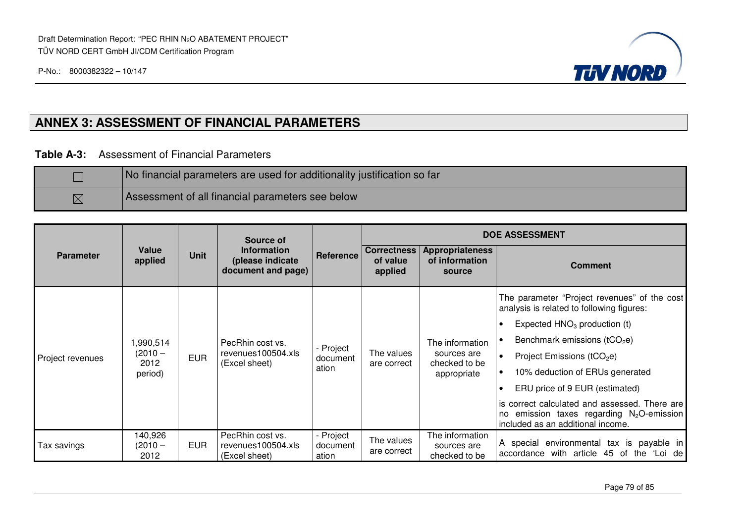

## **ANNEX 3: ASSESSMENT OF FINANCIAL PARAMETERS**

**Table A-3:** Assessment of Financial Parameters

|             | No financial parameters are used for additionality justification so far |
|-------------|-------------------------------------------------------------------------|
| $\boxtimes$ | Assessment of all financial parameters see below                        |

|                  |                              |             | Source of                                                    |                                | <b>DOE ASSESSMENT</b>                     |                                                                |                                                                                                                                    |  |  |
|------------------|------------------------------|-------------|--------------------------------------------------------------|--------------------------------|-------------------------------------------|----------------------------------------------------------------|------------------------------------------------------------------------------------------------------------------------------------|--|--|
| <b>Parameter</b> | Value<br>applied             | <b>Unit</b> | <b>Information</b><br>(please indicate<br>document and page) | Reference                      | <b>Correctness</b><br>of value<br>applied | Appropriateness<br>of information<br>source                    | <b>Comment</b>                                                                                                                     |  |  |
|                  |                              | <b>EUR</b>  | PecRhin cost vs.<br>revenues100504.xls<br>(Excel sheet)      |                                |                                           |                                                                | The parameter "Project revenues" of the cost<br>analysis is related to following figures:                                          |  |  |
|                  |                              |             |                                                              | - Project<br>document<br>ation | The values<br>are correct                 | The information<br>sources are<br>checked to be<br>appropriate | Expected $HNO3$ production (t)<br>$\bullet$                                                                                        |  |  |
|                  | 1,990,514                    |             |                                                              |                                |                                           |                                                                | Benchmark emissions ( $tCO2e$ )                                                                                                    |  |  |
| Project revenues | (2010 –<br>2012<br>period)   |             |                                                              |                                |                                           |                                                                | Project Emissions ( $tCO2e$ )                                                                                                      |  |  |
|                  |                              |             |                                                              |                                |                                           |                                                                | 10% deduction of ERUs generated                                                                                                    |  |  |
|                  |                              |             |                                                              |                                |                                           |                                                                | ERU price of 9 EUR (estimated)                                                                                                     |  |  |
|                  |                              |             |                                                              |                                |                                           |                                                                | is correct calculated and assessed. There are<br>no emission taxes regarding $N_2O$ -emission<br>included as an additional income. |  |  |
| Tax savings      | 140,926<br>$(2010 -$<br>2012 | <b>EUR</b>  | PecRhin cost vs.<br>revenues100504.xls<br>(Excel sheet)      | - Project<br>document<br>ation | The values<br>are correct                 | The information<br>sources are<br>checked to be                | A special environmental tax is payable in<br>accordance with article 45 of the 'Loi de                                             |  |  |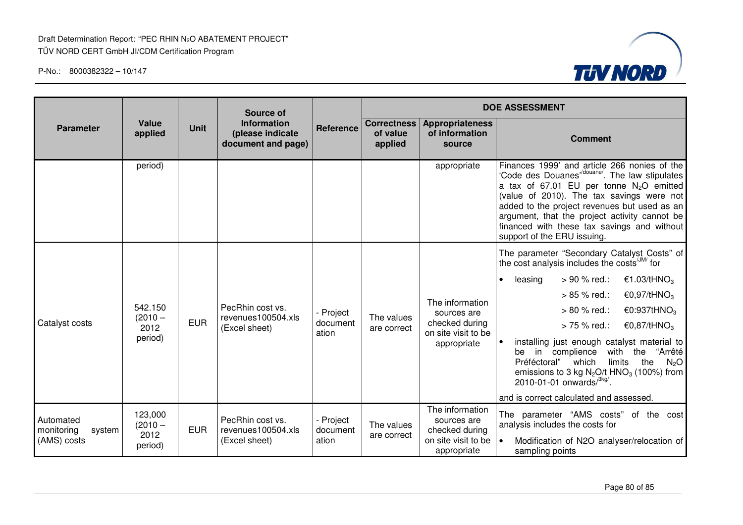

|                                                  |                                         |                                                                             | Source of                                               |                                |                                           |                                                                                        | <b>DOE ASSESSMENT</b>                                                                                                                                                                                                                                                                                                                                                    |  |  |
|--------------------------------------------------|-----------------------------------------|-----------------------------------------------------------------------------|---------------------------------------------------------|--------------------------------|-------------------------------------------|----------------------------------------------------------------------------------------|--------------------------------------------------------------------------------------------------------------------------------------------------------------------------------------------------------------------------------------------------------------------------------------------------------------------------------------------------------------------------|--|--|
| <b>Parameter</b>                                 | Value<br>applied                        | <b>Information</b><br><b>Unit</b><br>(please indicate<br>document and page) |                                                         | Reference                      | <b>Correctness</b><br>of value<br>applied | <b>Appropriateness</b><br>of information<br>source                                     | <b>Comment</b>                                                                                                                                                                                                                                                                                                                                                           |  |  |
|                                                  | period)                                 |                                                                             |                                                         |                                |                                           | appropriate                                                                            | Finances 1999' and article 266 nonies of the<br>'Code des Douanes"/douane'. The law stipulates<br>a tax of 67.01 EU per tonne $N_2O$ emitted<br>(value of 2010). The tax savings were not<br>added to the project revenues but used as an<br>argument, that the project activity cannot be<br>financed with these tax savings and without<br>support of the ERU issuing. |  |  |
|                                                  |                                         |                                                                             |                                                         |                                |                                           |                                                                                        | The parameter "Secondary Catalyst Costs" of<br>the cost analysis includes the costs <sup>/JM/</sup> for                                                                                                                                                                                                                                                                  |  |  |
|                                                  |                                         | <b>EUR</b><br>2012                                                          | PecRhin cost vs.<br>revenues100504.xls<br>(Excel sheet) | Project<br>document<br>ation   | The values<br>are correct                 | The information<br>sources are<br>checked during<br>on site visit to be                | > 90 % red.:<br>€1.03/tHNO <sub>3</sub><br>leasing<br>$\bullet$                                                                                                                                                                                                                                                                                                          |  |  |
|                                                  | 542.150<br>$(2010 -$                    |                                                                             |                                                         |                                |                                           |                                                                                        | €0,97/tHNO <sub>3</sub><br>$> 85 \%$ red.:                                                                                                                                                                                                                                                                                                                               |  |  |
|                                                  |                                         |                                                                             |                                                         |                                |                                           |                                                                                        | > 80 % red.:<br>€0:937tHNO <sub>3</sub>                                                                                                                                                                                                                                                                                                                                  |  |  |
| Catalyst costs                                   |                                         |                                                                             |                                                         |                                |                                           |                                                                                        | > 75 % red.:<br>€0,87/tHNO <sub>3</sub>                                                                                                                                                                                                                                                                                                                                  |  |  |
|                                                  | period)                                 |                                                                             |                                                         |                                |                                           | appropriate                                                                            | installing just enough catalyst material to<br>be in complience<br>with the "Arrêté<br>the<br>Préféctoral"<br>limits<br>which<br>N <sub>2</sub> O<br>emissions to 3 kg $N_2O/t$ HNO <sub>3</sub> (100%) from<br>2010-01-01 onwards $/3$ <sup>kg/</sup> .                                                                                                                 |  |  |
|                                                  |                                         |                                                                             |                                                         |                                |                                           |                                                                                        | and is correct calculated and assessed.                                                                                                                                                                                                                                                                                                                                  |  |  |
| Automated<br>monitoring<br>system<br>(AMS) costs | 123,000<br>$(2010 -$<br>2012<br>period) | <b>EUR</b>                                                                  | PecRhin cost vs.<br>revenues100504.xls<br>(Excel sheet) | - Project<br>document<br>ation | The values<br>are correct                 | The information<br>sources are<br>checked during<br>on site visit to be<br>appropriate | The parameter "AMS costs" of the cost<br>analysis includes the costs for<br>Modification of N2O analyser/relocation of<br>sampling points                                                                                                                                                                                                                                |  |  |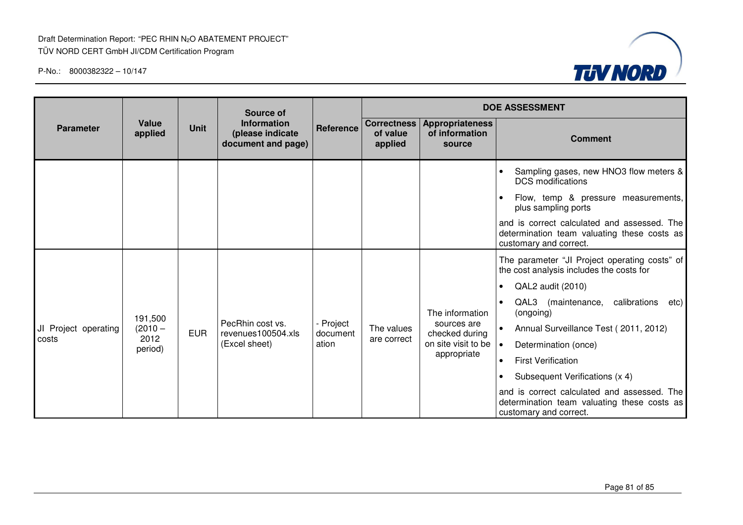

|                      |                  |             | Source of                                                    |                       |                                           |                                                    | <b>DOE ASSESSMENT</b>                                                                                                |
|----------------------|------------------|-------------|--------------------------------------------------------------|-----------------------|-------------------------------------------|----------------------------------------------------|----------------------------------------------------------------------------------------------------------------------|
| <b>Parameter</b>     | Value<br>applied | <b>Unit</b> | <b>Information</b><br>(please indicate<br>document and page) | Reference             | <b>Correctness</b><br>of value<br>applied | <b>Appropriateness</b><br>of information<br>source | <b>Comment</b>                                                                                                       |
|                      |                  |             |                                                              |                       |                                           |                                                    | Sampling gases, new HNO3 flow meters &<br><b>DCS</b> modifications                                                   |
|                      |                  |             |                                                              |                       |                                           |                                                    | Flow, temp & pressure measurements,<br>plus sampling ports                                                           |
|                      |                  |             |                                                              |                       |                                           |                                                    | and is correct calculated and assessed. The<br>determination team valuating these costs as<br>customary and correct. |
|                      |                  |             |                                                              |                       |                                           |                                                    | The parameter "JI Project operating costs" of<br>the cost analysis includes the costs for                            |
|                      |                  |             |                                                              |                       |                                           |                                                    | QAL2 audit (2010)<br>$\bullet$                                                                                       |
|                      | 191,500          |             |                                                              |                       |                                           | The information                                    | QAL3<br>(maintenance, calibrations<br>etc)<br>(ongoing)                                                              |
| JI Project operating | $(2010 -$        | <b>EUR</b>  | PecRhin cost vs.<br>revenues100504.xls                       | - Project<br>document | The values                                | sources are<br>checked during                      | Annual Surveillance Test (2011, 2012)                                                                                |
| costs                | 2012<br>period)  |             | (Excel sheet)                                                | ation                 | are correct                               | on site visit to be                                | Determination (once)<br>$\bullet$                                                                                    |
|                      |                  |             |                                                              |                       |                                           | appropriate                                        | <b>First Verification</b><br>$\bullet$                                                                               |
|                      |                  |             |                                                              |                       |                                           |                                                    | Subsequent Verifications (x 4)<br>$\bullet$                                                                          |
|                      |                  |             |                                                              |                       |                                           |                                                    | and is correct calculated and assessed. The<br>determination team valuating these costs as<br>customary and correct. |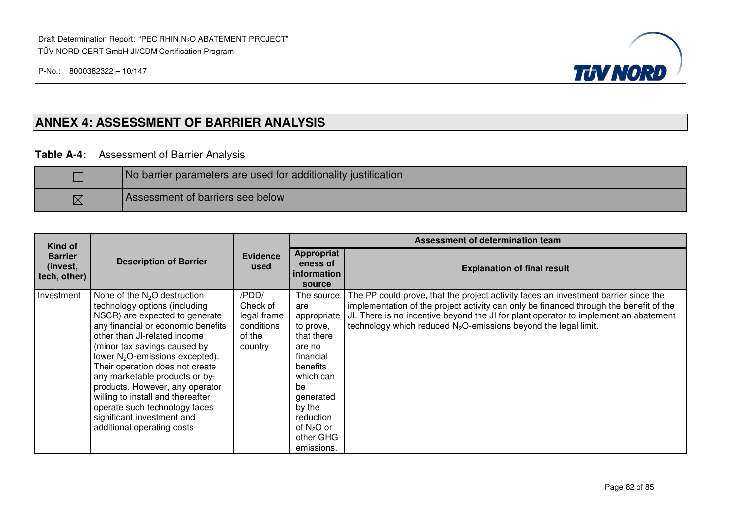

### **ANNEX 4: ASSESSMENT OF BARRIER ANALYSIS**

### **Table A-4:** Assessment of Barrier Analysis

|             | No barrier parameters are used for additionality justification |
|-------------|----------------------------------------------------------------|
| $\boxtimes$ | Assessment of barriers see below                               |

| Kind of                                    | <b>Description of Barrier</b>                                                                                                                                                                                                                                                                                                                                                                                                                                                                     | <b>Evidence</b><br>used                                             | Assessment of determination team                                                                                                                                                                 |                                                                                                                                                                                                                                                                                                                                                      |  |
|--------------------------------------------|---------------------------------------------------------------------------------------------------------------------------------------------------------------------------------------------------------------------------------------------------------------------------------------------------------------------------------------------------------------------------------------------------------------------------------------------------------------------------------------------------|---------------------------------------------------------------------|--------------------------------------------------------------------------------------------------------------------------------------------------------------------------------------------------|------------------------------------------------------------------------------------------------------------------------------------------------------------------------------------------------------------------------------------------------------------------------------------------------------------------------------------------------------|--|
| <b>Barrier</b><br>(invest,<br>tech, other) |                                                                                                                                                                                                                                                                                                                                                                                                                                                                                                   |                                                                     | <b>Appropriat</b><br>eness of<br>information<br>source                                                                                                                                           | <b>Explanation of final result</b>                                                                                                                                                                                                                                                                                                                   |  |
| Investment                                 | None of the N <sub>2</sub> O destruction<br>technology options (including<br>NSCR) are expected to generate<br>any financial or economic benefits<br>other than JI-related income<br>(minor tax savings caused by<br>lower $N_2O$ -emissions excepted).<br>Their operation does not create<br>any marketable products or by-<br>products. However, any operator<br>willing to install and thereafter<br>operate such technology faces<br>significant investment and<br>additional operating costs | /PDD/<br>Check of<br>legal frame<br>conditions<br>of the<br>country | The source<br>are<br>appropriate<br>to prove,<br>that there<br>are no<br>financial<br>benefits<br>which can<br>be<br>generated<br>by the<br>reduction<br>of $N_2O$ or<br>other GHG<br>emissions. | The PP could prove, that the project activity faces an investment barrier since the<br>implementation of the project activity can only be financed through the benefit of the<br>JI. There is no incentive beyond the JI for plant operator to implement an abatement<br>technology which reduced N <sub>2</sub> O-emissions beyond the legal limit. |  |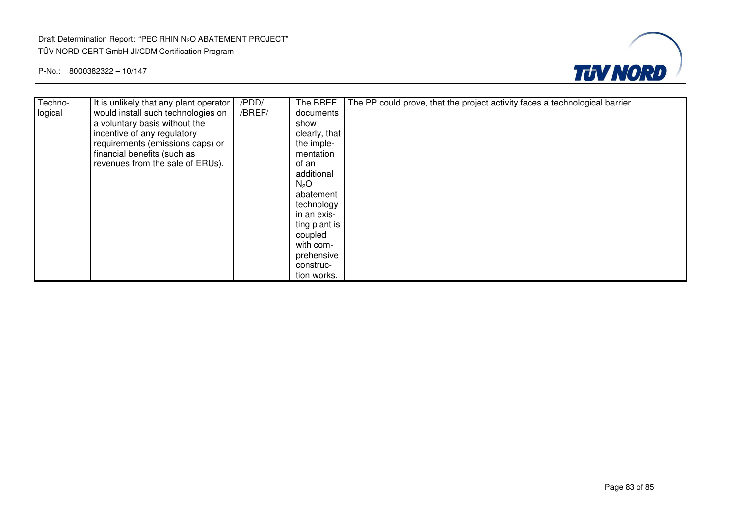#### Draft Determination Report: "PEC RHIN N2O ABATEMENT PROJECT" TÜV NORD CERT GmbH JI/CDM Certification Program



| Techno- | It is unlikely that any plant operator | /PDD/  | The BREF         | The PP could prove, that the project activity faces a technological barrier. |
|---------|----------------------------------------|--------|------------------|------------------------------------------------------------------------------|
| logical | would install such technologies on     | /BREF/ | documents        |                                                                              |
|         | a voluntary basis without the          |        | show             |                                                                              |
|         | incentive of any regulatory            |        | clearly, that    |                                                                              |
|         | requirements (emissions caps) or       |        | the imple-       |                                                                              |
|         | financial benefits (such as            |        | mentation        |                                                                              |
|         | revenues from the sale of ERUs).       |        | of an            |                                                                              |
|         |                                        |        | additional       |                                                                              |
|         |                                        |        | N <sub>2</sub> O |                                                                              |
|         |                                        |        | abatement        |                                                                              |
|         |                                        |        | technology       |                                                                              |
|         |                                        |        | in an exis-      |                                                                              |
|         |                                        |        | ting plant is    |                                                                              |
|         |                                        |        | coupled          |                                                                              |
|         |                                        |        | with com-        |                                                                              |
|         |                                        |        | prehensive       |                                                                              |
|         |                                        |        | construc-        |                                                                              |
|         |                                        |        | tion works.      |                                                                              |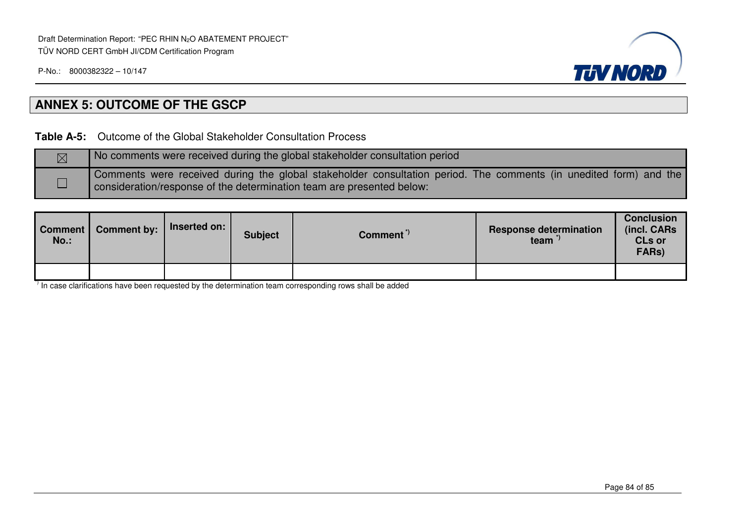

## **ANNEX 5: OUTCOME OF THE GSCP**

**Table A-5:** Outcome of the Global Stakeholder Consultation Process

| No comments were received during the global stakeholder consultation period                                                                                                             |
|-----------------------------------------------------------------------------------------------------------------------------------------------------------------------------------------|
| Comments were received during the global stakeholder consultation period. The comments (in unedited form) and the consideration/response of the determination team are presented below: |

| Comment<br>No.: | <b>Comment by:</b> | Inserted on: | <b>Subject</b> | Comment <sup>"</sup> | <b>Response determination</b><br>team | <b>Conclusion</b><br>(incl. CARs<br><b>CLs or</b><br>FARs) |
|-----------------|--------------------|--------------|----------------|----------------------|---------------------------------------|------------------------------------------------------------|
|                 |                    |              |                |                      |                                       |                                                            |

 $\overline{1}$  In case clarifications have been requested by the determination team corresponding rows shall be added